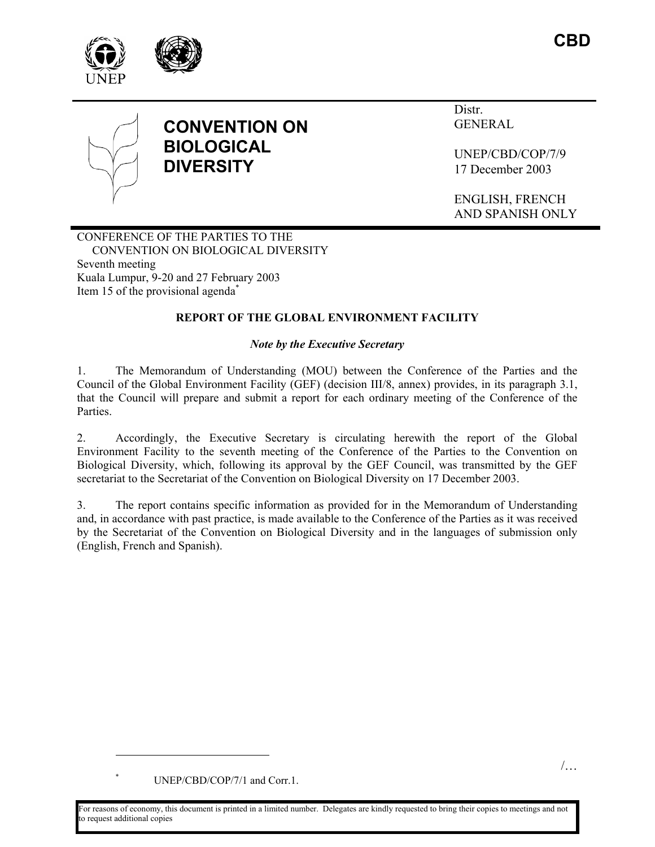







# **CONVENTION ON BIOLOGICAL DIVERSITY**

Distr. **GENERAL** 

UNEP/CBD/COP/7/9 17 December 2003

ENGLISH, FRENCH AND SPANISH ONLY

#### CONFERENCE OF THE PARTIES TO THE CONVENTION ON BIOLOGICAL DIVERSITY Seventh meeting Kuala Lumpur, 9-20 and 27 February 2003 Item 15 of the provisional agenda\*

## **REPORT OF THE GLOBAL ENVIRONMENT FACILITY**

### *Note by the Executive Secretary*

1. The Memorandum of Understanding (MOU) between the Conference of the Parties and the Council of the Global Environment Facility (GEF) (decision III/8, annex) provides, in its paragraph 3.1, that the Council will prepare and submit a report for each ordinary meeting of the Conference of the Parties.

2. Accordingly, the Executive Secretary is circulating herewith the report of the Global Environment Facility to the seventh meeting of the Conference of the Parties to the Convention on Biological Diversity, which, following its approval by the GEF Council, was transmitted by the GEF secretariat to the Secretariat of the Convention on Biological Diversity on 17 December 2003.

3. The report contains specific information as provided for in the Memorandum of Understanding and, in accordance with past practice, is made available to the Conference of the Parties as it was received by the Secretariat of the Convention on Biological Diversity and in the languages of submission only (English, French and Spanish).

UNEP/CBD/COP/7/1 and Corr.1.

 $\overline{a}$ 

\*

 $/$ ...

For reasons of economy, this document is printed in a limited number. Delegates are kindly requested to bring their copies to meetings and not o request additional copies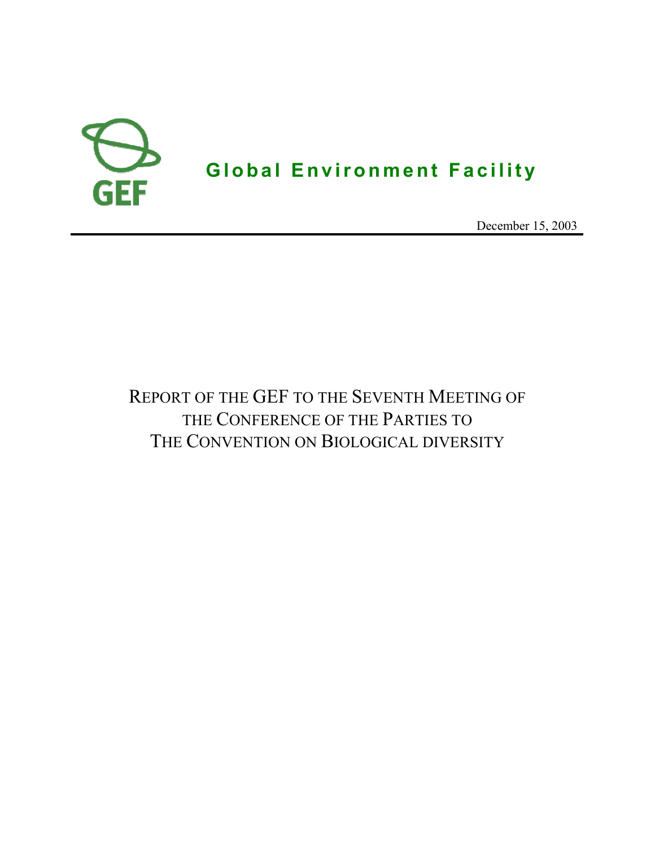

December 15, 2003

# REPORT OF THE GEF TO THE SEVENTH MEETING OF THE CONFERENCE OF THE PARTIES TO THE CONVENTION ON BIOLOGICAL DIVERSITY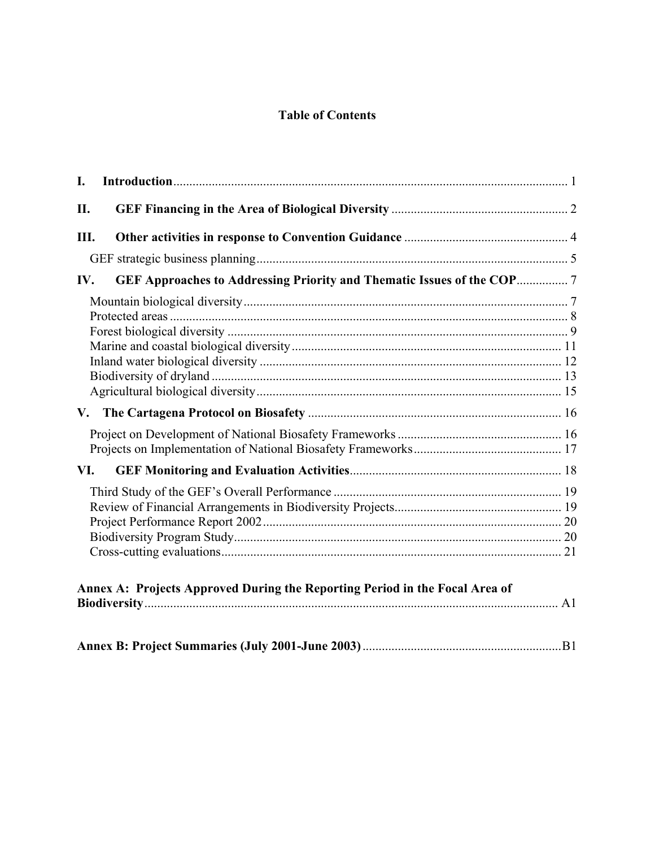## **Table of Contents**

| I.  |                                                                             |  |
|-----|-----------------------------------------------------------------------------|--|
| II. |                                                                             |  |
| Ш.  |                                                                             |  |
|     |                                                                             |  |
| IV. |                                                                             |  |
|     |                                                                             |  |
|     |                                                                             |  |
|     |                                                                             |  |
|     |                                                                             |  |
|     |                                                                             |  |
|     |                                                                             |  |
|     |                                                                             |  |
|     |                                                                             |  |
|     |                                                                             |  |
|     |                                                                             |  |
| VI. |                                                                             |  |
|     |                                                                             |  |
|     |                                                                             |  |
|     |                                                                             |  |
|     |                                                                             |  |
|     |                                                                             |  |
|     |                                                                             |  |
|     | Annex A: Projects Approved During the Reporting Period in the Focal Area of |  |
|     |                                                                             |  |
|     |                                                                             |  |
|     |                                                                             |  |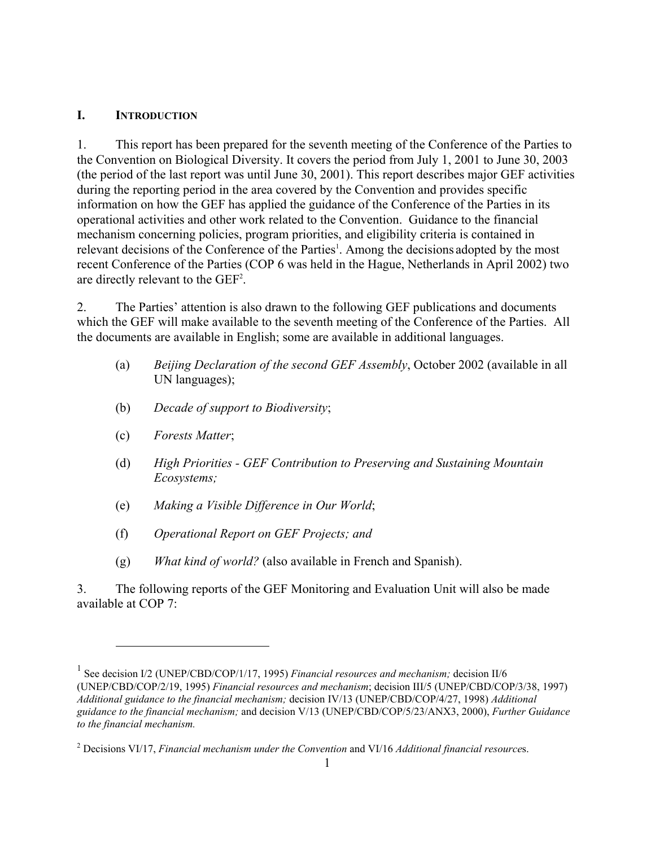### **I. INTRODUCTION**

1. This report has been prepared for the seventh meeting of the Conference of the Parties to the Convention on Biological Diversity. It covers the period from July 1, 2001 to June 30, 2003 (the period of the last report was until June 30, 2001). This report describes major GEF activities during the reporting period in the area covered by the Convention and provides specific information on how the GEF has applied the guidance of the Conference of the Parties in its operational activities and other work related to the Convention. Guidance to the financial mechanism concerning policies, program priorities, and eligibility criteria is contained in relevant decisions of the Conference of the Parties<sup>1</sup>. Among the decisions adopted by the most recent Conference of the Parties (COP 6 was held in the Hague, Netherlands in April 2002) two are directly relevant to the GEF<sup>2</sup>.

2. The Parties' attention is also drawn to the following GEF publications and documents which the GEF will make available to the seventh meeting of the Conference of the Parties. All the documents are available in English; some are available in additional languages.

- (a) *Beijing Declaration of the second GEF Assembly*, October 2002 (available in all UN languages);
- (b) *Decade of support to Biodiversity*;
- (c) *Forests Matter*;

 $\overline{a}$ 

- (d) *High Priorities GEF Contribution to Preserving and Sustaining Mountain Ecosystems;*
- (e) *Making a Visible Difference in Our World*;
- (f) *Operational Report on GEF Projects; and*
- (g) *What kind of world?* (also available in French and Spanish).

3. The following reports of the GEF Monitoring and Evaluation Unit will also be made available at COP 7:

<sup>&</sup>lt;sup>1</sup> See decision I/2 (UNEP/CBD/COP/1/17, 1995) *Financial resources and mechanism*; decision II/6

<sup>(</sup>UNEP/CBD/COP/2/19, 1995) *Financial resources and mechanism*; decision III/5 (UNEP/CBD/COP/3/38, 1997) *Additional guidance to the financial mechanism;* decision IV/13 (UNEP/CBD/COP/4/27, 1998) *Additional guidance to the financial mechanism;* and decision V/13 (UNEP/CBD/COP/5/23/ANX3, 2000), *Further Guidance to the financial mechanism.* 

<sup>2</sup> Decisions VI/17, *Financial mechanism under the Convention* and VI/16 *Additional financial resource*s.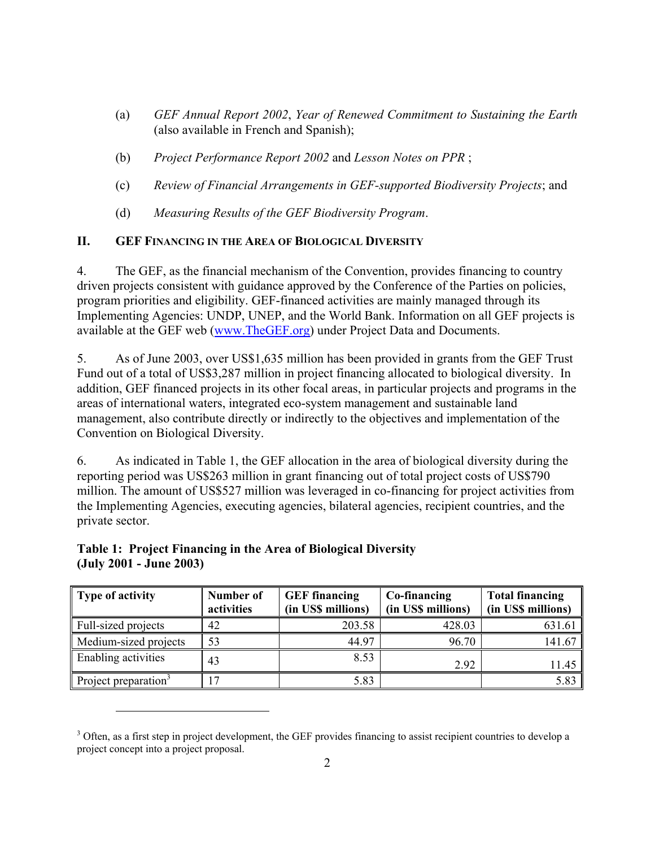- (a) *GEF Annual Report 2002*, *Year of Renewed Commitment to Sustaining the Earth* (also available in French and Spanish);
- (b) *Project Performance Report 2002* and *Lesson Notes on PPR* ;
- (c) *Review of Financial Arrangements in GEF-supported Biodiversity Projects*; and
- (d) *Measuring Results of the GEF Biodiversity Program*.

## **II. GEF FINANCING IN THE AREA OF BIOLOGICAL DIVERSITY**

4. The GEF, as the financial mechanism of the Convention, provides financing to country driven projects consistent with guidance approved by the Conference of the Parties on policies, program priorities and eligibility. GEF-financed activities are mainly managed through its Implementing Agencies: UNDP, UNEP, and the World Bank. Information on all GEF projects is available at the GEF web (www.TheGEF.org) under Project Data and Documents.

5. As of June 2003, over US\$1,635 million has been provided in grants from the GEF Trust Fund out of a total of US\$3,287 million in project financing allocated to biological diversity. In addition, GEF financed projects in its other focal areas, in particular projects and programs in the areas of international waters, integrated eco-system management and sustainable land management, also contribute directly or indirectly to the objectives and implementation of the Convention on Biological Diversity.

6. As indicated in Table 1, the GEF allocation in the area of biological diversity during the reporting period was US\$263 million in grant financing out of total project costs of US\$790 million. The amount of US\$527 million was leveraged in co-financing for project activities from the Implementing Agencies, executing agencies, bilateral agencies, recipient countries, and the private sector.

## **Table 1: Project Financing in the Area of Biological Diversity (July 2001 - June 2003)**

 $\overline{a}$ 

| <b>Type of activity</b>          | Number of  | <b>GEF</b> financing | Co-financing       | <b>Total financing</b> |  |
|----------------------------------|------------|----------------------|--------------------|------------------------|--|
|                                  | activities | (in US\$ millions)   | (in US\$ millions) | (in US\$ millions)     |  |
| Full-sized projects              | 42         | 203.58               | 428.03             | 631.61                 |  |
| Medium-sized projects            | 53         | 44.97                | 96.70              | 141.67                 |  |
| Enabling activities              | 43         | 8.53                 | 2.92               | 11.45                  |  |
| Project preparation <sup>3</sup> |            | 5.83                 |                    | 5.83                   |  |

 $3$  Often, as a first step in project development, the GEF provides financing to assist recipient countries to develop a project concept into a project proposal.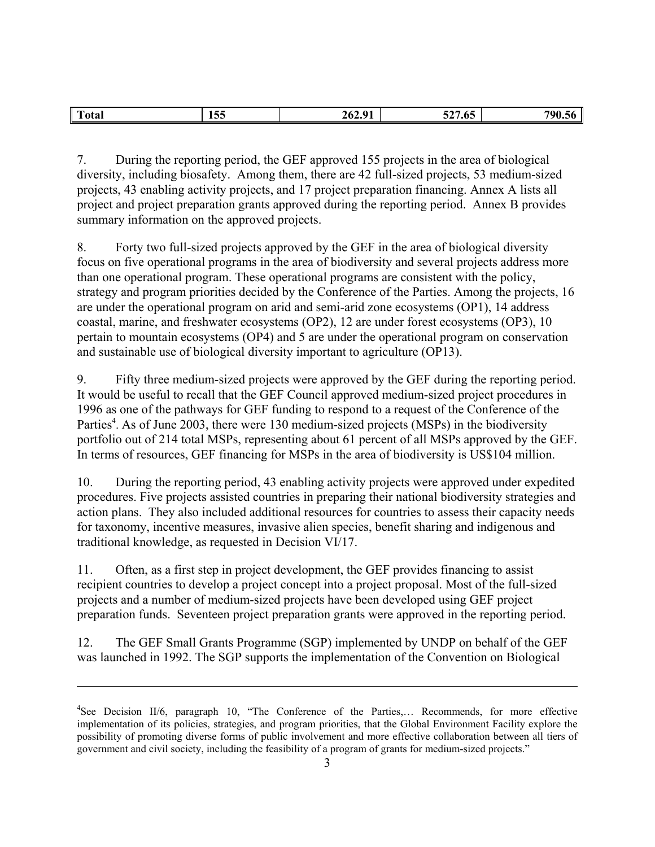| m.<br>Total | --<br>ີ | $\sim$ $\sim$<br>202.71 | $\sim$ $-$<br><i>=</i> ^=<br>$\cdot$<br>ິ້ | 70. |
|-------------|---------|-------------------------|--------------------------------------------|-----|
|             |         |                         |                                            |     |

7. During the reporting period, the GEF approved 155 projects in the area of biological diversity, including biosafety. Among them, there are 42 full-sized projects, 53 medium-sized projects, 43 enabling activity projects, and 17 project preparation financing. Annex A lists all project and project preparation grants approved during the reporting period. Annex B provides summary information on the approved projects.

8. Forty two full-sized projects approved by the GEF in the area of biological diversity focus on five operational programs in the area of biodiversity and several projects address more than one operational program. These operational programs are consistent with the policy, strategy and program priorities decided by the Conference of the Parties. Among the projects, 16 are under the operational program on arid and semi-arid zone ecosystems (OP1), 14 address coastal, marine, and freshwater ecosystems (OP2), 12 are under forest ecosystems (OP3), 10 pertain to mountain ecosystems (OP4) and 5 are under the operational program on conservation and sustainable use of biological diversity important to agriculture (OP13).

9. Fifty three medium-sized projects were approved by the GEF during the reporting period. It would be useful to recall that the GEF Council approved medium-sized project procedures in 1996 as one of the pathways for GEF funding to respond to a request of the Conference of the Parties<sup>4</sup>. As of June 2003, there were 130 medium-sized projects (MSPs) in the biodiversity portfolio out of 214 total MSPs, representing about 61 percent of all MSPs approved by the GEF. In terms of resources, GEF financing for MSPs in the area of biodiversity is US\$104 million.

10. During the reporting period, 43 enabling activity projects were approved under expedited procedures. Five projects assisted countries in preparing their national biodiversity strategies and action plans. They also included additional resources for countries to assess their capacity needs for taxonomy, incentive measures, invasive alien species, benefit sharing and indigenous and traditional knowledge, as requested in Decision VI/17.

11. Often, as a first step in project development, the GEF provides financing to assist recipient countries to develop a project concept into a project proposal. Most of the full-sized projects and a number of medium-sized projects have been developed using GEF project preparation funds. Seventeen project preparation grants were approved in the reporting period.

12. The GEF Small Grants Programme (SGP) implemented by UNDP on behalf of the GEF was launched in 1992. The SGP supports the implementation of the Convention on Biological

1

<sup>&</sup>lt;sup>4</sup>See Decision II/6, paragraph 10, "The Conference of the Parties,... Recommends, for more effective implementation of its policies, strategies, and program priorities, that the Global Environment Facility explore the possibility of promoting diverse forms of public involvement and more effective collaboration between all tiers of government and civil society, including the feasibility of a program of grants for medium-sized projects."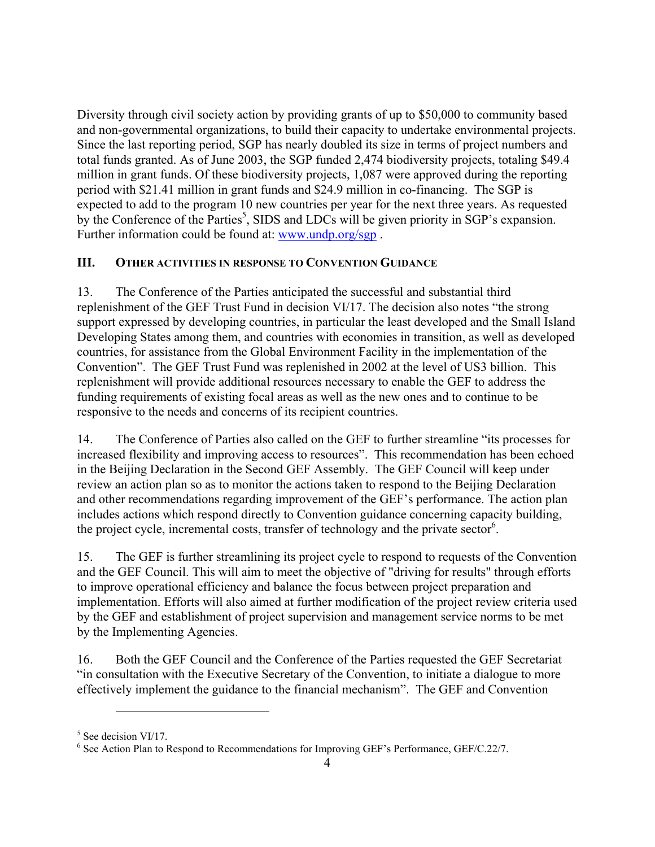Diversity through civil society action by providing grants of up to \$50,000 to community based and non-governmental organizations, to build their capacity to undertake environmental projects. Since the last reporting period, SGP has nearly doubled its size in terms of project numbers and total funds granted. As of June 2003, the SGP funded 2,474 biodiversity projects, totaling \$49.4 million in grant funds. Of these biodiversity projects, 1,087 were approved during the reporting period with \$21.41 million in grant funds and \$24.9 million in co-financing. The SGP is expected to add to the program 10 new countries per year for the next three years. As requested by the Conference of the Parties<sup>5</sup>, SIDS and LDCs will be given priority in SGP's expansion. Further information could be found at: www.undp.org/sgp.

## **III. OTHER ACTIVITIES IN RESPONSE TO CONVENTION GUIDANCE**

13. The Conference of the Parties anticipated the successful and substantial third replenishment of the GEF Trust Fund in decision VI/17. The decision also notes "the strong support expressed by developing countries, in particular the least developed and the Small Island Developing States among them, and countries with economies in transition, as well as developed countries, for assistance from the Global Environment Facility in the implementation of the Convention". The GEF Trust Fund was replenished in 2002 at the level of US3 billion. This replenishment will provide additional resources necessary to enable the GEF to address the funding requirements of existing focal areas as well as the new ones and to continue to be responsive to the needs and concerns of its recipient countries.

14. The Conference of Parties also called on the GEF to further streamline "its processes for increased flexibility and improving access to resources". This recommendation has been echoed in the Beijing Declaration in the Second GEF Assembly. The GEF Council will keep under review an action plan so as to monitor the actions taken to respond to the Beijing Declaration and other recommendations regarding improvement of the GEF's performance. The action plan includes actions which respond directly to Convention guidance concerning capacity building, the project cycle, incremental costs, transfer of technology and the private sector<sup>6</sup>.

15. The GEF is further streamlining its project cycle to respond to requests of the Convention and the GEF Council. This will aim to meet the objective of "driving for results" through efforts to improve operational efficiency and balance the focus between project preparation and implementation. Efforts will also aimed at further modification of the project review criteria used by the GEF and establishment of project supervision and management service norms to be met by the Implementing Agencies.

16. Both the GEF Council and the Conference of the Parties requested the GEF Secretariat "in consultation with the Executive Secretary of the Convention, to initiate a dialogue to more effectively implement the guidance to the financial mechanism". The GEF and Convention

 $\overline{a}$ 

<sup>&</sup>lt;sup>5</sup> See decision VI/17.

 $6$  See Action Plan to Respond to Recommendations for Improving GEF's Performance, GEF/C.22/7.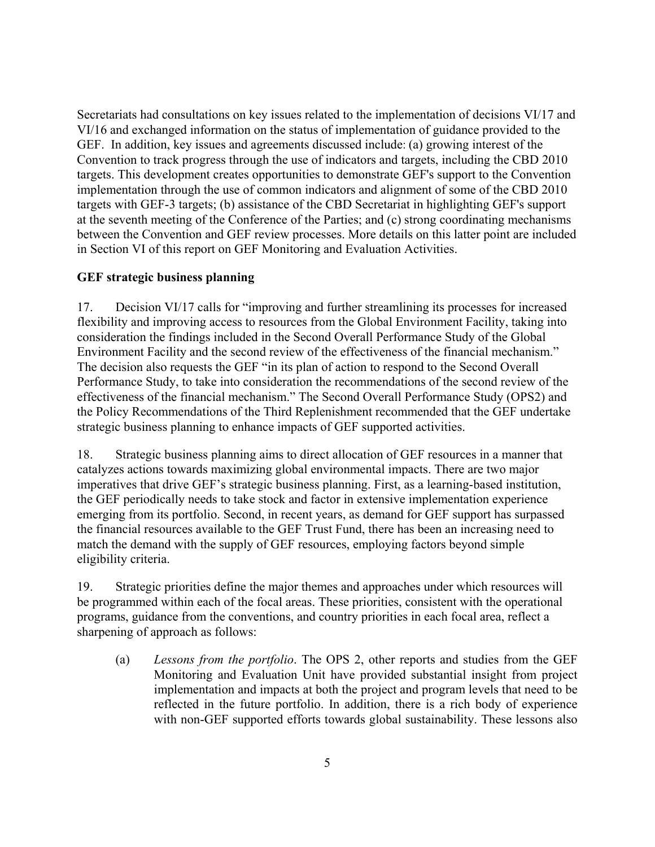Secretariats had consultations on key issues related to the implementation of decisions VI/17 and VI/16 and exchanged information on the status of implementation of guidance provided to the GEF. In addition, key issues and agreements discussed include: (a) growing interest of the Convention to track progress through the use of indicators and targets, including the CBD 2010 targets. This development creates opportunities to demonstrate GEF's support to the Convention implementation through the use of common indicators and alignment of some of the CBD 2010 targets with GEF-3 targets; (b) assistance of the CBD Secretariat in highlighting GEF's support at the seventh meeting of the Conference of the Parties; and (c) strong coordinating mechanisms between the Convention and GEF review processes. More details on this latter point are included in Section VI of this report on GEF Monitoring and Evaluation Activities.

## **GEF strategic business planning**

17. Decision VI/17 calls for "improving and further streamlining its processes for increased flexibility and improving access to resources from the Global Environment Facility, taking into consideration the findings included in the Second Overall Performance Study of the Global Environment Facility and the second review of the effectiveness of the financial mechanism." The decision also requests the GEF "in its plan of action to respond to the Second Overall Performance Study, to take into consideration the recommendations of the second review of the effectiveness of the financial mechanism." The Second Overall Performance Study (OPS2) and the Policy Recommendations of the Third Replenishment recommended that the GEF undertake strategic business planning to enhance impacts of GEF supported activities.

18. Strategic business planning aims to direct allocation of GEF resources in a manner that catalyzes actions towards maximizing global environmental impacts. There are two major imperatives that drive GEF's strategic business planning. First, as a learning-based institution, the GEF periodically needs to take stock and factor in extensive implementation experience emerging from its portfolio. Second, in recent years, as demand for GEF support has surpassed the financial resources available to the GEF Trust Fund, there has been an increasing need to match the demand with the supply of GEF resources, employing factors beyond simple eligibility criteria.

19. Strategic priorities define the major themes and approaches under which resources will be programmed within each of the focal areas. These priorities, consistent with the operational programs, guidance from the conventions, and country priorities in each focal area, reflect a sharpening of approach as follows:

(a) *Lessons from the portfolio*. The OPS 2, other reports and studies from the GEF Monitoring and Evaluation Unit have provided substantial insight from project implementation and impacts at both the project and program levels that need to be reflected in the future portfolio. In addition, there is a rich body of experience with non-GEF supported efforts towards global sustainability. These lessons also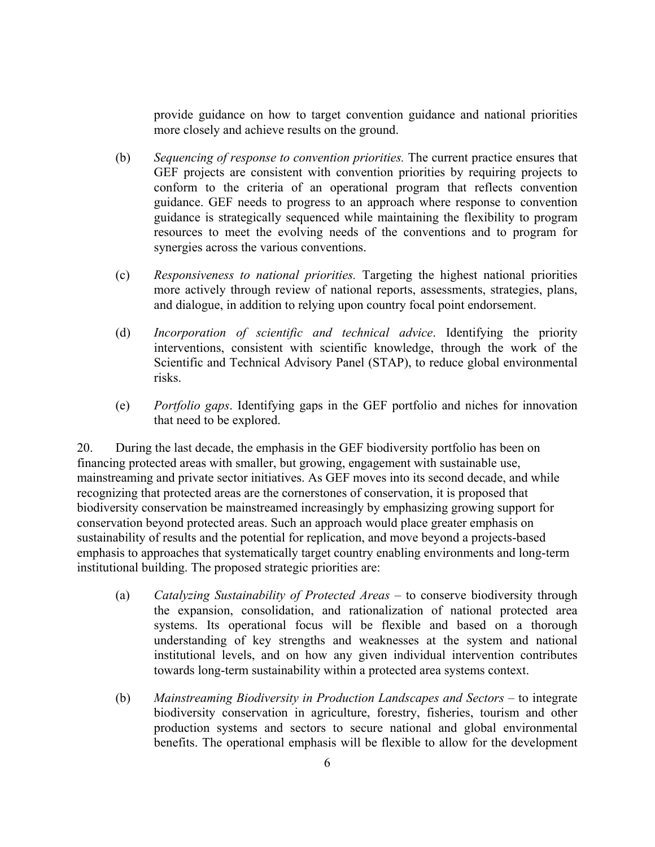provide guidance on how to target convention guidance and national priorities more closely and achieve results on the ground.

- (b) *Sequencing of response to convention priorities.* The current practice ensures that GEF projects are consistent with convention priorities by requiring projects to conform to the criteria of an operational program that reflects convention guidance. GEF needs to progress to an approach where response to convention guidance is strategically sequenced while maintaining the flexibility to program resources to meet the evolving needs of the conventions and to program for synergies across the various conventions.
- (c) *Responsiveness to national priorities.* Targeting the highest national priorities more actively through review of national reports, assessments, strategies, plans, and dialogue, in addition to relying upon country focal point endorsement.
- (d) *Incorporation of scientific and technical advice*. Identifying the priority interventions, consistent with scientific knowledge, through the work of the Scientific and Technical Advisory Panel (STAP), to reduce global environmental risks.
- (e) *Portfolio gaps*. Identifying gaps in the GEF portfolio and niches for innovation that need to be explored.

20. During the last decade, the emphasis in the GEF biodiversity portfolio has been on financing protected areas with smaller, but growing, engagement with sustainable use, mainstreaming and private sector initiatives. As GEF moves into its second decade, and while recognizing that protected areas are the cornerstones of conservation, it is proposed that biodiversity conservation be mainstreamed increasingly by emphasizing growing support for conservation beyond protected areas. Such an approach would place greater emphasis on sustainability of results and the potential for replication, and move beyond a projects-based emphasis to approaches that systematically target country enabling environments and long-term institutional building. The proposed strategic priorities are:

- (a) *Catalyzing Sustainability of Protected Areas*  to conserve biodiversity through the expansion, consolidation, and rationalization of national protected area systems. Its operational focus will be flexible and based on a thorough understanding of key strengths and weaknesses at the system and national institutional levels, and on how any given individual intervention contributes towards long-term sustainability within a protected area systems context.
- (b) *Mainstreaming Biodiversity in Production Landscapes and Sectors* to integrate biodiversity conservation in agriculture, forestry, fisheries, tourism and other production systems and sectors to secure national and global environmental benefits. The operational emphasis will be flexible to allow for the development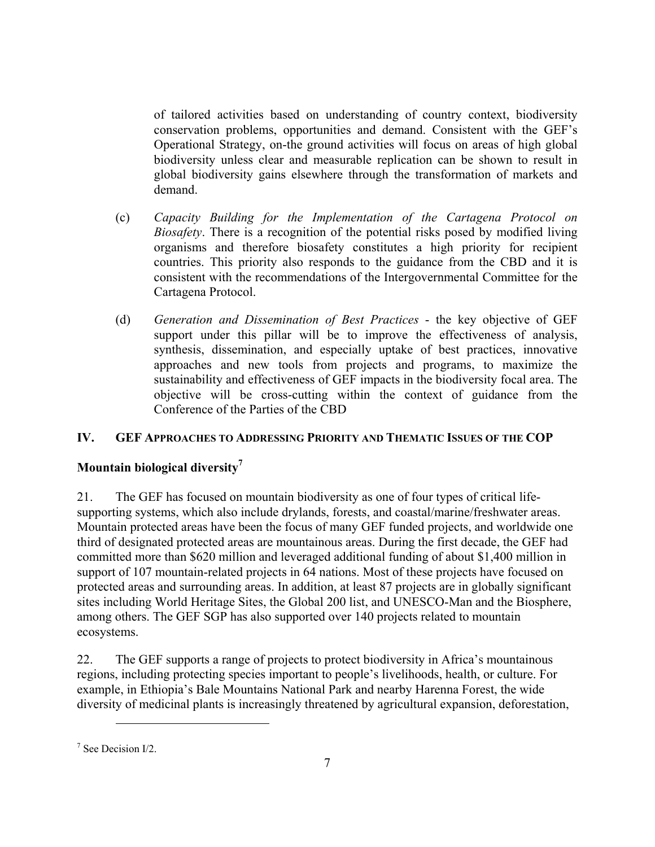of tailored activities based on understanding of country context, biodiversity conservation problems, opportunities and demand. Consistent with the GEF's Operational Strategy, on-the ground activities will focus on areas of high global biodiversity unless clear and measurable replication can be shown to result in global biodiversity gains elsewhere through the transformation of markets and demand.

- (c) *Capacity Building for the Implementation of the Cartagena Protocol on Biosafety*. There is a recognition of the potential risks posed by modified living organisms and therefore biosafety constitutes a high priority for recipient countries. This priority also responds to the guidance from the CBD and it is consistent with the recommendations of the Intergovernmental Committee for the Cartagena Protocol.
- (d) *Generation and Dissemination of Best Practices* the key objective of GEF support under this pillar will be to improve the effectiveness of analysis, synthesis, dissemination, and especially uptake of best practices, innovative approaches and new tools from projects and programs, to maximize the sustainability and effectiveness of GEF impacts in the biodiversity focal area. The objective will be cross-cutting within the context of guidance from the Conference of the Parties of the CBD

## **IV. GEF APPROACHES TO ADDRESSING PRIORITY AND THEMATIC ISSUES OF THE COP**

## **Mountain biological diversity7**

21. The GEF has focused on mountain biodiversity as one of four types of critical lifesupporting systems, which also include drylands, forests, and coastal/marine/freshwater areas. Mountain protected areas have been the focus of many GEF funded projects, and worldwide one third of designated protected areas are mountainous areas. During the first decade, the GEF had committed more than \$620 million and leveraged additional funding of about \$1,400 million in support of 107 mountain-related projects in 64 nations. Most of these projects have focused on protected areas and surrounding areas. In addition, at least 87 projects are in globally significant sites including World Heritage Sites, the Global 200 list, and UNESCO-Man and the Biosphere, among others. The GEF SGP has also supported over 140 projects related to mountain ecosystems.

22. The GEF supports a range of projects to protect biodiversity in Africa's mountainous regions, including protecting species important to people's livelihoods, health, or culture. For example, in Ethiopia's Bale Mountains National Park and nearby Harenna Forest, the wide diversity of medicinal plants is increasingly threatened by agricultural expansion, deforestation,

 $\overline{a}$ 

<sup>7</sup> See Decision I/2.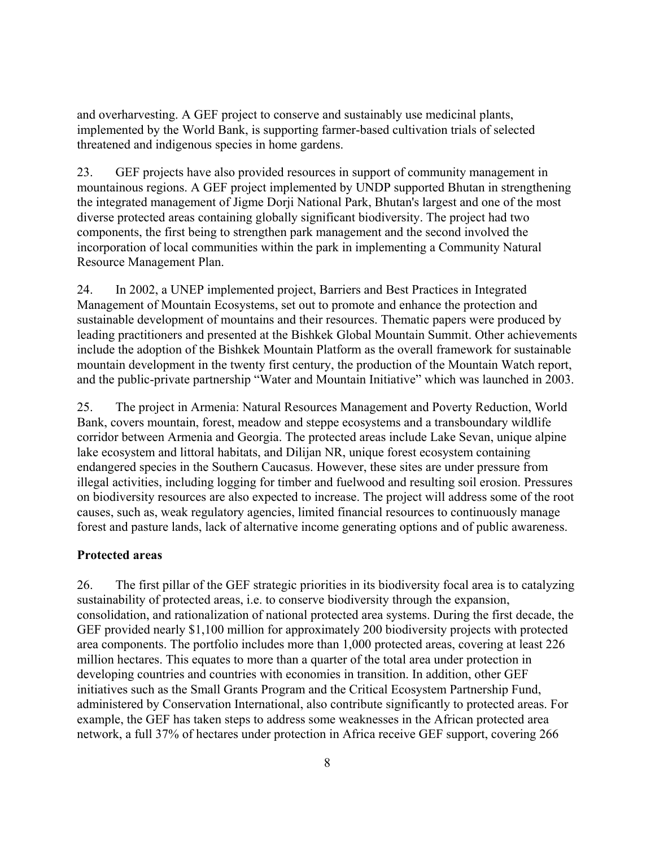and overharvesting. A GEF project to conserve and sustainably use medicinal plants, implemented by the World Bank, is supporting farmer-based cultivation trials of selected threatened and indigenous species in home gardens.

23. GEF projects have also provided resources in support of community management in mountainous regions. A GEF project implemented by UNDP supported Bhutan in strengthening the integrated management of Jigme Dorji National Park, Bhutan's largest and one of the most diverse protected areas containing globally significant biodiversity. The project had two components, the first being to strengthen park management and the second involved the incorporation of local communities within the park in implementing a Community Natural Resource Management Plan.

24. In 2002, a UNEP implemented project, Barriers and Best Practices in Integrated Management of Mountain Ecosystems, set out to promote and enhance the protection and sustainable development of mountains and their resources. Thematic papers were produced by leading practitioners and presented at the Bishkek Global Mountain Summit. Other achievements include the adoption of the Bishkek Mountain Platform as the overall framework for sustainable mountain development in the twenty first century, the production of the Mountain Watch report, and the public-private partnership "Water and Mountain Initiative" which was launched in 2003.

25. The project in Armenia: Natural Resources Management and Poverty Reduction, World Bank, covers mountain, forest, meadow and steppe ecosystems and a transboundary wildlife corridor between Armenia and Georgia. The protected areas include Lake Sevan, unique alpine lake ecosystem and littoral habitats, and Dilijan NR, unique forest ecosystem containing endangered species in the Southern Caucasus. However, these sites are under pressure from illegal activities, including logging for timber and fuelwood and resulting soil erosion. Pressures on biodiversity resources are also expected to increase. The project will address some of the root causes, such as, weak regulatory agencies, limited financial resources to continuously manage forest and pasture lands, lack of alternative income generating options and of public awareness.

### **Protected areas**

26. The first pillar of the GEF strategic priorities in its biodiversity focal area is to catalyzing sustainability of protected areas, i.e. to conserve biodiversity through the expansion, consolidation, and rationalization of national protected area systems. During the first decade, the GEF provided nearly \$1,100 million for approximately 200 biodiversity projects with protected area components. The portfolio includes more than 1,000 protected areas, covering at least 226 million hectares. This equates to more than a quarter of the total area under protection in developing countries and countries with economies in transition. In addition, other GEF initiatives such as the Small Grants Program and the Critical Ecosystem Partnership Fund, administered by Conservation International, also contribute significantly to protected areas. For example, the GEF has taken steps to address some weaknesses in the African protected area network, a full 37% of hectares under protection in Africa receive GEF support, covering 266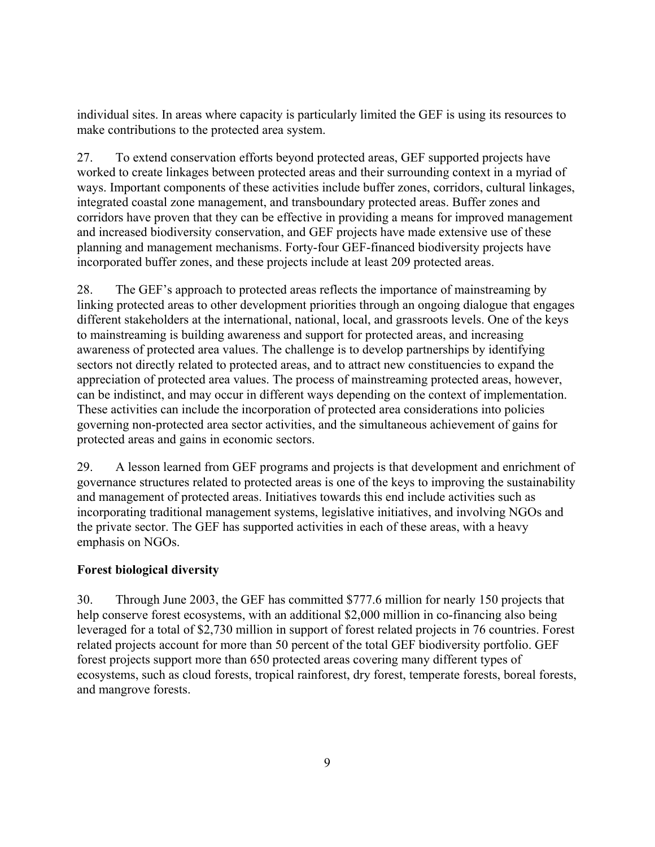individual sites. In areas where capacity is particularly limited the GEF is using its resources to make contributions to the protected area system.

27. To extend conservation efforts beyond protected areas, GEF supported projects have worked to create linkages between protected areas and their surrounding context in a myriad of ways. Important components of these activities include buffer zones, corridors, cultural linkages, integrated coastal zone management, and transboundary protected areas. Buffer zones and corridors have proven that they can be effective in providing a means for improved management and increased biodiversity conservation, and GEF projects have made extensive use of these planning and management mechanisms. Forty-four GEF-financed biodiversity projects have incorporated buffer zones, and these projects include at least 209 protected areas.

28. The GEF's approach to protected areas reflects the importance of mainstreaming by linking protected areas to other development priorities through an ongoing dialogue that engages different stakeholders at the international, national, local, and grassroots levels. One of the keys to mainstreaming is building awareness and support for protected areas, and increasing awareness of protected area values. The challenge is to develop partnerships by identifying sectors not directly related to protected areas, and to attract new constituencies to expand the appreciation of protected area values. The process of mainstreaming protected areas, however, can be indistinct, and may occur in different ways depending on the context of implementation. These activities can include the incorporation of protected area considerations into policies governing non-protected area sector activities, and the simultaneous achievement of gains for protected areas and gains in economic sectors.

29. A lesson learned from GEF programs and projects is that development and enrichment of governance structures related to protected areas is one of the keys to improving the sustainability and management of protected areas. Initiatives towards this end include activities such as incorporating traditional management systems, legislative initiatives, and involving NGOs and the private sector. The GEF has supported activities in each of these areas, with a heavy emphasis on NGOs.

## **Forest biological diversity**

30. Through June 2003, the GEF has committed \$777.6 million for nearly 150 projects that help conserve forest ecosystems, with an additional \$2,000 million in co-financing also being leveraged for a total of \$2,730 million in support of forest related projects in 76 countries. Forest related projects account for more than 50 percent of the total GEF biodiversity portfolio. GEF forest projects support more than 650 protected areas covering many different types of ecosystems, such as cloud forests, tropical rainforest, dry forest, temperate forests, boreal forests, and mangrove forests.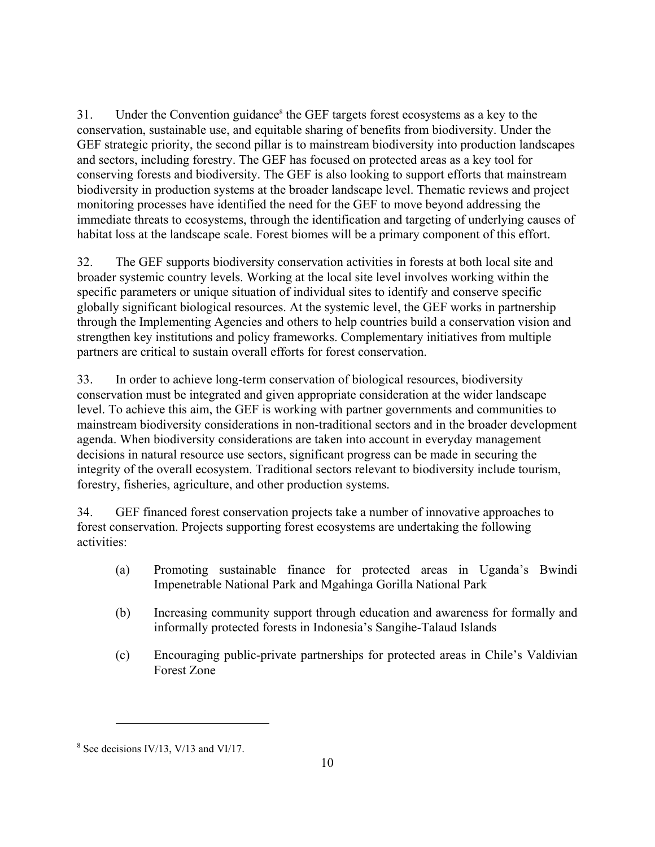31. Under the Convention guidance<sup>8</sup> the GEF targets forest ecosystems as a key to the conservation, sustainable use, and equitable sharing of benefits from biodiversity. Under the GEF strategic priority, the second pillar is to mainstream biodiversity into production landscapes and sectors, including forestry. The GEF has focused on protected areas as a key tool for conserving forests and biodiversity. The GEF is also looking to support efforts that mainstream biodiversity in production systems at the broader landscape level. Thematic reviews and project monitoring processes have identified the need for the GEF to move beyond addressing the immediate threats to ecosystems, through the identification and targeting of underlying causes of habitat loss at the landscape scale. Forest biomes will be a primary component of this effort.

32. The GEF supports biodiversity conservation activities in forests at both local site and broader systemic country levels. Working at the local site level involves working within the specific parameters or unique situation of individual sites to identify and conserve specific globally significant biological resources. At the systemic level, the GEF works in partnership through the Implementing Agencies and others to help countries build a conservation vision and strengthen key institutions and policy frameworks. Complementary initiatives from multiple partners are critical to sustain overall efforts for forest conservation.

33. In order to achieve long-term conservation of biological resources, biodiversity conservation must be integrated and given appropriate consideration at the wider landscape level. To achieve this aim, the GEF is working with partner governments and communities to mainstream biodiversity considerations in non-traditional sectors and in the broader development agenda. When biodiversity considerations are taken into account in everyday management decisions in natural resource use sectors, significant progress can be made in securing the integrity of the overall ecosystem. Traditional sectors relevant to biodiversity include tourism, forestry, fisheries, agriculture, and other production systems.

34. GEF financed forest conservation projects take a number of innovative approaches to forest conservation. Projects supporting forest ecosystems are undertaking the following activities:

- (a) Promoting sustainable finance for protected areas in Uganda's Bwindi Impenetrable National Park and Mgahinga Gorilla National Park
- (b) Increasing community support through education and awareness for formally and informally protected forests in Indonesia's Sangihe-Talaud Islands
- (c) Encouraging public-private partnerships for protected areas in Chile's Valdivian Forest Zone

1

<sup>&</sup>lt;sup>8</sup> See decisions IV/13, V/13 and VI/17.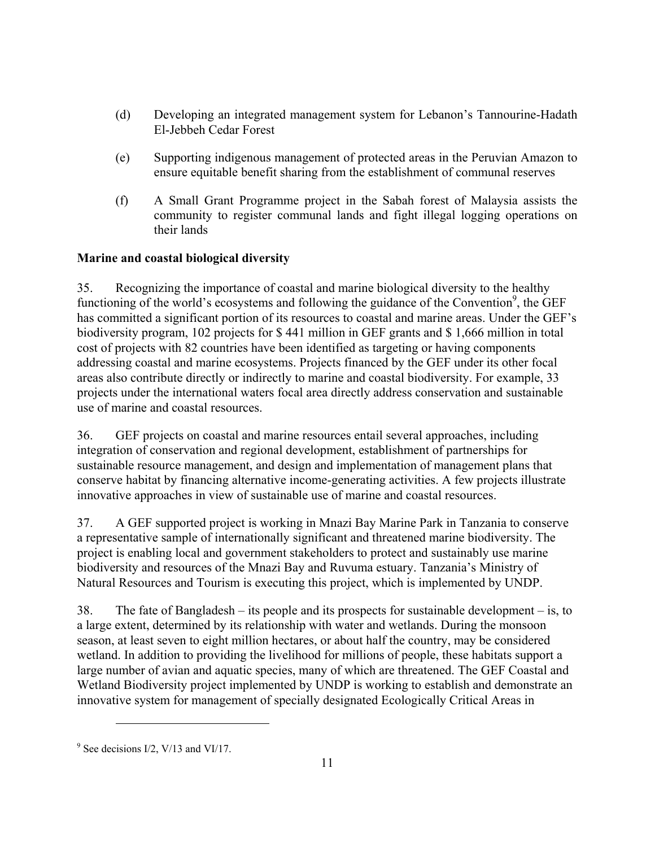- (d) Developing an integrated management system for Lebanon's Tannourine-Hadath El-Jebbeh Cedar Forest
- (e) Supporting indigenous management of protected areas in the Peruvian Amazon to ensure equitable benefit sharing from the establishment of communal reserves
- (f) A Small Grant Programme project in the Sabah forest of Malaysia assists the community to register communal lands and fight illegal logging operations on their lands

## **Marine and coastal biological diversity**

35. Recognizing the importance of coastal and marine biological diversity to the healthy functioning of the world's ecosystems and following the guidance of the Convention<sup>9</sup>, the GEF has committed a significant portion of its resources to coastal and marine areas. Under the GEF's biodiversity program, 102 projects for \$ 441 million in GEF grants and \$ 1,666 million in total cost of projects with 82 countries have been identified as targeting or having components addressing coastal and marine ecosystems. Projects financed by the GEF under its other focal areas also contribute directly or indirectly to marine and coastal biodiversity. For example, 33 projects under the international waters focal area directly address conservation and sustainable use of marine and coastal resources.

36. GEF projects on coastal and marine resources entail several approaches, including integration of conservation and regional development, establishment of partnerships for sustainable resource management, and design and implementation of management plans that conserve habitat by financing alternative income-generating activities. A few projects illustrate innovative approaches in view of sustainable use of marine and coastal resources.

37. A GEF supported project is working in Mnazi Bay Marine Park in Tanzania to conserve a representative sample of internationally significant and threatened marine biodiversity. The project is enabling local and government stakeholders to protect and sustainably use marine biodiversity and resources of the Mnazi Bay and Ruvuma estuary. Tanzania's Ministry of Natural Resources and Tourism is executing this project, which is implemented by UNDP.

38. The fate of Bangladesh – its people and its prospects for sustainable development – is, to a large extent, determined by its relationship with water and wetlands. During the monsoon season, at least seven to eight million hectares, or about half the country, may be considered wetland. In addition to providing the livelihood for millions of people, these habitats support a large number of avian and aquatic species, many of which are threatened. The GEF Coastal and Wetland Biodiversity project implemented by UNDP is working to establish and demonstrate an innovative system for management of specially designated Ecologically Critical Areas in

 $\overline{a}$ 

 $9^9$  See decisions I/2, V/13 and VI/17.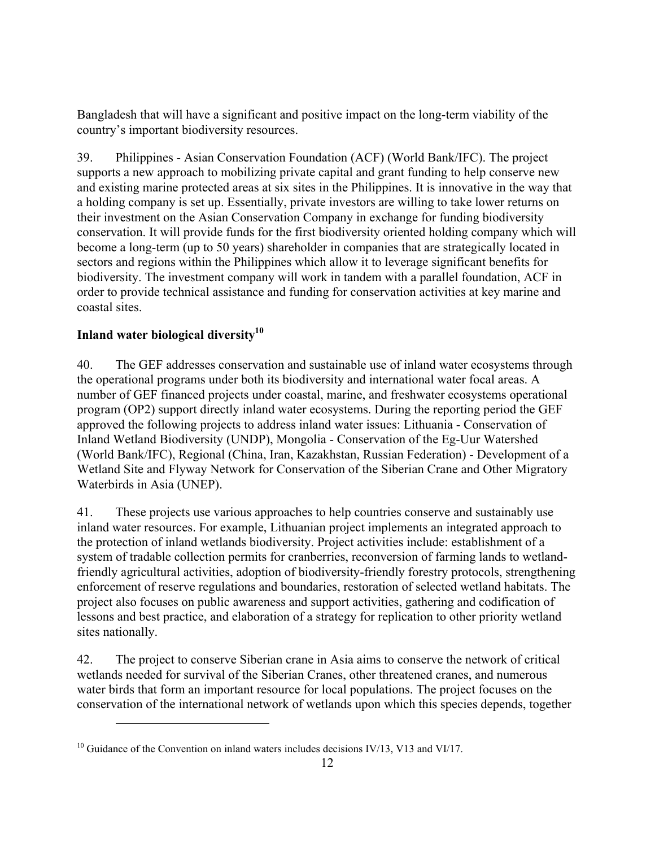Bangladesh that will have a significant and positive impact on the long-term viability of the country's important biodiversity resources.

39. Philippines - Asian Conservation Foundation (ACF) (World Bank/IFC). The project supports a new approach to mobilizing private capital and grant funding to help conserve new and existing marine protected areas at six sites in the Philippines. It is innovative in the way that a holding company is set up. Essentially, private investors are willing to take lower returns on their investment on the Asian Conservation Company in exchange for funding biodiversity conservation. It will provide funds for the first biodiversity oriented holding company which will become a long-term (up to 50 years) shareholder in companies that are strategically located in sectors and regions within the Philippines which allow it to leverage significant benefits for biodiversity. The investment company will work in tandem with a parallel foundation, ACF in order to provide technical assistance and funding for conservation activities at key marine and coastal sites.

## **Inland water biological diversity10**

1

40. The GEF addresses conservation and sustainable use of inland water ecosystems through the operational programs under both its biodiversity and international water focal areas. A number of GEF financed projects under coastal, marine, and freshwater ecosystems operational program (OP2) support directly inland water ecosystems. During the reporting period the GEF approved the following projects to address inland water issues: Lithuania - Conservation of Inland Wetland Biodiversity (UNDP), Mongolia - Conservation of the Eg-Uur Watershed (World Bank/IFC), Regional (China, Iran, Kazakhstan, Russian Federation) - Development of a Wetland Site and Flyway Network for Conservation of the Siberian Crane and Other Migratory Waterbirds in Asia (UNEP).

41. These projects use various approaches to help countries conserve and sustainably use inland water resources. For example, Lithuanian project implements an integrated approach to the protection of inland wetlands biodiversity. Project activities include: establishment of a system of tradable collection permits for cranberries, reconversion of farming lands to wetlandfriendly agricultural activities, adoption of biodiversity-friendly forestry protocols, strengthening enforcement of reserve regulations and boundaries, restoration of selected wetland habitats. The project also focuses on public awareness and support activities, gathering and codification of lessons and best practice, and elaboration of a strategy for replication to other priority wetland sites nationally.

42. The project to conserve Siberian crane in Asia aims to conserve the network of critical wetlands needed for survival of the Siberian Cranes, other threatened cranes, and numerous water birds that form an important resource for local populations. The project focuses on the conservation of the international network of wetlands upon which this species depends, together

<sup>&</sup>lt;sup>10</sup> Guidance of the Convention on inland waters includes decisions IV/13, V13 and VI/17.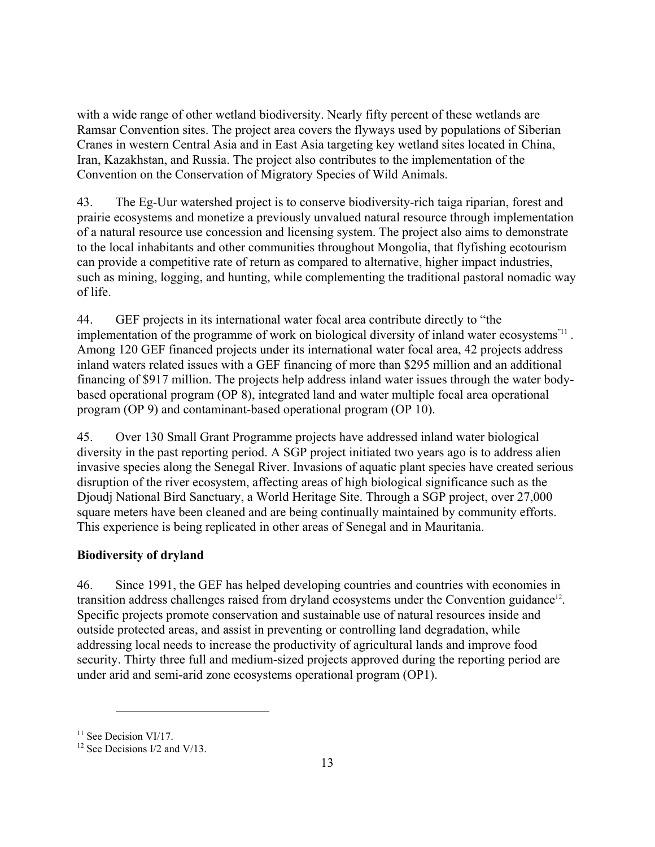with a wide range of other wetland biodiversity. Nearly fifty percent of these wetlands are Ramsar Convention sites. The project area covers the flyways used by populations of Siberian Cranes in western Central Asia and in East Asia targeting key wetland sites located in China, Iran, Kazakhstan, and Russia. The project also contributes to the implementation of the Convention on the Conservation of Migratory Species of Wild Animals.

43. The Eg-Uur watershed project is to conserve biodiversity-rich taiga riparian, forest and prairie ecosystems and monetize a previously unvalued natural resource through implementation of a natural resource use concession and licensing system. The project also aims to demonstrate to the local inhabitants and other communities throughout Mongolia, that flyfishing ecotourism can provide a competitive rate of return as compared to alternative, higher impact industries, such as mining, logging, and hunting, while complementing the traditional pastoral nomadic way of life.

44. GEF projects in its international water focal area contribute directly to "the implementation of the programme of work on biological diversity of inland water ecosystems"11 . Among 120 GEF financed projects under its international water focal area, 42 projects address inland waters related issues with a GEF financing of more than \$295 million and an additional financing of \$917 million. The projects help address inland water issues through the water bodybased operational program (OP 8), integrated land and water multiple focal area operational program (OP 9) and contaminant-based operational program (OP 10).

45. Over 130 Small Grant Programme projects have addressed inland water biological diversity in the past reporting period. A SGP project initiated two years ago is to address alien invasive species along the Senegal River. Invasions of aquatic plant species have created serious disruption of the river ecosystem, affecting areas of high biological significance such as the Djoudj National Bird Sanctuary, a World Heritage Site. Through a SGP project, over 27,000 square meters have been cleaned and are being continually maintained by community efforts. This experience is being replicated in other areas of Senegal and in Mauritania.

## **Biodiversity of dryland**

46. Since 1991, the GEF has helped developing countries and countries with economies in transition address challenges raised from dryland ecosystems under the Convention guidance<sup>12</sup>. Specific projects promote conservation and sustainable use of natural resources inside and outside protected areas, and assist in preventing or controlling land degradation, while addressing local needs to increase the productivity of agricultural lands and improve food security. Thirty three full and medium-sized projects approved during the reporting period are under arid and semi-arid zone ecosystems operational program (OP1).

 $\overline{a}$ 

 $11$  See Decision VI/17.

 $12$  See Decisions I/2 and V/13.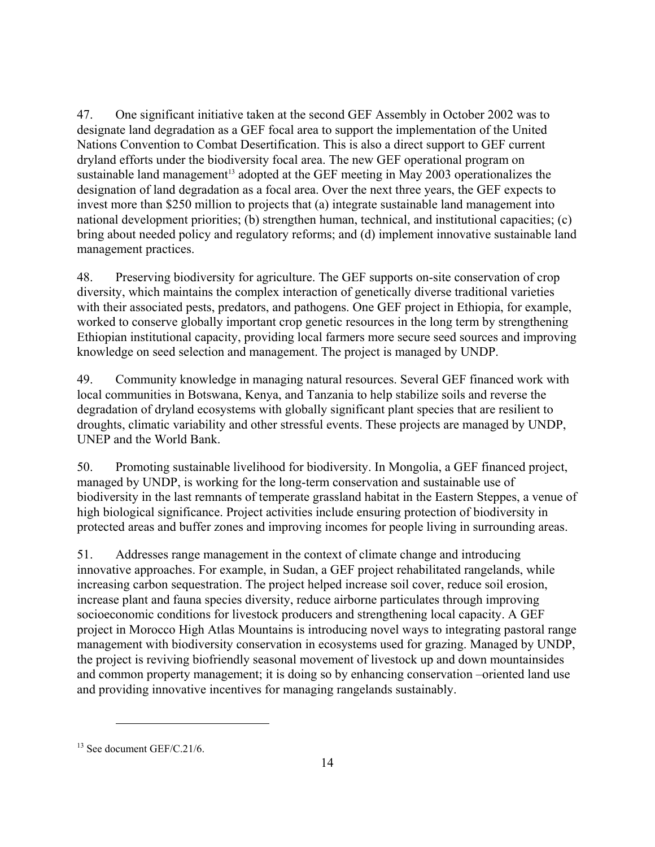47. One significant initiative taken at the second GEF Assembly in October 2002 was to designate land degradation as a GEF focal area to support the implementation of the United Nations Convention to Combat Desertification. This is also a direct support to GEF current dryland efforts under the biodiversity focal area. The new GEF operational program on sustainable land management<sup>13</sup> adopted at the GEF meeting in May 2003 operationalizes the designation of land degradation as a focal area. Over the next three years, the GEF expects to invest more than \$250 million to projects that (a) integrate sustainable land management into national development priorities; (b) strengthen human, technical, and institutional capacities; (c) bring about needed policy and regulatory reforms; and (d) implement innovative sustainable land management practices.

48. Preserving biodiversity for agriculture. The GEF supports on-site conservation of crop diversity, which maintains the complex interaction of genetically diverse traditional varieties with their associated pests, predators, and pathogens. One GEF project in Ethiopia, for example, worked to conserve globally important crop genetic resources in the long term by strengthening Ethiopian institutional capacity, providing local farmers more secure seed sources and improving knowledge on seed selection and management. The project is managed by UNDP.

49. Community knowledge in managing natural resources. Several GEF financed work with local communities in Botswana, Kenya, and Tanzania to help stabilize soils and reverse the degradation of dryland ecosystems with globally significant plant species that are resilient to droughts, climatic variability and other stressful events. These projects are managed by UNDP, UNEP and the World Bank.

50. Promoting sustainable livelihood for biodiversity. In Mongolia, a GEF financed project, managed by UNDP, is working for the long-term conservation and sustainable use of biodiversity in the last remnants of temperate grassland habitat in the Eastern Steppes, a venue of high biological significance. Project activities include ensuring protection of biodiversity in protected areas and buffer zones and improving incomes for people living in surrounding areas.

51. Addresses range management in the context of climate change and introducing innovative approaches. For example, in Sudan, a GEF project rehabilitated rangelands, while increasing carbon sequestration. The project helped increase soil cover, reduce soil erosion, increase plant and fauna species diversity, reduce airborne particulates through improving socioeconomic conditions for livestock producers and strengthening local capacity. A GEF project in Morocco High Atlas Mountains is introducing novel ways to integrating pastoral range management with biodiversity conservation in ecosystems used for grazing. Managed by UNDP, the project is reviving biofriendly seasonal movement of livestock up and down mountainsides and common property management; it is doing so by enhancing conservation –oriented land use and providing innovative incentives for managing rangelands sustainably.

1

<sup>&</sup>lt;sup>13</sup> See document GEF/C.21/6.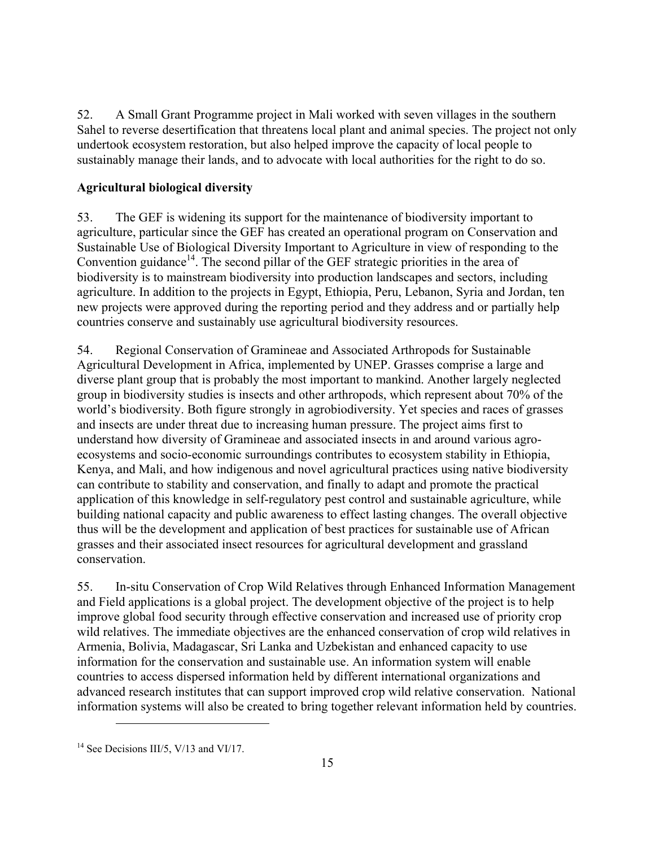52. A Small Grant Programme project in Mali worked with seven villages in the southern Sahel to reverse desertification that threatens local plant and animal species. The project not only undertook ecosystem restoration, but also helped improve the capacity of local people to sustainably manage their lands, and to advocate with local authorities for the right to do so.

## **Agricultural biological diversity**

53. The GEF is widening its support for the maintenance of biodiversity important to agriculture, particular since the GEF has created an operational program on Conservation and Sustainable Use of Biological Diversity Important to Agriculture in view of responding to the Convention guidance<sup>14</sup>. The second pillar of the GEF strategic priorities in the area of biodiversity is to mainstream biodiversity into production landscapes and sectors, including agriculture. In addition to the projects in Egypt, Ethiopia, Peru, Lebanon, Syria and Jordan, ten new projects were approved during the reporting period and they address and or partially help countries conserve and sustainably use agricultural biodiversity resources.

54. Regional Conservation of Gramineae and Associated Arthropods for Sustainable Agricultural Development in Africa, implemented by UNEP. Grasses comprise a large and diverse plant group that is probably the most important to mankind. Another largely neglected group in biodiversity studies is insects and other arthropods, which represent about 70% of the world's biodiversity. Both figure strongly in agrobiodiversity. Yet species and races of grasses and insects are under threat due to increasing human pressure. The project aims first to understand how diversity of Gramineae and associated insects in and around various agroecosystems and socio-economic surroundings contributes to ecosystem stability in Ethiopia, Kenya, and Mali, and how indigenous and novel agricultural practices using native biodiversity can contribute to stability and conservation, and finally to adapt and promote the practical application of this knowledge in self-regulatory pest control and sustainable agriculture, while building national capacity and public awareness to effect lasting changes. The overall objective thus will be the development and application of best practices for sustainable use of African grasses and their associated insect resources for agricultural development and grassland conservation.

55. In-situ Conservation of Crop Wild Relatives through Enhanced Information Management and Field applications is a global project. The development objective of the project is to help improve global food security through effective conservation and increased use of priority crop wild relatives. The immediate objectives are the enhanced conservation of crop wild relatives in Armenia, Bolivia, Madagascar, Sri Lanka and Uzbekistan and enhanced capacity to use information for the conservation and sustainable use. An information system will enable countries to access dispersed information held by different international organizations and advanced research institutes that can support improved crop wild relative conservation. National information systems will also be created to bring together relevant information held by countries.

1

<sup>&</sup>lt;sup>14</sup> See Decisions III/5, V/13 and VI/17.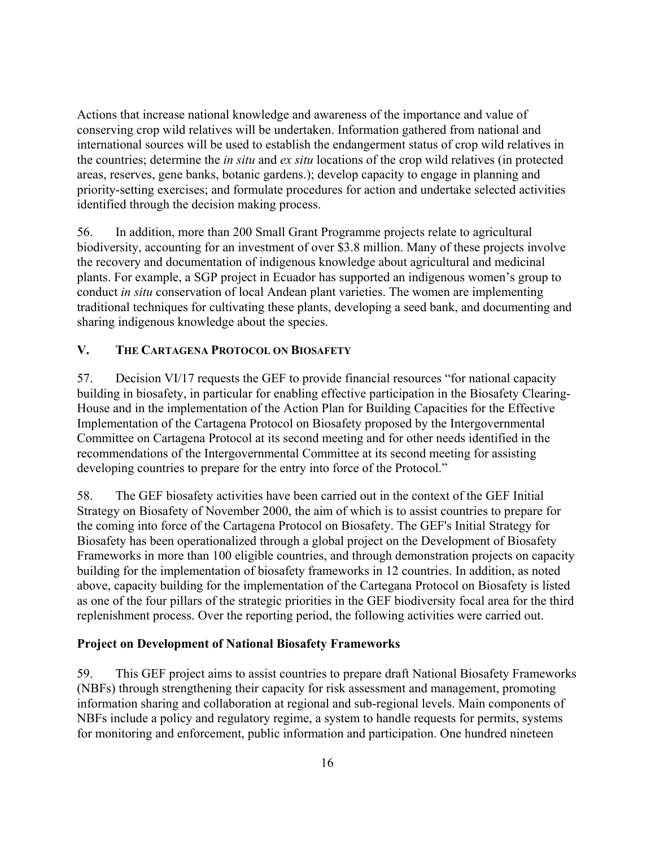Actions that increase national knowledge and awareness of the importance and value of conserving crop wild relatives will be undertaken. Information gathered from national and international sources will be used to establish the endangerment status of crop wild relatives in the countries; determine the *in situ* and *ex situ* locations of the crop wild relatives (in protected areas, reserves, gene banks, botanic gardens.); develop capacity to engage in planning and priority-setting exercises; and formulate procedures for action and undertake selected activities identified through the decision making process.

56. In addition, more than 200 Small Grant Programme projects relate to agricultural biodiversity, accounting for an investment of over \$3.8 million. Many of these projects involve the recovery and documentation of indigenous knowledge about agricultural and medicinal plants. For example, a SGP project in Ecuador has supported an indigenous women's group to conduct *in situ* conservation of local Andean plant varieties. The women are implementing traditional techniques for cultivating these plants, developing a seed bank, and documenting and sharing indigenous knowledge about the species.

### **V. THE CARTAGENA PROTOCOL ON BIOSAFETY**

57. Decision VI/17 requests the GEF to provide financial resources "for national capacity building in biosafety, in particular for enabling effective participation in the Biosafety Clearing-House and in the implementation of the Action Plan for Building Capacities for the Effective Implementation of the Cartagena Protocol on Biosafety proposed by the Intergovernmental Committee on Cartagena Protocol at its second meeting and for other needs identified in the recommendations of the Intergovernmental Committee at its second meeting for assisting developing countries to prepare for the entry into force of the Protocol."

58. The GEF biosafety activities have been carried out in the context of the GEF Initial Strategy on Biosafety of November 2000, the aim of which is to assist countries to prepare for the coming into force of the Cartagena Protocol on Biosafety. The GEF's Initial Strategy for Biosafety has been operationalized through a global project on the Development of Biosafety Frameworks in more than 100 eligible countries, and through demonstration projects on capacity building for the implementation of biosafety frameworks in 12 countries. In addition, as noted above, capacity building for the implementation of the Cartegana Protocol on Biosafety is listed as one of the four pillars of the strategic priorities in the GEF biodiversity focal area for the third replenishment process. Over the reporting period, the following activities were carried out.

### **Project on Development of National Biosafety Frameworks**

59. This GEF project aims to assist countries to prepare draft National Biosafety Frameworks (NBFs) through strengthening their capacity for risk assessment and management, promoting information sharing and collaboration at regional and sub-regional levels. Main components of NBFs include a policy and regulatory regime, a system to handle requests for permits, systems for monitoring and enforcement, public information and participation. One hundred nineteen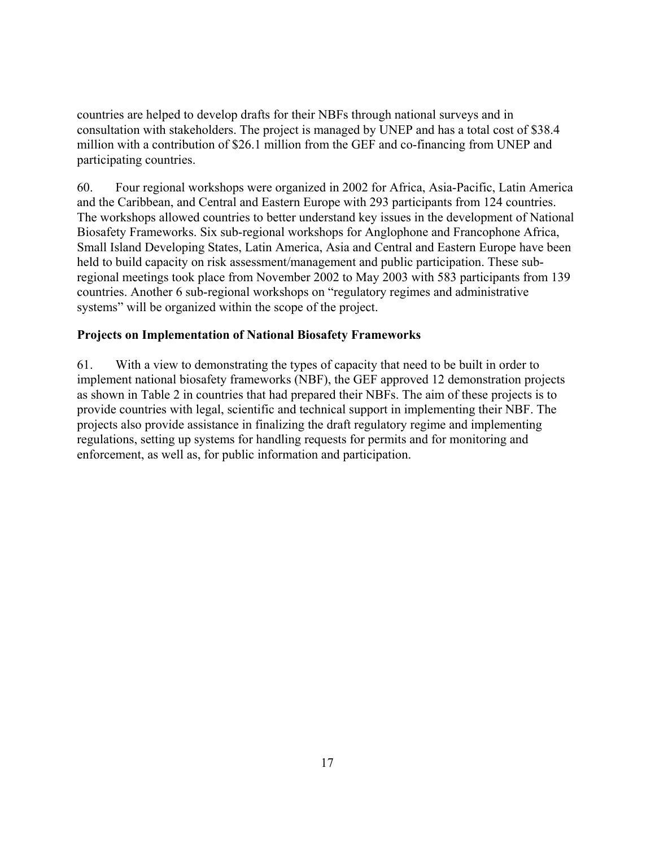countries are helped to develop drafts for their NBFs through national surveys and in consultation with stakeholders. The project is managed by UNEP and has a total cost of \$38.4 million with a contribution of \$26.1 million from the GEF and co-financing from UNEP and participating countries.

60. Four regional workshops were organized in 2002 for Africa, Asia-Pacific, Latin America and the Caribbean, and Central and Eastern Europe with 293 participants from 124 countries. The workshops allowed countries to better understand key issues in the development of National Biosafety Frameworks. Six sub-regional workshops for Anglophone and Francophone Africa, Small Island Developing States, Latin America, Asia and Central and Eastern Europe have been held to build capacity on risk assessment/management and public participation. These subregional meetings took place from November 2002 to May 2003 with 583 participants from 139 countries. Another 6 sub-regional workshops on "regulatory regimes and administrative systems" will be organized within the scope of the project.

## **Projects on Implementation of National Biosafety Frameworks**

61. With a view to demonstrating the types of capacity that need to be built in order to implement national biosafety frameworks (NBF), the GEF approved 12 demonstration projects as shown in Table 2 in countries that had prepared their NBFs. The aim of these projects is to provide countries with legal, scientific and technical support in implementing their NBF. The projects also provide assistance in finalizing the draft regulatory regime and implementing regulations, setting up systems for handling requests for permits and for monitoring and enforcement, as well as, for public information and participation.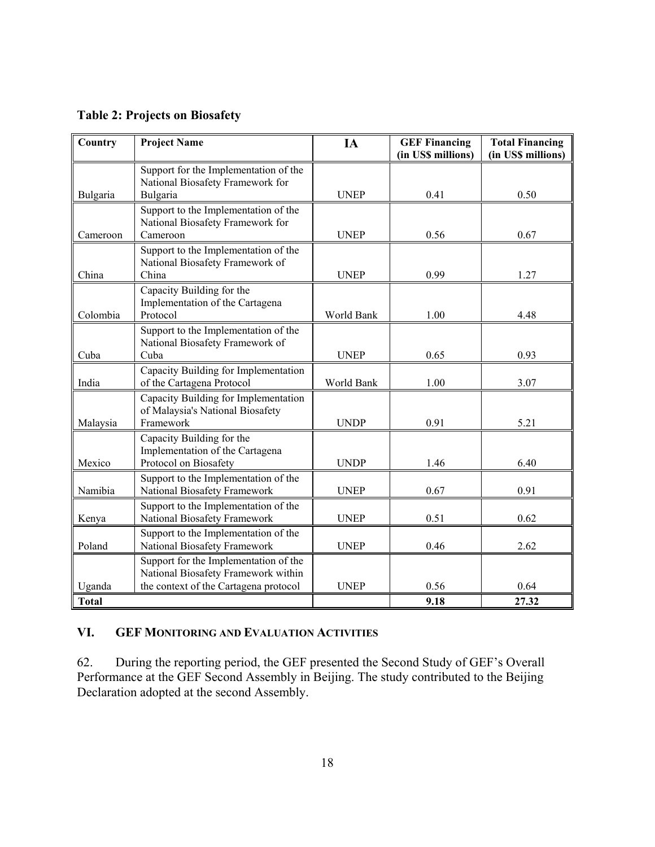## **Table 2: Projects on Biosafety**

| Country      | <b>Project Name</b>                                                                                                   | IA          | <b>GEF Financing</b><br>(in US\$ millions) | <b>Total Financing</b><br>(in US\$ millions) |
|--------------|-----------------------------------------------------------------------------------------------------------------------|-------------|--------------------------------------------|----------------------------------------------|
| Bulgaria     | Support for the Implementation of the<br>National Biosafety Framework for<br>Bulgaria                                 | <b>UNEP</b> | 0.41                                       | 0.50                                         |
| Cameroon     | Support to the Implementation of the<br>National Biosafety Framework for<br>Cameroon                                  | <b>UNEP</b> | 0.56                                       | 0.67                                         |
| China        | Support to the Implementation of the<br>National Biosafety Framework of<br>China                                      | <b>UNEP</b> | 0.99                                       | 1.27                                         |
| Colombia     | Capacity Building for the<br>Implementation of the Cartagena<br>Protocol                                              | World Bank  | 1.00                                       | 4.48                                         |
| Cuba         | Support to the Implementation of the<br>National Biosafety Framework of<br>Cuba                                       | <b>UNEP</b> | 0.65                                       | 0.93                                         |
| India        | Capacity Building for Implementation<br>of the Cartagena Protocol                                                     | World Bank  | 1.00                                       | 3.07                                         |
| Malaysia     | Capacity Building for Implementation<br>of Malaysia's National Biosafety<br>Framework                                 | <b>UNDP</b> | 0.91                                       | 5.21                                         |
| Mexico       | Capacity Building for the<br>Implementation of the Cartagena<br>Protocol on Biosafety                                 | <b>UNDP</b> | 1.46                                       | 6.40                                         |
| Namibia      | Support to the Implementation of the<br>National Biosafety Framework                                                  | <b>UNEP</b> | 0.67                                       | 0.91                                         |
| Kenya        | Support to the Implementation of the<br>National Biosafety Framework                                                  | <b>UNEP</b> | 0.51                                       | 0.62                                         |
| Poland       | Support to the Implementation of the<br>National Biosafety Framework                                                  | <b>UNEP</b> | 0.46                                       | 2.62                                         |
| Uganda       | Support for the Implementation of the<br>National Biosafety Framework within<br>the context of the Cartagena protocol | <b>UNEP</b> | 0.56                                       | 0.64                                         |
| <b>Total</b> |                                                                                                                       |             | 9.18                                       | 27.32                                        |

## **VI. GEF MONITORING AND EVALUATION ACTIVITIES**

62. During the reporting period, the GEF presented the Second Study of GEF's Overall Performance at the GEF Second Assembly in Beijing. The study contributed to the Beijing Declaration adopted at the second Assembly.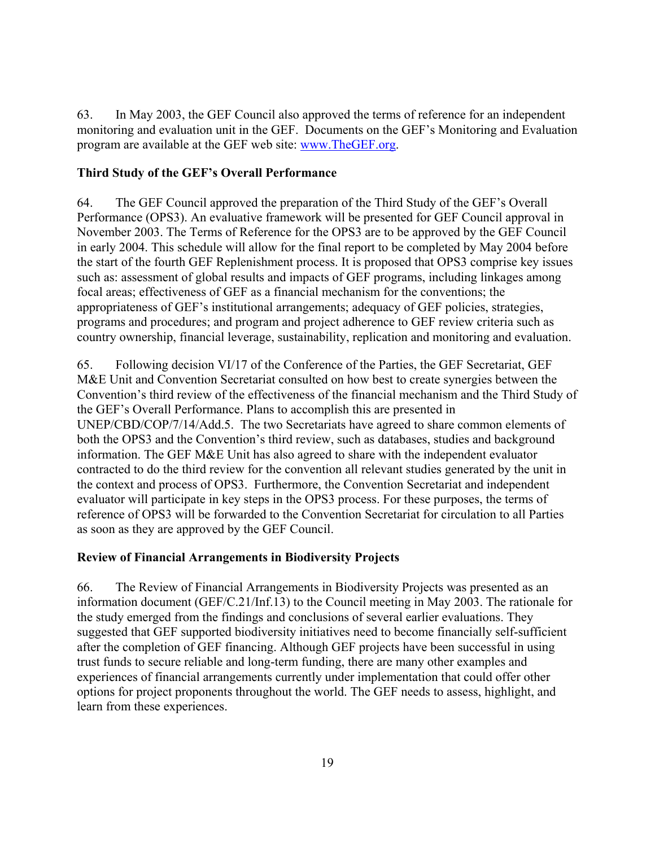63. In May 2003, the GEF Council also approved the terms of reference for an independent monitoring and evaluation unit in the GEF. Documents on the GEF's Monitoring and Evaluation program are available at the GEF web site: www.TheGEF.org.

### **Third Study of the GEF's Overall Performance**

64. The GEF Council approved the preparation of the Third Study of the GEF's Overall Performance (OPS3). An evaluative framework will be presented for GEF Council approval in November 2003. The Terms of Reference for the OPS3 are to be approved by the GEF Council in early 2004. This schedule will allow for the final report to be completed by May 2004 before the start of the fourth GEF Replenishment process. It is proposed that OPS3 comprise key issues such as: assessment of global results and impacts of GEF programs, including linkages among focal areas; effectiveness of GEF as a financial mechanism for the conventions; the appropriateness of GEF's institutional arrangements; adequacy of GEF policies, strategies, programs and procedures; and program and project adherence to GEF review criteria such as country ownership, financial leverage, sustainability, replication and monitoring and evaluation.

65. Following decision VI/17 of the Conference of the Parties, the GEF Secretariat, GEF M&E Unit and Convention Secretariat consulted on how best to create synergies between the Convention's third review of the effectiveness of the financial mechanism and the Third Study of the GEF's Overall Performance. Plans to accomplish this are presented in UNEP/CBD/COP/7/14/Add.5. The two Secretariats have agreed to share common elements of both the OPS3 and the Convention's third review, such as databases, studies and background information. The GEF M&E Unit has also agreed to share with the independent evaluator contracted to do the third review for the convention all relevant studies generated by the unit in the context and process of OPS3. Furthermore, the Convention Secretariat and independent evaluator will participate in key steps in the OPS3 process. For these purposes, the terms of reference of OPS3 will be forwarded to the Convention Secretariat for circulation to all Parties as soon as they are approved by the GEF Council.

### **Review of Financial Arrangements in Biodiversity Projects**

66. The Review of Financial Arrangements in Biodiversity Projects was presented as an information document (GEF/C.21/Inf.13) to the Council meeting in May 2003. The rationale for the study emerged from the findings and conclusions of several earlier evaluations. They suggested that GEF supported biodiversity initiatives need to become financially self-sufficient after the completion of GEF financing. Although GEF projects have been successful in using trust funds to secure reliable and long-term funding, there are many other examples and experiences of financial arrangements currently under implementation that could offer other options for project proponents throughout the world. The GEF needs to assess, highlight, and learn from these experiences.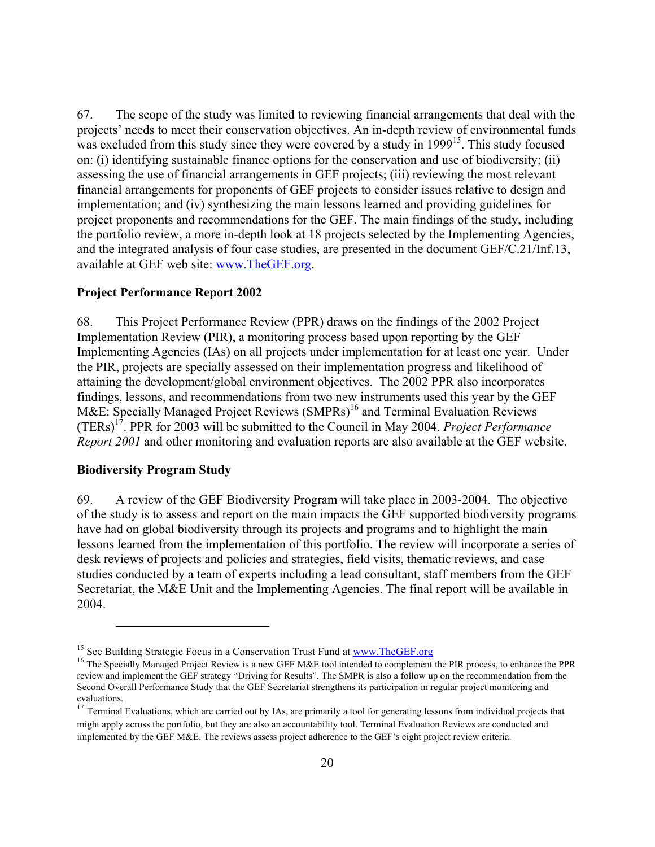67. The scope of the study was limited to reviewing financial arrangements that deal with the projects' needs to meet their conservation objectives. An in-depth review of environmental funds was excluded from this study since they were covered by a study in  $1999^{15}$ . This study focused on: (i) identifying sustainable finance options for the conservation and use of biodiversity; (ii) assessing the use of financial arrangements in GEF projects; (iii) reviewing the most relevant financial arrangements for proponents of GEF projects to consider issues relative to design and implementation; and (iv) synthesizing the main lessons learned and providing guidelines for project proponents and recommendations for the GEF. The main findings of the study, including the portfolio review, a more in-depth look at 18 projects selected by the Implementing Agencies, and the integrated analysis of four case studies, are presented in the document GEF/C.21/Inf.13, available at GEF web site: www.TheGEF.org.

#### **Project Performance Report 2002**

68. This Project Performance Review (PPR) draws on the findings of the 2002 Project Implementation Review (PIR), a monitoring process based upon reporting by the GEF Implementing Agencies (IAs) on all projects under implementation for at least one year. Under the PIR, projects are specially assessed on their implementation progress and likelihood of attaining the development/global environment objectives. The 2002 PPR also incorporates findings, lessons, and recommendations from two new instruments used this year by the GEF M&E: Specially Managed Project Reviews (SMPRs)<sup>16</sup> and Terminal Evaluation Reviews (TERs)17. PPR for 2003 will be submitted to the Council in May 2004. *Project Performance Report 2001* and other monitoring and evaluation reports are also available at the GEF website.

#### **Biodiversity Program Study**

 $\overline{a}$ 

69. A review of the GEF Biodiversity Program will take place in 2003-2004. The objective of the study is to assess and report on the main impacts the GEF supported biodiversity programs have had on global biodiversity through its projects and programs and to highlight the main lessons learned from the implementation of this portfolio. The review will incorporate a series of desk reviews of projects and policies and strategies, field visits, thematic reviews, and case studies conducted by a team of experts including a lead consultant, staff members from the GEF Secretariat, the M&E Unit and the Implementing Agencies. The final report will be available in 2004.

<sup>&</sup>lt;sup>15</sup> See Building Strategic Focus in a Conservation Trust Fund at  $\underline{www. The GEF.org}$ <br><sup>16</sup> The Specially Managed Project Review is a new GEF M&E tool intended to complement the PIR process, to enhance the PPR review and implement the GEF strategy "Driving for Results". The SMPR is also a follow up on the recommendation from the Second Overall Performance Study that the GEF Secretariat strengthens its participation in regular project monitoring and evaluations.<br><sup>17</sup> Terminal Evaluations, which are carried out by IAs, are primarily a tool for generating lessons from individual projects that

might apply across the portfolio, but they are also an accountability tool. Terminal Evaluation Reviews are conducted and implemented by the GEF M&E. The reviews assess project adherence to the GEF's eight project review criteria.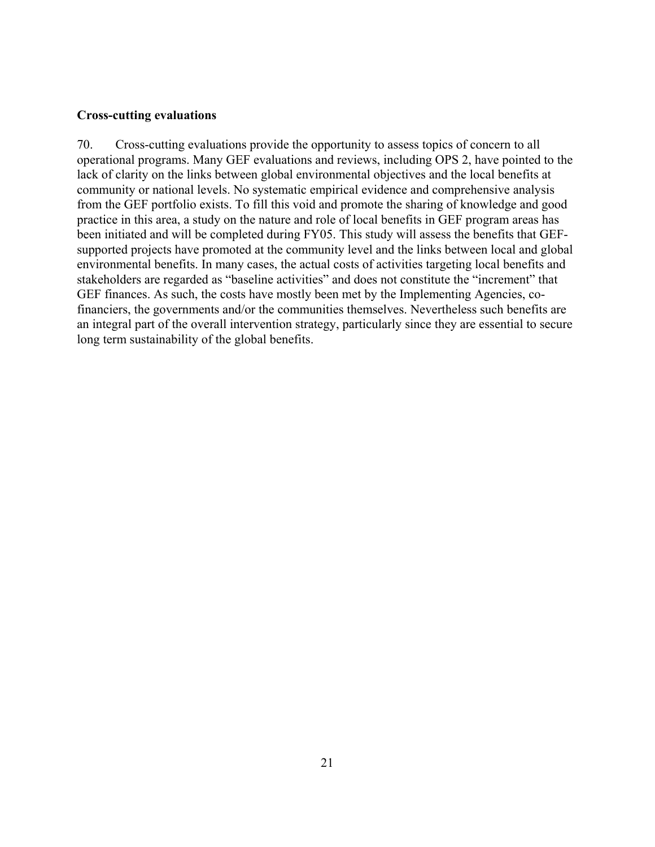### **Cross-cutting evaluations**

70. Cross-cutting evaluations provide the opportunity to assess topics of concern to all operational programs. Many GEF evaluations and reviews, including OPS 2, have pointed to the lack of clarity on the links between global environmental objectives and the local benefits at community or national levels. No systematic empirical evidence and comprehensive analysis from the GEF portfolio exists. To fill this void and promote the sharing of knowledge and good practice in this area, a study on the nature and role of local benefits in GEF program areas has been initiated and will be completed during FY05. This study will assess the benefits that GEFsupported projects have promoted at the community level and the links between local and global environmental benefits. In many cases, the actual costs of activities targeting local benefits and stakeholders are regarded as "baseline activities" and does not constitute the "increment" that GEF finances. As such, the costs have mostly been met by the Implementing Agencies, cofinanciers, the governments and/or the communities themselves. Nevertheless such benefits are an integral part of the overall intervention strategy, particularly since they are essential to secure long term sustainability of the global benefits.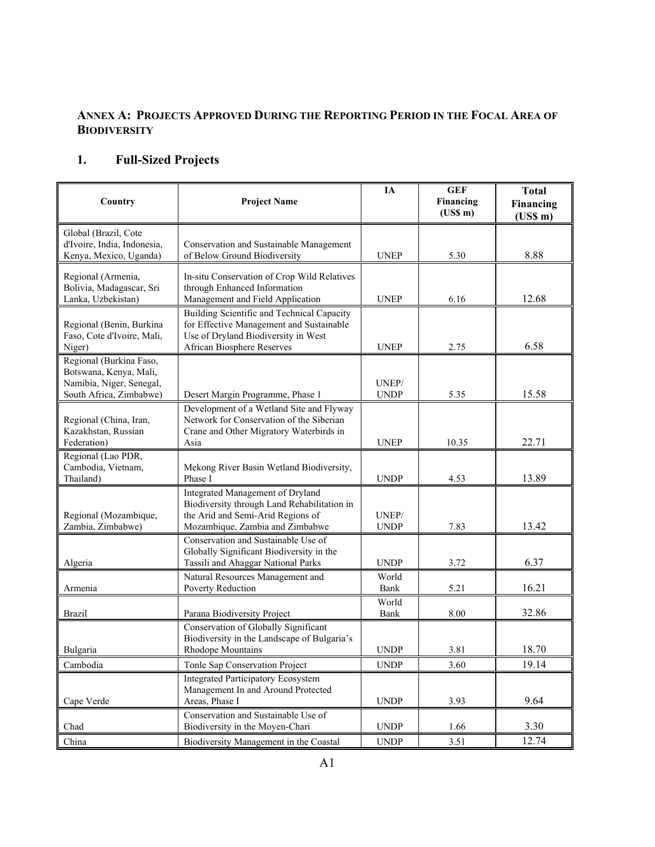## **ANNEX A: PROJECTS APPROVED DURING THE REPORTING PERIOD IN THE FOCAL AREA OF BIODIVERSITY**

## **1. Full-Sized Projects**

| Country                                                                                                  | <b>Project Name</b>                                                                                                                                         | IA                   | <b>GEF</b><br>Financing<br>(USS m) | <b>Total</b><br>Financing<br>(US\$ m) |
|----------------------------------------------------------------------------------------------------------|-------------------------------------------------------------------------------------------------------------------------------------------------------------|----------------------|------------------------------------|---------------------------------------|
| Global (Brazil, Cote<br>d'Ivoire, India, Indonesia,<br>Kenya, Mexico, Uganda)                            | Conservation and Sustainable Management<br>of Below Ground Biodiversity                                                                                     | <b>UNEP</b>          | 5.30                               | 8.88                                  |
| Regional (Armenia,<br>Bolivia, Madagascar, Sri<br>Lanka, Uzbekistan)                                     | In-situ Conservation of Crop Wild Relatives<br>through Enhanced Information<br>Management and Field Application                                             | <b>UNEP</b>          | 6.16                               | 12.68                                 |
| Regional (Benin, Burkina<br>Faso, Cote d'Ivoire, Mali,<br>Niger)                                         | Building Scientific and Technical Capacity<br>for Effective Management and Sustainable<br>Use of Dryland Biodiversity in West<br>African Biosphere Reserves | <b>UNEP</b>          | 2.75                               | 6.58                                  |
| Regional (Burkina Faso,<br>Botswana, Kenya, Mali,<br>Namibia, Niger, Senegal,<br>South Africa, Zimbabwe) | Desert Margin Programme, Phase 1                                                                                                                            | UNEP/<br><b>UNDP</b> | 5.35                               | 15.58                                 |
| Regional (China, Iran,<br>Kazakhstan, Russian<br>Federation)                                             | Development of a Wetland Site and Flyway<br>Network for Conservation of the Siberian<br>Crane and Other Migratory Waterbirds in<br>Asia                     | <b>UNEP</b>          | 10.35                              | 22.71                                 |
| Regional (Lao PDR,<br>Cambodia, Vietnam,<br>Thailand)                                                    | Mekong River Basin Wetland Biodiversity,<br>Phase I                                                                                                         | <b>UNDP</b>          | 4.53                               | 13.89                                 |
| Regional (Mozambique,<br>Zambia, Zimbabwe)                                                               | Integrated Management of Dryland<br>Biodiversity through Land Rehabilitation in<br>the Arid and Semi-Arid Regions of<br>Mozambique, Zambia and Zimbabwe     | UNEP/<br><b>UNDP</b> | 7.83                               | 13.42                                 |
| Algeria                                                                                                  | Conservation and Sustainable Use of<br>Globally Significant Biodiversity in the<br>Tassili and Ahaggar National Parks                                       | <b>UNDP</b>          | 3.72                               | 6.37                                  |
| Armenia                                                                                                  | Natural Resources Management and<br>Poverty Reduction                                                                                                       | World<br>Bank        | 5.21                               | 16.21                                 |
| <b>Brazil</b>                                                                                            | Parana Biodiversity Project                                                                                                                                 | World<br>Bank        | 8.00                               | 32.86                                 |
| Bulgaria                                                                                                 | Conservation of Globally Significant<br>Biodiversity in the Landscape of Bulgaria's<br>Rhodope Mountains                                                    | <b>UNDP</b>          | 3.81                               | 18.70                                 |
| Cambodia                                                                                                 | Tonle Sap Conservation Project                                                                                                                              | <b>UNDP</b>          | 3.60                               | 19.14                                 |
| Cape Verde                                                                                               | <b>Integrated Participatory Ecosystem</b><br>Management In and Around Protected<br>Areas, Phase I                                                           | <b>UNDP</b>          | 3.93                               | 9.64                                  |
| Chad                                                                                                     | Conservation and Sustainable Use of<br>Biodiversity in the Moyen-Chari                                                                                      | <b>UNDP</b>          | 1.66                               | 3.30                                  |
| China                                                                                                    | Biodiversity Management in the Coastal                                                                                                                      | <b>UNDP</b>          | 3.51                               | 12.74                                 |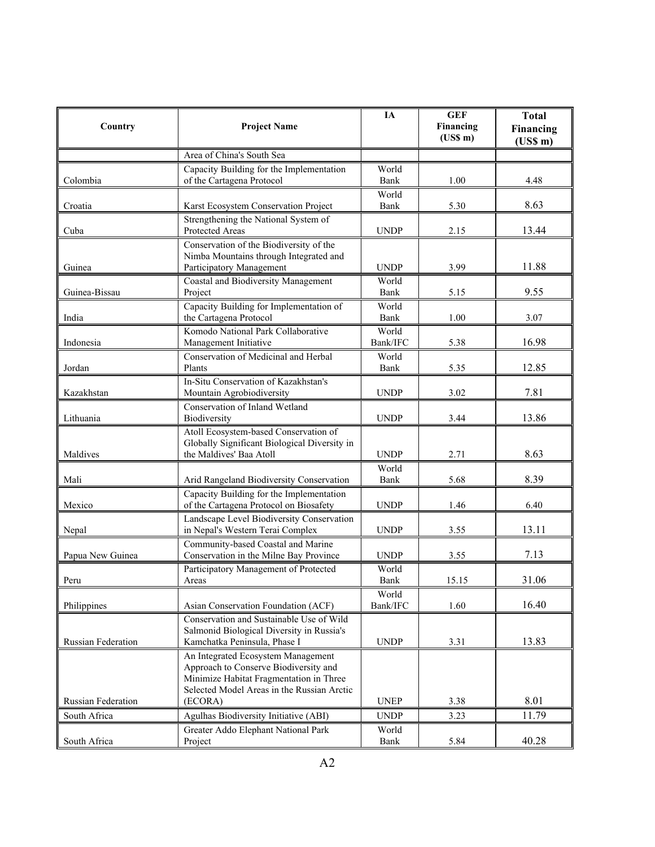| Country            | <b>Project Name</b>                                                                                                    | IA                | <b>GEF</b><br>Financing<br>(US\$ m) | <b>Total</b><br>Financing<br>(US\$ m) |
|--------------------|------------------------------------------------------------------------------------------------------------------------|-------------------|-------------------------------------|---------------------------------------|
|                    | Area of China's South Sea                                                                                              |                   |                                     |                                       |
| Colombia           | Capacity Building for the Implementation<br>of the Cartagena Protocol                                                  | World<br>Bank     | 1.00                                | 4.48                                  |
| Croatia            | Karst Ecosystem Conservation Project                                                                                   | World<br>Bank     | 5.30                                | 8.63                                  |
| Cuba               | Strengthening the National System of<br>Protected Areas                                                                | <b>UNDP</b>       | 2.15                                | 13.44                                 |
| Guinea             | Conservation of the Biodiversity of the<br>Nimba Mountains through Integrated and<br>Participatory Management          | <b>UNDP</b>       | 3.99                                | 11.88                                 |
| Guinea-Bissau      | Coastal and Biodiversity Management<br>Project                                                                         | World<br>Bank     | 5.15                                | 9.55                                  |
| India              | Capacity Building for Implementation of<br>the Cartagena Protocol                                                      | World<br>Bank     | 1.00                                | 3.07                                  |
| Indonesia          | Komodo National Park Collaborative<br>Management Initiative                                                            | World<br>Bank/IFC | 5.38                                | 16.98                                 |
| Jordan             | Conservation of Medicinal and Herbal<br>Plants                                                                         | World<br>Bank     | 5.35                                | 12.85                                 |
| Kazakhstan         | In-Situ Conservation of Kazakhstan's<br>Mountain Agrobiodiversity                                                      | <b>UNDP</b>       | 3.02                                | 7.81                                  |
| Lithuania          | Conservation of Inland Wetland<br>Biodiversity                                                                         | <b>UNDP</b>       | 3.44                                | 13.86                                 |
| Maldives           | Atoll Ecosystem-based Conservation of<br>Globally Significant Biological Diversity in<br>the Maldives' Baa Atoll       | <b>UNDP</b>       | 2.71                                | 8.63                                  |
| Mali               | Arid Rangeland Biodiversity Conservation                                                                               | World<br>Bank     | 5.68                                | 8.39                                  |
| Mexico             | Capacity Building for the Implementation<br>of the Cartagena Protocol on Biosafety                                     | <b>UNDP</b>       | 1.46                                | 6.40                                  |
| Nepal              | Landscape Level Biodiversity Conservation<br>in Nepal's Western Terai Complex                                          | <b>UNDP</b>       | 3.55                                | 13.11                                 |
| Papua New Guinea   | Community-based Coastal and Marine<br>Conservation in the Milne Bay Province                                           | <b>UNDP</b>       | 3.55                                | 7.13                                  |
| Peru               | Participatory Management of Protected<br>Areas                                                                         | World<br>Bank     | 15.15                               | 31.06                                 |
| Philippines        | Asian Conservation Foundation (ACF)                                                                                    | World<br>Bank/IFC | 1.60                                | 16.40                                 |
| Russian Federation | Conservation and Sustainable Use of Wild<br>Salmonid Biological Diversity in Russia's<br>Kamchatka Peninsula, Phase I  | <b>UNDP</b>       | 3.31                                | 13.83                                 |
|                    | An Integrated Ecosystem Management<br>Approach to Conserve Biodiversity and<br>Minimize Habitat Fragmentation in Three |                   |                                     |                                       |
| Russian Federation | Selected Model Areas in the Russian Arctic<br>(ECORA)                                                                  | <b>UNEP</b>       | 3.38                                | 8.01                                  |
| South Africa       | Agulhas Biodiversity Initiative (ABI)                                                                                  | <b>UNDP</b>       | 3.23                                | 11.79                                 |
| South Africa       | Greater Addo Elephant National Park<br>Project                                                                         | World<br>Bank     | 5.84                                | 40.28                                 |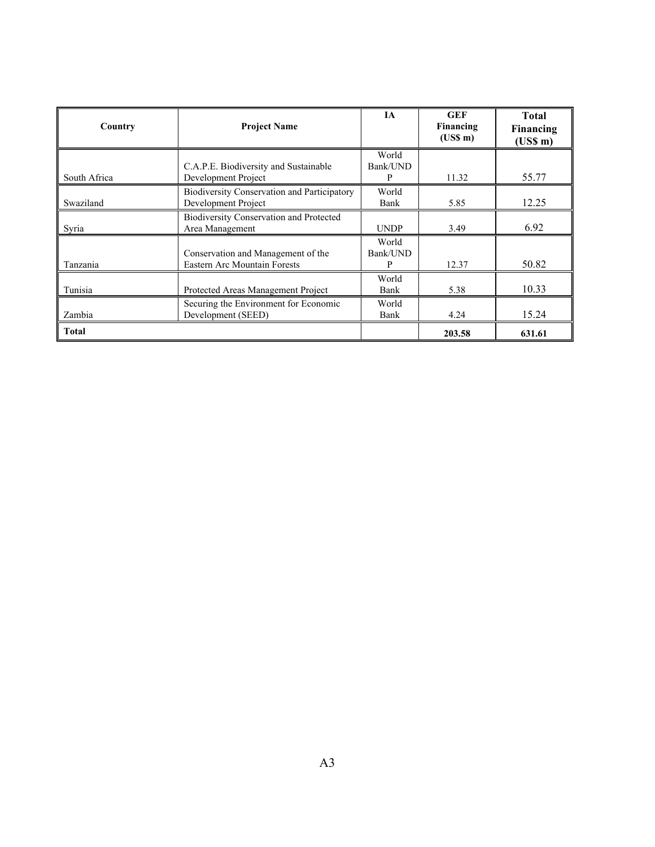| Country      | <b>Project Name</b>                                                       | <b>IA</b>              | <b>GEF</b><br>Financing<br>(US\$ m) | <b>Total</b><br>Financing<br>(US\$ m) |
|--------------|---------------------------------------------------------------------------|------------------------|-------------------------------------|---------------------------------------|
| South Africa | C.A.P.E. Biodiversity and Sustainable<br>Development Project              | World<br>Bank/UND<br>P | 11.32                               | 55.77                                 |
| Swaziland    | Biodiversity Conservation and Participatory<br>Development Project        | World<br>Bank          | 5.85                                | 12.25                                 |
| Syria        | <b>Biodiversity Conservation and Protected</b><br>Area Management         | <b>UNDP</b>            | 3.49                                | 6.92                                  |
| Tanzania     | Conservation and Management of the<br><b>Eastern Arc Mountain Forests</b> | World<br>Bank/UND<br>P | 12.37                               | 50.82                                 |
| Tunisia      | Protected Areas Management Project                                        | World<br>Bank          | 5.38                                | 10.33                                 |
| Zambia       | Securing the Environment for Economic<br>Development (SEED)               | World<br>Bank          | 4.24                                | 15.24                                 |
| <b>Total</b> |                                                                           |                        | 203.58                              | 631.61                                |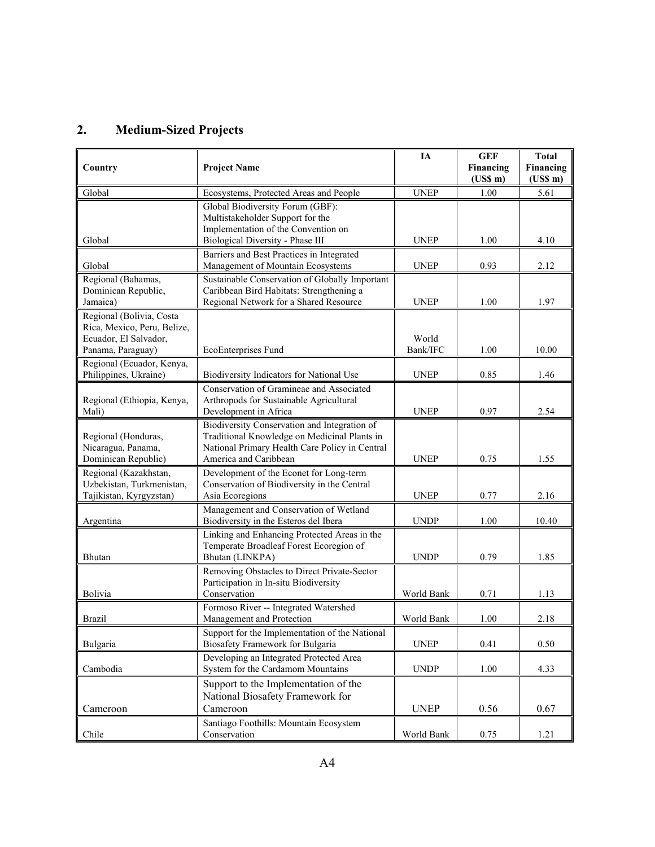## **2. Medium-Sized Projects**

L

| Country                                                                          | <b>Project Name</b>                                                                          | IA          | <b>GEF</b><br><b>Financing</b> | <b>Total</b><br>Financing |
|----------------------------------------------------------------------------------|----------------------------------------------------------------------------------------------|-------------|--------------------------------|---------------------------|
|                                                                                  |                                                                                              |             | (USS <sub>m</sub> )            | (US\$ m)                  |
| Global                                                                           | Ecosystems, Protected Areas and People                                                       | <b>UNEP</b> | 1.00                           | 5.61                      |
|                                                                                  | Global Biodiversity Forum (GBF):<br>Multistakeholder Support for the                         |             |                                |                           |
|                                                                                  | Implementation of the Convention on                                                          |             |                                |                           |
| Global                                                                           | Biological Diversity - Phase III                                                             | <b>UNEP</b> | 1.00                           | 4.10                      |
| Global                                                                           | Barriers and Best Practices in Integrated<br>Management of Mountain Ecosystems               | <b>UNEP</b> | 0.93                           | 2.12                      |
| Regional (Bahamas,                                                               | Sustainable Conservation of Globally Important                                               |             |                                |                           |
| Dominican Republic,                                                              | Caribbean Bird Habitats: Strengthening a                                                     |             |                                |                           |
| Jamaica)                                                                         | Regional Network for a Shared Resource                                                       | <b>UNEP</b> | 1.00                           | 1.97                      |
| Regional (Bolivia, Costa<br>Rica, Mexico, Peru, Belize,<br>Ecuador, El Salvador, |                                                                                              | World       |                                |                           |
| Panama, Paraguay)                                                                | EcoEnterprises Fund                                                                          | Bank/IFC    | 1.00                           | 10.00                     |
| Regional (Ecuador, Kenya,                                                        |                                                                                              |             |                                |                           |
| Philippines, Ukraine)                                                            | Biodiversity Indicators for National Use                                                     | <b>UNEP</b> | 0.85                           | 1.46                      |
|                                                                                  | Conservation of Gramineae and Associated                                                     |             |                                |                           |
| Regional (Ethiopia, Kenya,                                                       | Arthropods for Sustainable Agricultural                                                      |             |                                |                           |
| Mali)                                                                            | Development in Africa                                                                        | <b>UNEP</b> | 0.97                           | 2.54                      |
| Regional (Honduras,                                                              | Biodiversity Conservation and Integration of<br>Traditional Knowledge on Medicinal Plants in |             |                                |                           |
| Nicaragua, Panama,                                                               | National Primary Health Care Policy in Central                                               |             |                                |                           |
| Dominican Republic)                                                              | America and Caribbean                                                                        | <b>UNEP</b> | 0.75                           | 1.55                      |
| Regional (Kazakhstan,                                                            | Development of the Econet for Long-term                                                      |             |                                |                           |
| Uzbekistan, Turkmenistan,                                                        | Conservation of Biodiversity in the Central                                                  |             |                                |                           |
| Tajikistan, Kyrgyzstan)                                                          | Asia Ecoregions                                                                              | <b>UNEP</b> | 0.77                           | 2.16                      |
| Argentina                                                                        | Management and Conservation of Wetland<br>Biodiversity in the Esteros del Ibera              | <b>UNDP</b> | 1.00                           | 10.40                     |
|                                                                                  | Linking and Enhancing Protected Areas in the                                                 |             |                                |                           |
|                                                                                  | Temperate Broadleaf Forest Ecoregion of                                                      |             |                                |                           |
| Bhutan                                                                           | Bhutan (LINKPA)                                                                              | <b>UNDP</b> | 0.79                           | 1.85                      |
|                                                                                  | Removing Obstacles to Direct Private-Sector                                                  |             |                                |                           |
| Bolivia                                                                          | Participation in In-situ Biodiversity<br>Conservation                                        | World Bank  | 0.71                           | 1.13                      |
|                                                                                  | Formoso River -- Integrated Watershed                                                        |             |                                |                           |
| Brazil                                                                           | Management and Protection                                                                    | World Bank  | 1.00                           | 2.18                      |
|                                                                                  | Support for the Implementation of the National                                               |             |                                |                           |
| Bulgaria                                                                         | Biosafety Framework for Bulgaria                                                             | <b>UNEP</b> | 0.41                           | 0.50                      |
|                                                                                  | Developing an Integrated Protected Area                                                      |             |                                |                           |
| Cambodia                                                                         | System for the Cardamom Mountains                                                            | <b>UNDP</b> | 1.00                           | 4.33                      |
|                                                                                  | Support to the Implementation of the                                                         |             |                                |                           |
|                                                                                  | National Biosafety Framework for                                                             |             |                                |                           |
| Cameroon                                                                         | Cameroon                                                                                     | <b>UNEP</b> | 0.56                           | 0.67                      |
| Chile                                                                            | Santiago Foothills: Mountain Ecosystem<br>Conservation                                       | World Bank  | 0.75                           | 1.21                      |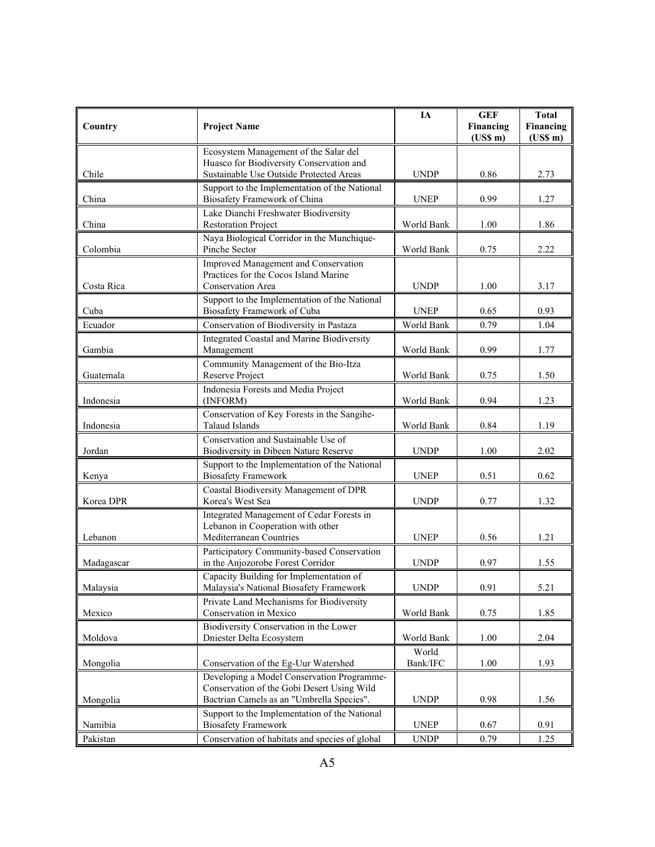| Country    | <b>Project Name</b>                                                                                                                   | IA                | <b>GEF</b><br>Financing<br>(US\$ m) | <b>Total</b><br><b>Financing</b><br>(US\$ m) |
|------------|---------------------------------------------------------------------------------------------------------------------------------------|-------------------|-------------------------------------|----------------------------------------------|
| Chile      | Ecosystem Management of the Salar del<br>Huasco for Biodiversity Conservation and<br>Sustainable Use Outside Protected Areas          | <b>UNDP</b>       | 0.86                                | 2.73                                         |
| China      | Support to the Implementation of the National<br>Biosafety Framework of China                                                         | <b>UNEP</b>       | 0.99                                | 1.27                                         |
| China      | Lake Dianchi Freshwater Biodiversity<br><b>Restoration Project</b>                                                                    | World Bank        | 1.00                                | 1.86                                         |
| Colombia   | Naya Biological Corridor in the Munchique-<br>Pinche Sector                                                                           | World Bank        | 0.75                                | 2.22                                         |
| Costa Rica | Improved Management and Conservation<br>Practices for the Cocos Island Marine<br>Conservation Area                                    | <b>UNDP</b>       | 1.00                                | 3.17                                         |
| Cuba       | Support to the Implementation of the National<br>Biosafety Framework of Cuba                                                          | <b>UNEP</b>       | 0.65                                | 0.93                                         |
| Ecuador    | Conservation of Biodiversity in Pastaza                                                                                               | World Bank        | 0.79                                | 1.04                                         |
| Gambia     | Integrated Coastal and Marine Biodiversity<br>Management                                                                              | World Bank        | 0.99                                | 1.77                                         |
| Guatemala  | Community Management of the Bio-Itza<br>Reserve Project                                                                               | World Bank        | 0.75                                | 1.50                                         |
| Indonesia  | Indonesia Forests and Media Project<br>(INFORM)                                                                                       | World Bank        | 0.94                                | 1.23                                         |
| Indonesia  | Conservation of Key Forests in the Sangihe-<br><b>Talaud Islands</b>                                                                  | World Bank        | 0.84                                | 1.19                                         |
| Jordan     | Conservation and Sustainable Use of<br>Biodiversity in Dibeen Nature Reserve                                                          | <b>UNDP</b>       | 1.00                                | 2.02                                         |
| Kenya      | Support to the Implementation of the National<br><b>Biosafety Framework</b>                                                           | <b>UNEP</b>       | 0.51                                | 0.62                                         |
| Korea DPR  | Coastal Biodiversity Management of DPR<br>Korea's West Sea                                                                            | <b>UNDP</b>       | 0.77                                | 1.32                                         |
| Lebanon    | Integrated Management of Cedar Forests in<br>Lebanon in Cooperation with other<br>Mediterranean Countries                             | <b>UNEP</b>       | 0.56                                | 1.21                                         |
| Madagascar | Participatory Community-based Conservation<br>in the Anjozorobe Forest Corridor                                                       | <b>UNDP</b>       | 0.97                                | 1.55                                         |
| Malaysia   | Capacity Building for Implementation of<br>Malaysia's National Biosafety Framework                                                    | <b>UNDP</b>       | 0.91                                | 5.21                                         |
| Mexico     | Private Land Mechanisms for Biodiversity<br>Conservation in Mexico                                                                    | World Bank        | 0.75                                | 1.85                                         |
| Moldova    | Biodiversity Conservation in the Lower<br>Dniester Delta Ecosystem                                                                    | World Bank        | 1.00                                | 2.04                                         |
| Mongolia   | Conservation of the Eg-Uur Watershed                                                                                                  | World<br>Bank/IFC | 1.00                                | 1.93                                         |
| Mongolia   | Developing a Model Conservation Programme-<br>Conservation of the Gobi Desert Using Wild<br>Bactrian Camels as an "Umbrella Species". | <b>UNDP</b>       | 0.98                                | 1.56                                         |
| Namibia    | Support to the Implementation of the National<br><b>Biosafety Framework</b>                                                           | <b>UNEP</b>       | 0.67                                | 0.91                                         |
| Pakistan   | Conservation of habitats and species of global                                                                                        | <b>UNDP</b>       | 0.79                                | 1.25                                         |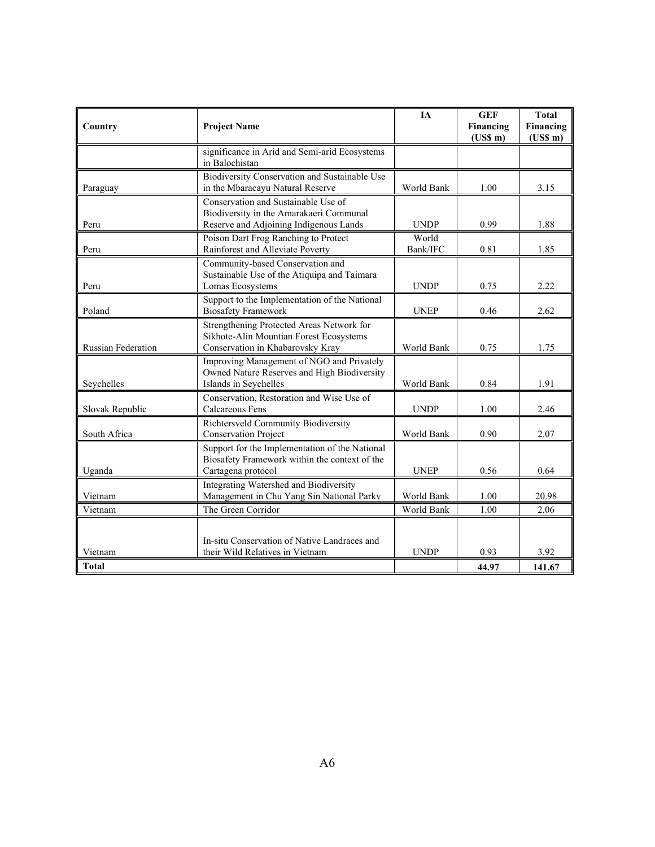| Country                   | <b>Project Name</b>                                                                                                      | IA                | <b>GEF</b><br>Financing<br>(US\$ m) | <b>Total</b><br>Financing<br>(US\$ m) |
|---------------------------|--------------------------------------------------------------------------------------------------------------------------|-------------------|-------------------------------------|---------------------------------------|
|                           | significance in Arid and Semi-arid Ecosystems<br>in Balochistan                                                          |                   |                                     |                                       |
| Paraguay                  | Biodiversity Conservation and Sustainable Use<br>in the Mbaracayu Natural Reserve                                        | World Bank        | 1.00                                | 3.15                                  |
| Peru                      | Conservation and Sustainable Use of<br>Biodiversity in the Amarakaeri Communal<br>Reserve and Adjoining Indigenous Lands | <b>UNDP</b>       | 0.99                                | 1.88                                  |
| Peru                      | Poison Dart Frog Ranching to Protect<br>Rainforest and Alleviate Poverty                                                 | World<br>Bank/IFC | 0.81                                | 1.85                                  |
| Peru                      | Community-based Conservation and<br>Sustainable Use of the Atiquipa and Taimara<br>Lomas Ecosystems                      | <b>UNDP</b>       | 0.75                                | 2.22                                  |
| Poland                    | Support to the Implementation of the National<br><b>Biosafety Framework</b>                                              | <b>UNEP</b>       | 0.46                                | 2.62                                  |
| <b>Russian Federation</b> | Strengthening Protected Areas Network for<br>Sikhote-Alin Mountian Forest Ecosystems<br>Conservation in Khabarovsky Kray | World Bank        | 0.75                                | 1.75                                  |
| Seychelles                | Improving Management of NGO and Privately<br>Owned Nature Reserves and High Biodiversity<br>Islands in Seychelles        | World Bank        | 0.84                                | 1.91                                  |
| Slovak Republic           | Conservation, Restoration and Wise Use of<br>Calcareous Fens                                                             | <b>UNDP</b>       | 1.00                                | 2.46                                  |
| South Africa              | Richtersveld Community Biodiversity<br><b>Conservation Project</b>                                                       | World Bank        | 0.90                                | 2.07                                  |
| Uganda                    | Support for the Implementation of the National<br>Biosafety Framework within the context of the<br>Cartagena protocol    | <b>UNEP</b>       | 0.56                                | 0.64                                  |
| Vietnam                   | Integrating Watershed and Biodiversity<br>Management in Chu Yang Sin National Parkv                                      | World Bank        | 1.00                                | 20.98                                 |
| Vietnam                   | The Green Corridor                                                                                                       | World Bank        | 1.00                                | 2.06                                  |
| Vietnam<br><b>Total</b>   | In-situ Conservation of Native Landraces and<br>their Wild Relatives in Vietnam                                          | <b>UNDP</b>       | 0.93<br>44.97                       | 3.92<br>141.67                        |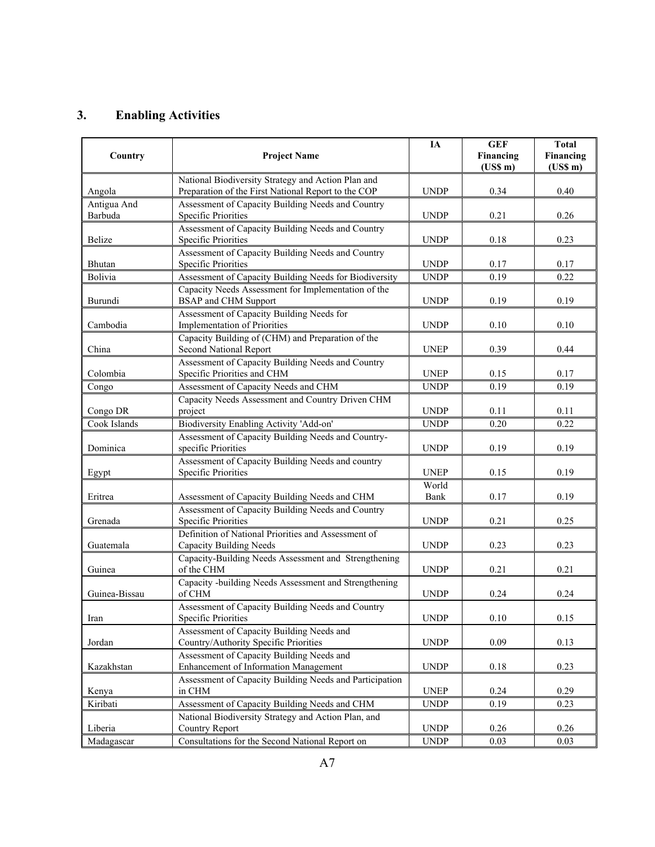## **3. Enabling Activities**

| Country       | <b>Project Name</b>                                                                | IA          | <b>GEF</b><br>Financing<br>(USS <sub>m</sub> ) | <b>Total</b><br>Financing<br>(USS m) |
|---------------|------------------------------------------------------------------------------------|-------------|------------------------------------------------|--------------------------------------|
|               | National Biodiversity Strategy and Action Plan and                                 |             |                                                |                                      |
| Angola        | Preparation of the First National Report to the COP                                | <b>UNDP</b> | 0.34                                           | 0.40                                 |
| Antigua And   | Assessment of Capacity Building Needs and Country                                  |             |                                                |                                      |
| Barbuda       | <b>Specific Priorities</b>                                                         | <b>UNDP</b> | 0.21                                           | 0.26                                 |
|               | Assessment of Capacity Building Needs and Country                                  |             |                                                |                                      |
| Belize        | <b>Specific Priorities</b>                                                         | <b>UNDP</b> | 0.18                                           | 0.23                                 |
|               | Assessment of Capacity Building Needs and Country                                  |             |                                                |                                      |
| Bhutan        | <b>Specific Priorities</b>                                                         | <b>UNDP</b> | 0.17                                           | 0.17                                 |
| Bolivia       | Assessment of Capacity Building Needs for Biodiversity                             | <b>UNDP</b> | 0.19                                           | 0.22                                 |
| Burundi       | Capacity Needs Assessment for Implementation of the<br><b>BSAP</b> and CHM Support | <b>UNDP</b> | 0.19                                           | 0.19                                 |
| Cambodia      | Assessment of Capacity Building Needs for<br>Implementation of Priorities          | <b>UNDP</b> | 0.10                                           | 0.10                                 |
| China         | Capacity Building of (CHM) and Preparation of the<br>Second National Report        | <b>UNEP</b> | 0.39                                           | 0.44                                 |
| Colombia      | Assessment of Capacity Building Needs and Country<br>Specific Priorities and CHM   | <b>UNEP</b> | 0.15                                           | 0.17                                 |
| Congo         | Assessment of Capacity Needs and CHM                                               | <b>UNDP</b> | 0.19                                           | 0.19                                 |
| Congo DR      | Capacity Needs Assessment and Country Driven CHM<br>project                        | <b>UNDP</b> | 0.11                                           | 0.11                                 |
| Cook Islands  | Biodiversity Enabling Activity 'Add-on'                                            | <b>UNDP</b> | 0.20                                           | 0.22                                 |
|               | Assessment of Capacity Building Needs and Country-                                 |             |                                                |                                      |
| Dominica      | specific Priorities                                                                | <b>UNDP</b> | 0.19                                           | 0.19                                 |
| Egypt         | Assessment of Capacity Building Needs and country<br><b>Specific Priorities</b>    | <b>UNEP</b> | 0.15                                           | 0.19                                 |
|               |                                                                                    | World       |                                                |                                      |
| Eritrea       | Assessment of Capacity Building Needs and CHM                                      | Bank        | 0.17                                           | 0.19                                 |
| Grenada       | Assessment of Capacity Building Needs and Country<br><b>Specific Priorities</b>    | <b>UNDP</b> | 0.21                                           | 0.25                                 |
|               | Definition of National Priorities and Assessment of                                |             |                                                |                                      |
| Guatemala     | <b>Capacity Building Needs</b>                                                     | <b>UNDP</b> | 0.23                                           | 0.23                                 |
| Guinea        | Capacity-Building Needs Assessment and Strengthening<br>of the CHM                 | <b>UNDP</b> | 0.21                                           | 0.21                                 |
| Guinea-Bissau | Capacity -building Needs Assessment and Strengthening<br>of CHM                    | <b>UNDP</b> | 0.24                                           | 0.24                                 |
| Iran          | Assessment of Capacity Building Needs and Country<br><b>Specific Priorities</b>    | <b>UNDP</b> | 0.10                                           | 0.15                                 |
| Jordan        | Assessment of Capacity Building Needs and<br>Country/Authority Specific Priorities | <b>UNDP</b> | 0.09                                           | 0.13                                 |
| Kazakhstan    | Assessment of Capacity Building Needs and<br>Enhancement of Information Management | <b>UNDP</b> | $0.18\,$                                       | 0.23                                 |
| Kenya         | Assessment of Capacity Building Needs and Participation<br>in CHM                  | <b>UNEP</b> | 0.24                                           | 0.29                                 |
| Kiribati      | Assessment of Capacity Building Needs and CHM                                      | <b>UNDP</b> | 0.19                                           | 0.23                                 |
|               | National Biodiversity Strategy and Action Plan, and                                |             |                                                |                                      |
| Liberia       | Country Report                                                                     | <b>UNDP</b> | 0.26                                           | 0.26                                 |
| Madagascar    | Consultations for the Second National Report on                                    | <b>UNDP</b> | 0.03                                           | 0.03                                 |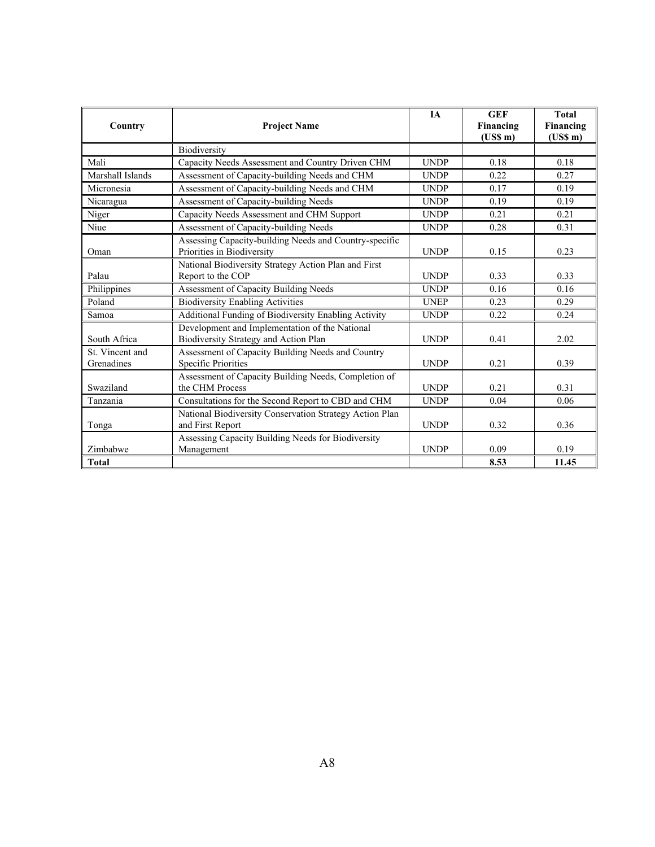| Country                       | <b>Project Name</b>                                                                     | <b>IA</b>   | <b>GEF</b><br>Financing<br>(USS <sub>m</sub> ) | <b>Total</b><br>Financing<br>(US\$ m) |
|-------------------------------|-----------------------------------------------------------------------------------------|-------------|------------------------------------------------|---------------------------------------|
|                               | Biodiversity                                                                            |             |                                                |                                       |
| Mali                          | Capacity Needs Assessment and Country Driven CHM                                        | <b>UNDP</b> | 0.18                                           | 0.18                                  |
| Marshall Islands              | Assessment of Capacity-building Needs and CHM                                           | <b>UNDP</b> | 0.22                                           | 0.27                                  |
| Micronesia                    | Assessment of Capacity-building Needs and CHM                                           | <b>UNDP</b> | 0.17                                           | 0.19                                  |
| Nicaragua                     | Assessment of Capacity-building Needs                                                   | <b>UNDP</b> | 0.19                                           | 0.19                                  |
| Niger                         | Capacity Needs Assessment and CHM Support                                               | <b>UNDP</b> | 0.21                                           | 0.21                                  |
| Niue                          | Assessment of Capacity-building Needs                                                   | <b>UNDP</b> | 0.28                                           | 0.31                                  |
| Oman                          | Assessing Capacity-building Needs and Country-specific<br>Priorities in Biodiversity    | <b>UNDP</b> | 0.15                                           | 0.23                                  |
| Palau                         | National Biodiversity Strategy Action Plan and First<br>Report to the COP               | <b>UNDP</b> | 0.33                                           | 0.33                                  |
| Philippines                   | Assessment of Capacity Building Needs                                                   | <b>UNDP</b> | 0.16                                           | 0.16                                  |
| Poland                        | <b>Biodiversity Enabling Activities</b>                                                 | <b>UNEP</b> | 0.23                                           | 0.29                                  |
| Samoa                         | Additional Funding of Biodiversity Enabling Activity                                    | <b>UNDP</b> | 0.22                                           | 0.24                                  |
| South Africa                  | Development and Implementation of the National<br>Biodiversity Strategy and Action Plan | <b>UNDP</b> | 0.41                                           | 2.02                                  |
| St. Vincent and<br>Grenadines | Assessment of Capacity Building Needs and Country<br><b>Specific Priorities</b>         | <b>UNDP</b> | 0.21                                           | 0.39                                  |
| Swaziland                     | Assessment of Capacity Building Needs, Completion of<br>the CHM Process                 | <b>UNDP</b> | 0.21                                           | 0.31                                  |
| Tanzania                      | Consultations for the Second Report to CBD and CHM                                      | <b>UNDP</b> | 0.04                                           | 0.06                                  |
| Tonga                         | National Biodiversity Conservation Strategy Action Plan<br>and First Report             | <b>UNDP</b> | 0.32                                           | 0.36                                  |
| Zimbabwe                      | Assessing Capacity Building Needs for Biodiversity<br>Management                        | <b>UNDP</b> | 0.09                                           | 0.19                                  |
| <b>Total</b>                  |                                                                                         |             | 8.53                                           | 11.45                                 |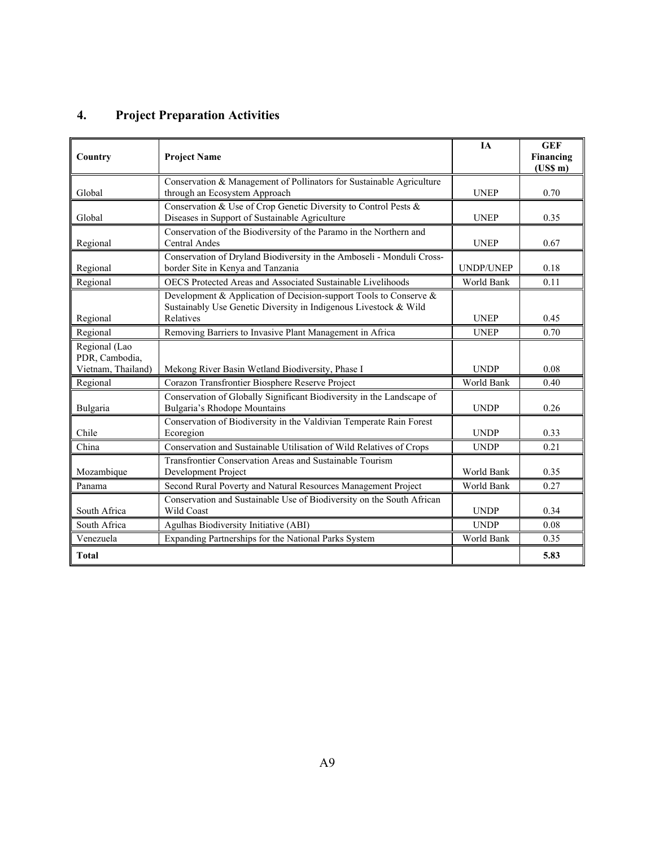## **4. Project Preparation Activities**

| Country                                               | <b>Project Name</b>                                                                                                                                | <b>IA</b>        | <b>GEF</b><br>Financing<br>(USS m) |
|-------------------------------------------------------|----------------------------------------------------------------------------------------------------------------------------------------------------|------------------|------------------------------------|
| Global                                                | Conservation & Management of Pollinators for Sustainable Agriculture<br>through an Ecosystem Approach                                              | <b>UNEP</b>      | 0.70                               |
| Global                                                | Conservation & Use of Crop Genetic Diversity to Control Pests &<br>Diseases in Support of Sustainable Agriculture                                  | <b>UNEP</b>      | 0.35                               |
| Regional                                              | Conservation of the Biodiversity of the Paramo in the Northern and<br><b>Central Andes</b>                                                         | <b>UNEP</b>      | 0.67                               |
| Regional                                              | Conservation of Dryland Biodiversity in the Amboseli - Monduli Cross-<br>border Site in Kenya and Tanzania                                         | <b>UNDP/UNEP</b> | 0.18                               |
| Regional                                              | OECS Protected Areas and Associated Sustainable Livelihoods                                                                                        | World Bank       | 0.11                               |
| Regional                                              | Development & Application of Decision-support Tools to Conserve &<br>Sustainably Use Genetic Diversity in Indigenous Livestock & Wild<br>Relatives | <b>UNEP</b>      | 0.45                               |
| Regional                                              | Removing Barriers to Invasive Plant Management in Africa                                                                                           | <b>UNEP</b>      | 0.70                               |
| Regional (Lao<br>PDR, Cambodia,<br>Vietnam, Thailand) | Mekong River Basin Wetland Biodiversity, Phase I                                                                                                   | <b>UNDP</b>      | 0.08                               |
| Regional                                              | Corazon Transfrontier Biosphere Reserve Project                                                                                                    | World Bank       | 0.40                               |
| Bulgaria                                              | Conservation of Globally Significant Biodiversity in the Landscape of<br>Bulgaria's Rhodope Mountains                                              | <b>UNDP</b>      | 0.26                               |
| Chile                                                 | Conservation of Biodiversity in the Valdivian Temperate Rain Forest<br>Ecoregion                                                                   | <b>UNDP</b>      | 0.33                               |
| China                                                 | Conservation and Sustainable Utilisation of Wild Relatives of Crops                                                                                | <b>UNDP</b>      | 0.21                               |
| Mozambique                                            | Transfrontier Conservation Areas and Sustainable Tourism<br>Development Project                                                                    | World Bank       | 0.35                               |
| Panama                                                | Second Rural Poverty and Natural Resources Management Project                                                                                      | World Bank       | 0.27                               |
| South Africa                                          | Conservation and Sustainable Use of Biodiversity on the South African<br><b>Wild Coast</b>                                                         | <b>UNDP</b>      | 0.34                               |
| South Africa                                          | Agulhas Biodiversity Initiative (ABI)                                                                                                              | <b>UNDP</b>      | 0.08                               |
| Venezuela                                             | Expanding Partnerships for the National Parks System                                                                                               | World Bank       | 0.35                               |
| <b>Total</b>                                          |                                                                                                                                                    |                  | 5.83                               |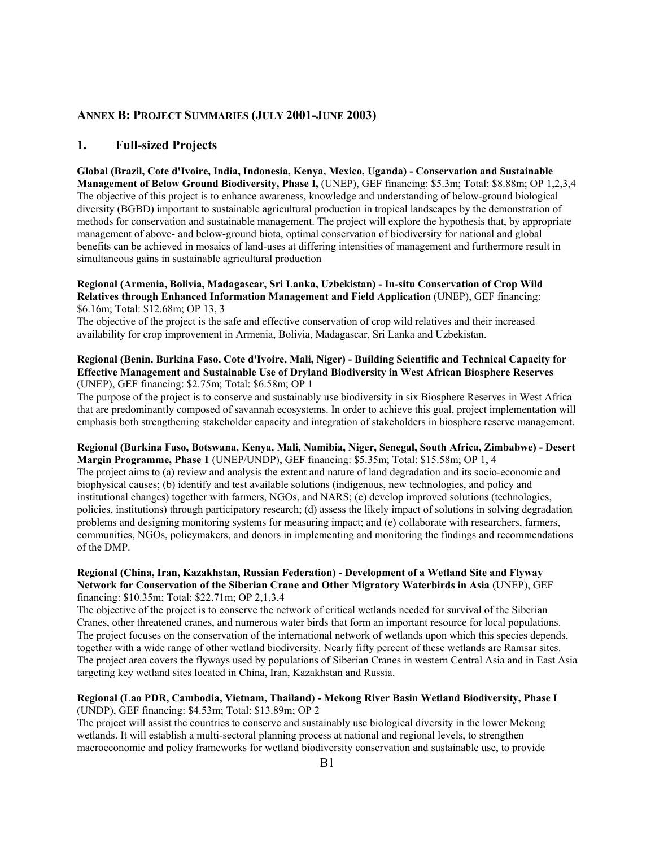#### **ANNEX B: PROJECT SUMMARIES (JULY 2001-JUNE 2003)**

#### **1. Full-sized Projects**

**Global (Brazil, Cote d'Ivoire, India, Indonesia, Kenya, Mexico, Uganda) - Conservation and Sustainable Management of Below Ground Biodiversity, Phase I,** (UNEP), GEF financing: \$5.3m; Total: \$8.88m; OP 1,2,3,4 The objective of this project is to enhance awareness, knowledge and understanding of below-ground biological diversity (BGBD) important to sustainable agricultural production in tropical landscapes by the demonstration of methods for conservation and sustainable management. The project will explore the hypothesis that, by appropriate management of above- and below-ground biota, optimal conservation of biodiversity for national and global benefits can be achieved in mosaics of land-uses at differing intensities of management and furthermore result in simultaneous gains in sustainable agricultural production

#### **Regional (Armenia, Bolivia, Madagascar, Sri Lanka, Uzbekistan) - In-situ Conservation of Crop Wild Relatives through Enhanced Information Management and Field Application** (UNEP), GEF financing: \$6.16m; Total: \$12.68m; OP 13, 3

The objective of the project is the safe and effective conservation of crop wild relatives and their increased availability for crop improvement in Armenia, Bolivia, Madagascar, Sri Lanka and Uzbekistan.

#### **Regional (Benin, Burkina Faso, Cote d'Ivoire, Mali, Niger) - Building Scientific and Technical Capacity for Effective Management and Sustainable Use of Dryland Biodiversity in West African Biosphere Reserves** (UNEP), GEF financing: \$2.75m; Total: \$6.58m; OP 1

The purpose of the project is to conserve and sustainably use biodiversity in six Biosphere Reserves in West Africa that are predominantly composed of savannah ecosystems. In order to achieve this goal, project implementation will emphasis both strengthening stakeholder capacity and integration of stakeholders in biosphere reserve management.

## **Regional (Burkina Faso, Botswana, Kenya, Mali, Namibia, Niger, Senegal, South Africa, Zimbabwe) - Desert**

**Margin Programme, Phase 1** (UNEP/UNDP), GEF financing: \$5.35m; Total: \$15.58m; OP 1, 4 The project aims to (a) review and analysis the extent and nature of land degradation and its socio-economic and biophysical causes; (b) identify and test available solutions (indigenous, new technologies, and policy and institutional changes) together with farmers, NGOs, and NARS; (c) develop improved solutions (technologies, policies, institutions) through participatory research; (d) assess the likely impact of solutions in solving degradation problems and designing monitoring systems for measuring impact; and (e) collaborate with researchers, farmers, communities, NGOs, policymakers, and donors in implementing and monitoring the findings and recommendations of the DMP.

#### **Regional (China, Iran, Kazakhstan, Russian Federation) - Development of a Wetland Site and Flyway Network for Conservation of the Siberian Crane and Other Migratory Waterbirds in Asia** (UNEP), GEF financing: \$10.35m; Total: \$22.71m; OP 2,1,3,4

The objective of the project is to conserve the network of critical wetlands needed for survival of the Siberian Cranes, other threatened cranes, and numerous water birds that form an important resource for local populations. The project focuses on the conservation of the international network of wetlands upon which this species depends, together with a wide range of other wetland biodiversity. Nearly fifty percent of these wetlands are Ramsar sites. The project area covers the flyways used by populations of Siberian Cranes in western Central Asia and in East Asia targeting key wetland sites located in China, Iran, Kazakhstan and Russia.

#### **Regional (Lao PDR, Cambodia, Vietnam, Thailand) - Mekong River Basin Wetland Biodiversity, Phase I**  (UNDP), GEF financing: \$4.53m; Total: \$13.89m; OP 2

The project will assist the countries to conserve and sustainably use biological diversity in the lower Mekong wetlands. It will establish a multi-sectoral planning process at national and regional levels, to strengthen macroeconomic and policy frameworks for wetland biodiversity conservation and sustainable use, to provide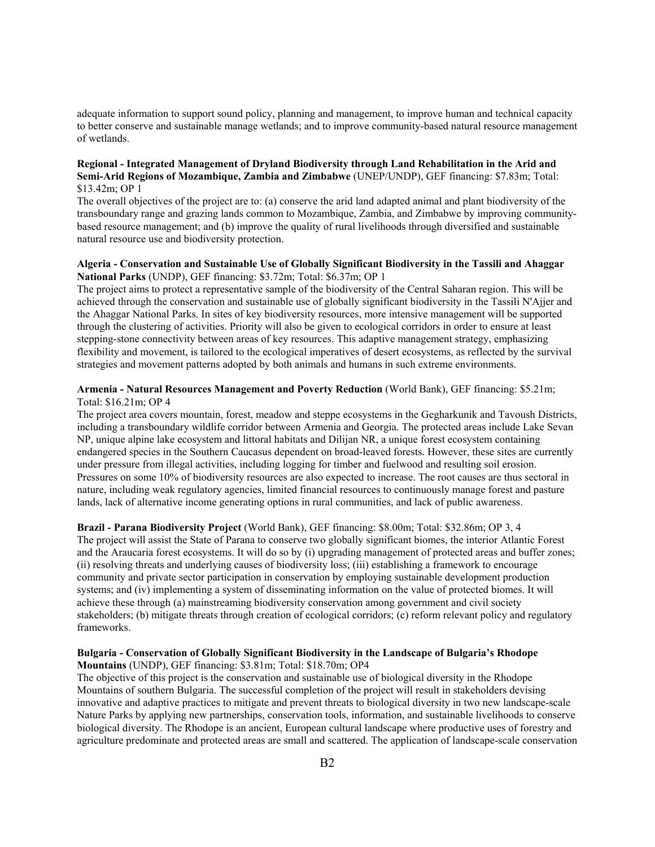adequate information to support sound policy, planning and management, to improve human and technical capacity to better conserve and sustainable manage wetlands; and to improve community-based natural resource management of wetlands.

#### **Regional - Integrated Management of Dryland Biodiversity through Land Rehabilitation in the Arid and Semi-Arid Regions of Mozambique, Zambia and Zimbabwe** (UNEP/UNDP), GEF financing: \$7.83m; Total: \$13.42m; OP 1

The overall objectives of the project are to: (a) conserve the arid land adapted animal and plant biodiversity of the transboundary range and grazing lands common to Mozambique, Zambia, and Zimbabwe by improving communitybased resource management; and (b) improve the quality of rural livelihoods through diversified and sustainable natural resource use and biodiversity protection.

#### **Algeria - Conservation and Sustainable Use of Globally Significant Biodiversity in the Tassili and Ahaggar National Parks** (UNDP), GEF financing: \$3.72m; Total: \$6.37m; OP 1

The project aims to protect a representative sample of the biodiversity of the Central Saharan region. This will be achieved through the conservation and sustainable use of globally significant biodiversity in the Tassili N'Ajjer and the Ahaggar National Parks. In sites of key biodiversity resources, more intensive management will be supported through the clustering of activities. Priority will also be given to ecological corridors in order to ensure at least stepping-stone connectivity between areas of key resources. This adaptive management strategy, emphasizing flexibility and movement, is tailored to the ecological imperatives of desert ecosystems, as reflected by the survival strategies and movement patterns adopted by both animals and humans in such extreme environments.

#### **Armenia - Natural Resources Management and Poverty Reduction** (World Bank), GEF financing: \$5.21m; Total: \$16.21m; OP 4

The project area covers mountain, forest, meadow and steppe ecosystems in the Gegharkunik and Tavoush Districts, including a transboundary wildlife corridor between Armenia and Georgia. The protected areas include Lake Sevan NP, unique alpine lake ecosystem and littoral habitats and Dilijan NR, a unique forest ecosystem containing endangered species in the Southern Caucasus dependent on broad-leaved forests. However, these sites are currently under pressure from illegal activities, including logging for timber and fuelwood and resulting soil erosion. Pressures on some 10% of biodiversity resources are also expected to increase. The root causes are thus sectoral in nature, including weak regulatory agencies, limited financial resources to continuously manage forest and pasture lands, lack of alternative income generating options in rural communities, and lack of public awareness.

**Brazil - Parana Biodiversity Project** (World Bank), GEF financing: \$8.00m; Total: \$32.86m; OP 3, 4 The project will assist the State of Parana to conserve two globally significant biomes, the interior Atlantic Forest and the Araucaria forest ecosystems. It will do so by (i) upgrading management of protected areas and buffer zones; (ii) resolving threats and underlying causes of biodiversity loss; (iii) establishing a framework to encourage community and private sector participation in conservation by employing sustainable development production systems; and (iv) implementing a system of disseminating information on the value of protected biomes. It will achieve these through (a) mainstreaming biodiversity conservation among government and civil society stakeholders; (b) mitigate threats through creation of ecological corridors; (c) reform relevant policy and regulatory frameworks.

#### **Bulgaria - Conservation of Globally Significant Biodiversity in the Landscape of Bulgaria's Rhodope Mountains** (UNDP), GEF financing: \$3.81m; Total: \$18.70m; OP4

The objective of this project is the conservation and sustainable use of biological diversity in the Rhodope Mountains of southern Bulgaria. The successful completion of the project will result in stakeholders devising innovative and adaptive practices to mitigate and prevent threats to biological diversity in two new landscape-scale Nature Parks by applying new partnerships, conservation tools, information, and sustainable livelihoods to conserve biological diversity. The Rhodope is an ancient, European cultural landscape where productive uses of forestry and agriculture predominate and protected areas are small and scattered. The application of landscape-scale conservation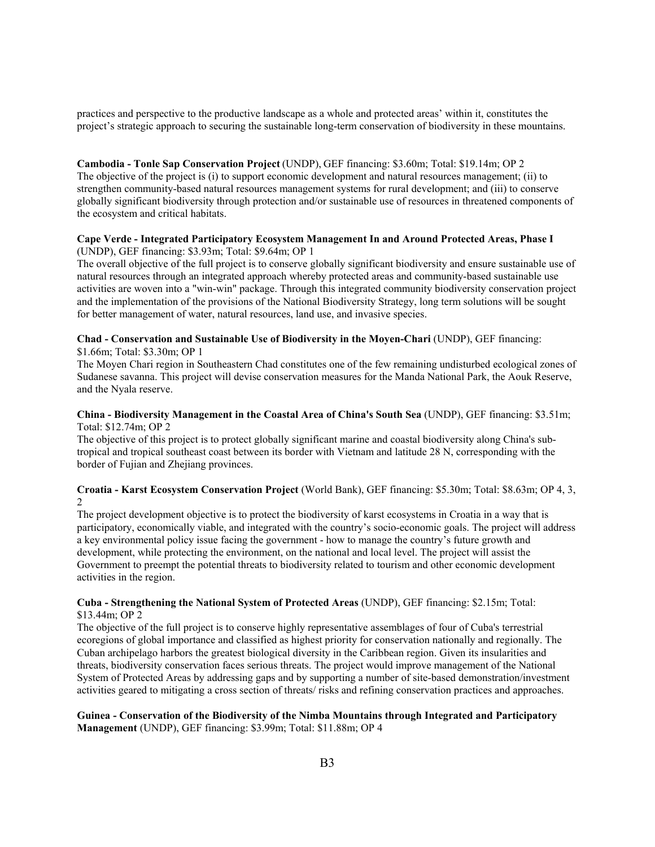practices and perspective to the productive landscape as a whole and protected areas' within it, constitutes the project's strategic approach to securing the sustainable long-term conservation of biodiversity in these mountains.

**Cambodia - Tonle Sap Conservation Project** (UNDP), GEF financing: \$3.60m; Total: \$19.14m; OP 2 The objective of the project is (i) to support economic development and natural resources management; (ii) to strengthen community-based natural resources management systems for rural development; and (iii) to conserve globally significant biodiversity through protection and/or sustainable use of resources in threatened components of the ecosystem and critical habitats.

#### **Cape Verde - Integrated Participatory Ecosystem Management In and Around Protected Areas, Phase I** (UNDP), GEF financing: \$3.93m; Total: \$9.64m; OP 1

The overall objective of the full project is to conserve globally significant biodiversity and ensure sustainable use of natural resources through an integrated approach whereby protected areas and community-based sustainable use activities are woven into a "win-win" package. Through this integrated community biodiversity conservation project and the implementation of the provisions of the National Biodiversity Strategy, long term solutions will be sought for better management of water, natural resources, land use, and invasive species.

#### **Chad - Conservation and Sustainable Use of Biodiversity in the Moyen-Chari** (UNDP), GEF financing:

\$1.66m; Total: \$3.30m; OP 1

The Moyen Chari region in Southeastern Chad constitutes one of the few remaining undisturbed ecological zones of Sudanese savanna. This project will devise conservation measures for the Manda National Park, the Aouk Reserve, and the Nyala reserve.

#### **China - Biodiversity Management in the Coastal Area of China's South Sea** (UNDP), GEF financing: \$3.51m; Total: \$12.74m; OP 2

The objective of this project is to protect globally significant marine and coastal biodiversity along China's subtropical and tropical southeast coast between its border with Vietnam and latitude 28 N, corresponding with the border of Fujian and Zhejiang provinces.

#### **Croatia - Karst Ecosystem Conservation Project** (World Bank), GEF financing: \$5.30m; Total: \$8.63m; OP 4, 3, 2

The project development objective is to protect the biodiversity of karst ecosystems in Croatia in a way that is participatory, economically viable, and integrated with the country's socio-economic goals. The project will address a key environmental policy issue facing the government - how to manage the country's future growth and development, while protecting the environment, on the national and local level. The project will assist the Government to preempt the potential threats to biodiversity related to tourism and other economic development activities in the region.

#### **Cuba - Strengthening the National System of Protected Areas** (UNDP), GEF financing: \$2.15m; Total: \$13.44m; OP 2

The objective of the full project is to conserve highly representative assemblages of four of Cuba's terrestrial ecoregions of global importance and classified as highest priority for conservation nationally and regionally. The Cuban archipelago harbors the greatest biological diversity in the Caribbean region. Given its insularities and threats, biodiversity conservation faces serious threats. The project would improve management of the National System of Protected Areas by addressing gaps and by supporting a number of site-based demonstration/investment activities geared to mitigating a cross section of threats/ risks and refining conservation practices and approaches.

#### **Guinea - Conservation of the Biodiversity of the Nimba Mountains through Integrated and Participatory Management** (UNDP), GEF financing: \$3.99m; Total: \$11.88m; OP 4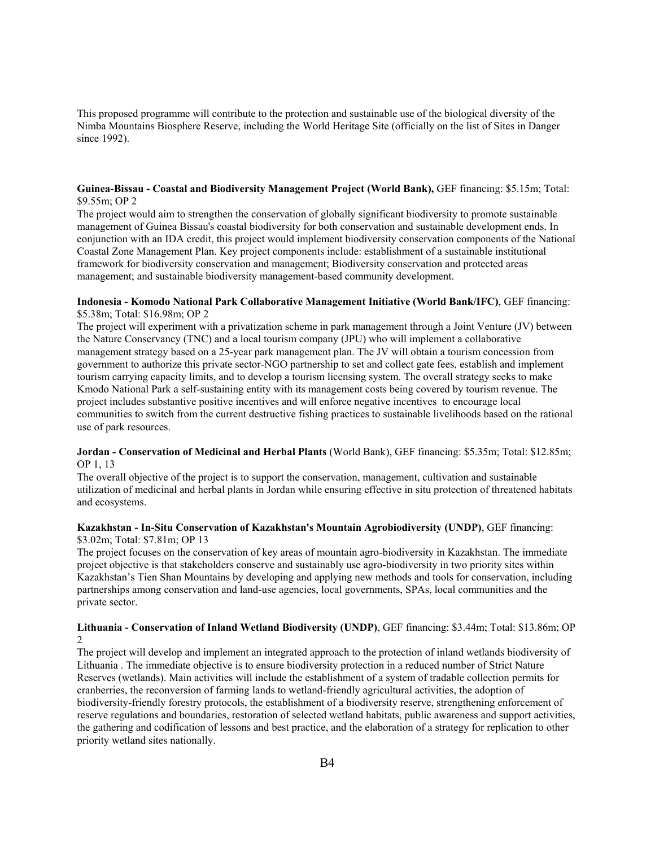This proposed programme will contribute to the protection and sustainable use of the biological diversity of the Nimba Mountains Biosphere Reserve, including the World Heritage Site (officially on the list of Sites in Danger since 1992).

#### **Guinea-Bissau - Coastal and Biodiversity Management Project (World Bank),** GEF financing: \$5.15m; Total: \$9.55m; OP 2

The project would aim to strengthen the conservation of globally significant biodiversity to promote sustainable management of Guinea Bissau's coastal biodiversity for both conservation and sustainable development ends. In conjunction with an IDA credit, this project would implement biodiversity conservation components of the National Coastal Zone Management Plan. Key project components include: establishment of a sustainable institutional framework for biodiversity conservation and management; Biodiversity conservation and protected areas management; and sustainable biodiversity management-based community development.

#### **Indonesia - Komodo National Park Collaborative Management Initiative (World Bank/IFC)**, GEF financing: \$5.38m; Total: \$16.98m; OP 2

The project will experiment with a privatization scheme in park management through a Joint Venture (JV) between the Nature Conservancy (TNC) and a local tourism company (JPU) who will implement a collaborative management strategy based on a 25-year park management plan. The JV will obtain a tourism concession from government to authorize this private sector-NGO partnership to set and collect gate fees, establish and implement tourism carrying capacity limits, and to develop a tourism licensing system. The overall strategy seeks to make Kmodo National Park a self-sustaining entity with its management costs being covered by tourism revenue. The project includes substantive positive incentives and will enforce negative incentives to encourage local communities to switch from the current destructive fishing practices to sustainable livelihoods based on the rational use of park resources.

#### **Jordan - Conservation of Medicinal and Herbal Plants** (World Bank), GEF financing: \$5.35m; Total: \$12.85m; OP 1, 13

The overall objective of the project is to support the conservation, management, cultivation and sustainable utilization of medicinal and herbal plants in Jordan while ensuring effective in situ protection of threatened habitats and ecosystems.

#### **Kazakhstan - In-Situ Conservation of Kazakhstan's Mountain Agrobiodiversity (UNDP)**, GEF financing: \$3.02m; Total: \$7.81m; OP 13

The project focuses on the conservation of key areas of mountain agro-biodiversity in Kazakhstan. The immediate project objective is that stakeholders conserve and sustainably use agro-biodiversity in two priority sites within Kazakhstan's Tien Shan Mountains by developing and applying new methods and tools for conservation, including partnerships among conservation and land-use agencies, local governments, SPAs, local communities and the private sector.

#### **Lithuania - Conservation of Inland Wetland Biodiversity (UNDP)**, GEF financing: \$3.44m; Total: \$13.86m; OP 2

The project will develop and implement an integrated approach to the protection of inland wetlands biodiversity of Lithuania . The immediate objective is to ensure biodiversity protection in a reduced number of Strict Nature Reserves (wetlands). Main activities will include the establishment of a system of tradable collection permits for cranberries, the reconversion of farming lands to wetland-friendly agricultural activities, the adoption of biodiversity-friendly forestry protocols, the establishment of a biodiversity reserve, strengthening enforcement of reserve regulations and boundaries, restoration of selected wetland habitats, public awareness and support activities, the gathering and codification of lessons and best practice, and the elaboration of a strategy for replication to other priority wetland sites nationally.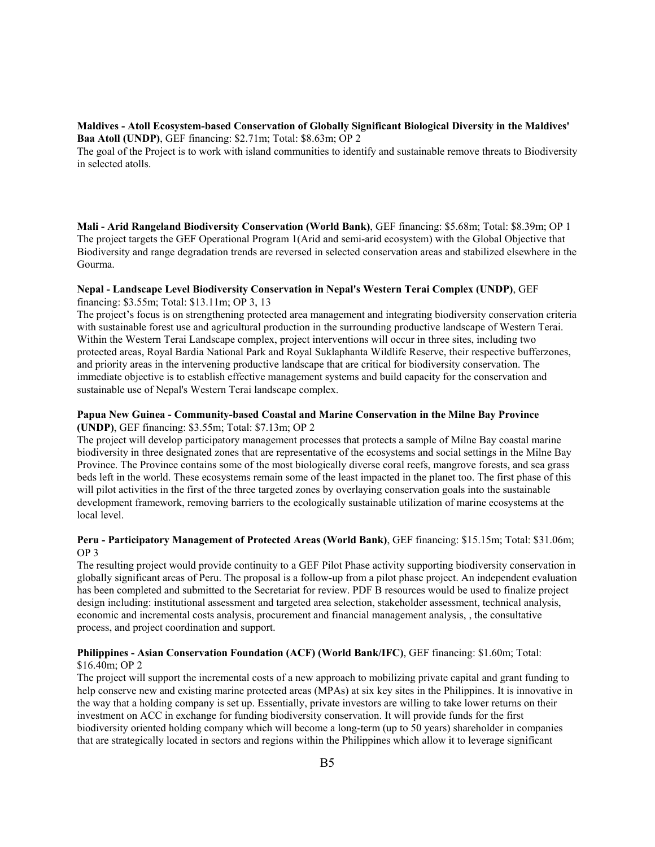#### **Maldives - Atoll Ecosystem-based Conservation of Globally Significant Biological Diversity in the Maldives'**

**Baa Atoll (UNDP)**, GEF financing: \$2.71m; Total: \$8.63m; OP 2

The goal of the Project is to work with island communities to identify and sustainable remove threats to Biodiversity in selected atolls.

**Mali - Arid Rangeland Biodiversity Conservation (World Bank)**, GEF financing: \$5.68m; Total: \$8.39m; OP 1 The project targets the GEF Operational Program 1(Arid and semi-arid ecosystem) with the Global Objective that Biodiversity and range degradation trends are reversed in selected conservation areas and stabilized elsewhere in the Gourma.

#### **Nepal - Landscape Level Biodiversity Conservation in Nepal's Western Terai Complex (UNDP)**, GEF financing: \$3.55m; Total: \$13.11m; OP 3, 13

The project's focus is on strengthening protected area management and integrating biodiversity conservation criteria with sustainable forest use and agricultural production in the surrounding productive landscape of Western Terai. Within the Western Terai Landscape complex, project interventions will occur in three sites, including two protected areas, Royal Bardia National Park and Royal Suklaphanta Wildlife Reserve, their respective bufferzones, and priority areas in the intervening productive landscape that are critical for biodiversity conservation. The immediate objective is to establish effective management systems and build capacity for the conservation and sustainable use of Nepal's Western Terai landscape complex.

#### **Papua New Guinea - Community-based Coastal and Marine Conservation in the Milne Bay Province (UNDP)**, GEF financing: \$3.55m; Total: \$7.13m; OP 2

The project will develop participatory management processes that protects a sample of Milne Bay coastal marine biodiversity in three designated zones that are representative of the ecosystems and social settings in the Milne Bay Province. The Province contains some of the most biologically diverse coral reefs, mangrove forests, and sea grass beds left in the world. These ecosystems remain some of the least impacted in the planet too. The first phase of this will pilot activities in the first of the three targeted zones by overlaying conservation goals into the sustainable development framework, removing barriers to the ecologically sustainable utilization of marine ecosystems at the local level.

#### **Peru - Participatory Management of Protected Areas (World Bank)**, GEF financing: \$15.15m; Total: \$31.06m; OP 3

The resulting project would provide continuity to a GEF Pilot Phase activity supporting biodiversity conservation in globally significant areas of Peru. The proposal is a follow-up from a pilot phase project. An independent evaluation has been completed and submitted to the Secretariat for review. PDF B resources would be used to finalize project design including: institutional assessment and targeted area selection, stakeholder assessment, technical analysis, economic and incremental costs analysis, procurement and financial management analysis, , the consultative process, and project coordination and support.

#### **Philippines - Asian Conservation Foundation (ACF) (World Bank/IFC)**, GEF financing: \$1.60m; Total: \$16.40m; OP 2

The project will support the incremental costs of a new approach to mobilizing private capital and grant funding to help conserve new and existing marine protected areas (MPAs) at six key sites in the Philippines. It is innovative in the way that a holding company is set up. Essentially, private investors are willing to take lower returns on their investment on ACC in exchange for funding biodiversity conservation. It will provide funds for the first biodiversity oriented holding company which will become a long-term (up to 50 years) shareholder in companies that are strategically located in sectors and regions within the Philippines which allow it to leverage significant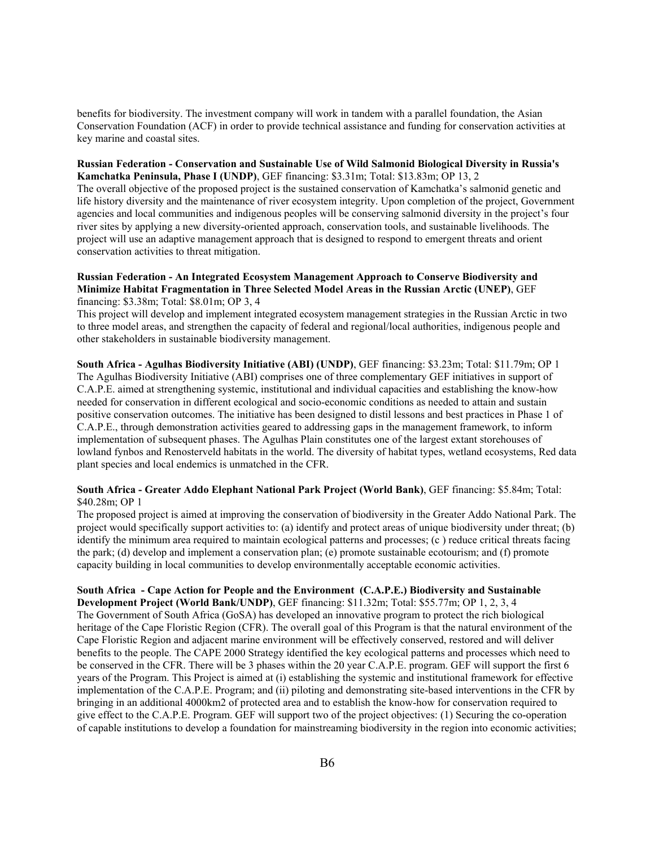benefits for biodiversity. The investment company will work in tandem with a parallel foundation, the Asian Conservation Foundation (ACF) in order to provide technical assistance and funding for conservation activities at key marine and coastal sites.

#### **Russian Federation - Conservation and Sustainable Use of Wild Salmonid Biological Diversity in Russia's Kamchatka Peninsula, Phase I (UNDP)**, GEF financing: \$3.31m; Total: \$13.83m; OP 13, 2

The overall objective of the proposed project is the sustained conservation of Kamchatka's salmonid genetic and life history diversity and the maintenance of river ecosystem integrity. Upon completion of the project, Government agencies and local communities and indigenous peoples will be conserving salmonid diversity in the project's four river sites by applying a new diversity-oriented approach, conservation tools, and sustainable livelihoods. The project will use an adaptive management approach that is designed to respond to emergent threats and orient conservation activities to threat mitigation.

#### **Russian Federation - An Integrated Ecosystem Management Approach to Conserve Biodiversity and Minimize Habitat Fragmentation in Three Selected Model Areas in the Russian Arctic (UNEP)**, GEF financing: \$3.38m; Total: \$8.01m; OP 3, 4

This project will develop and implement integrated ecosystem management strategies in the Russian Arctic in two to three model areas, and strengthen the capacity of federal and regional/local authorities, indigenous people and other stakeholders in sustainable biodiversity management.

**South Africa - Agulhas Biodiversity Initiative (ABI) (UNDP)**, GEF financing: \$3.23m; Total: \$11.79m; OP 1 The Agulhas Biodiversity Initiative (ABI) comprises one of three complementary GEF initiatives in support of C.A.P.E. aimed at strengthening systemic, institutional and individual capacities and establishing the know-how needed for conservation in different ecological and socio-economic conditions as needed to attain and sustain positive conservation outcomes. The initiative has been designed to distil lessons and best practices in Phase 1 of C.A.P.E., through demonstration activities geared to addressing gaps in the management framework, to inform implementation of subsequent phases. The Agulhas Plain constitutes one of the largest extant storehouses of lowland fynbos and Renosterveld habitats in the world. The diversity of habitat types, wetland ecosystems, Red data plant species and local endemics is unmatched in the CFR.

#### **South Africa - Greater Addo Elephant National Park Project (World Bank)**, GEF financing: \$5.84m; Total: \$40.28m; OP 1

The proposed project is aimed at improving the conservation of biodiversity in the Greater Addo National Park. The project would specifically support activities to: (a) identify and protect areas of unique biodiversity under threat; (b) identify the minimum area required to maintain ecological patterns and processes; (c ) reduce critical threats facing the park; (d) develop and implement a conservation plan; (e) promote sustainable ecotourism; and (f) promote capacity building in local communities to develop environmentally acceptable economic activities.

#### **South Africa - Cape Action for People and the Environment (C.A.P.E.) Biodiversity and Sustainable Development Project (World Bank/UNDP)**, GEF financing: \$11.32m; Total: \$55.77m; OP 1, 2, 3, 4

The Government of South Africa (GoSA) has developed an innovative program to protect the rich biological heritage of the Cape Floristic Region (CFR). The overall goal of this Program is that the natural environment of the Cape Floristic Region and adjacent marine environment will be effectively conserved, restored and will deliver benefits to the people. The CAPE 2000 Strategy identified the key ecological patterns and processes which need to be conserved in the CFR. There will be 3 phases within the 20 year C.A.P.E. program. GEF will support the first 6 years of the Program. This Project is aimed at (i) establishing the systemic and institutional framework for effective implementation of the C.A.P.E. Program; and (ii) piloting and demonstrating site-based interventions in the CFR by bringing in an additional 4000km2 of protected area and to establish the know-how for conservation required to give effect to the C.A.P.E. Program. GEF will support two of the project objectives: (1) Securing the co-operation of capable institutions to develop a foundation for mainstreaming biodiversity in the region into economic activities;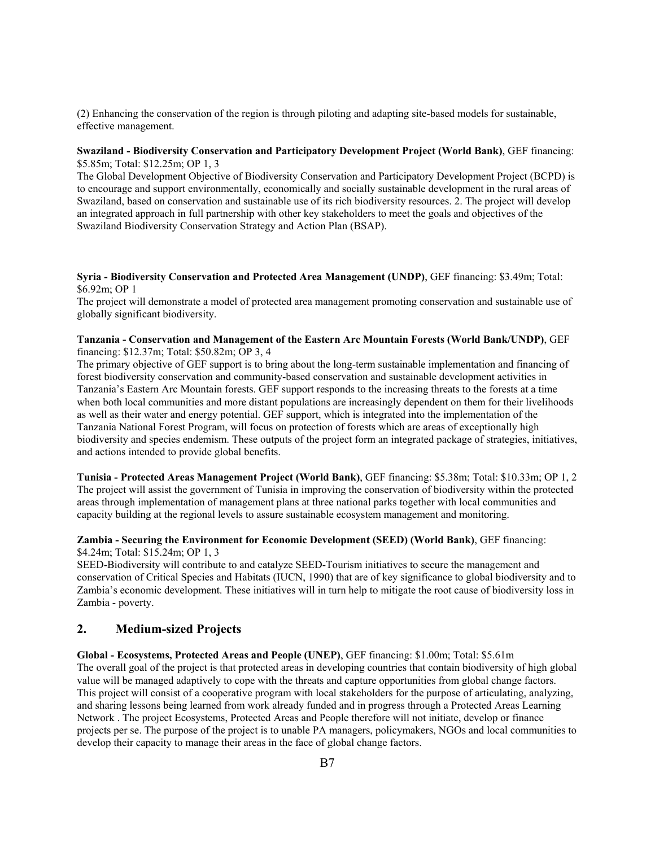(2) Enhancing the conservation of the region is through piloting and adapting site-based models for sustainable, effective management.

#### **Swaziland - Biodiversity Conservation and Participatory Development Project (World Bank)**, GEF financing: \$5.85m; Total: \$12.25m; OP 1, 3

The Global Development Objective of Biodiversity Conservation and Participatory Development Project (BCPD) is to encourage and support environmentally, economically and socially sustainable development in the rural areas of Swaziland, based on conservation and sustainable use of its rich biodiversity resources. 2. The project will develop an integrated approach in full partnership with other key stakeholders to meet the goals and objectives of the Swaziland Biodiversity Conservation Strategy and Action Plan (BSAP).

**Syria - Biodiversity Conservation and Protected Area Management (UNDP)**, GEF financing: \$3.49m; Total: \$6.92m; OP 1

The project will demonstrate a model of protected area management promoting conservation and sustainable use of globally significant biodiversity.

#### **Tanzania - Conservation and Management of the Eastern Arc Mountain Forests (World Bank/UNDP)**, GEF financing: \$12.37m; Total: \$50.82m; OP 3, 4

The primary objective of GEF support is to bring about the long-term sustainable implementation and financing of forest biodiversity conservation and community-based conservation and sustainable development activities in Tanzania's Eastern Arc Mountain forests. GEF support responds to the increasing threats to the forests at a time when both local communities and more distant populations are increasingly dependent on them for their livelihoods as well as their water and energy potential. GEF support, which is integrated into the implementation of the Tanzania National Forest Program, will focus on protection of forests which are areas of exceptionally high biodiversity and species endemism. These outputs of the project form an integrated package of strategies, initiatives, and actions intended to provide global benefits.

**Tunisia - Protected Areas Management Project (World Bank)**, GEF financing: \$5.38m; Total: \$10.33m; OP 1, 2 The project will assist the government of Tunisia in improving the conservation of biodiversity within the protected areas through implementation of management plans at three national parks together with local communities and capacity building at the regional levels to assure sustainable ecosystem management and monitoring.

#### **Zambia - Securing the Environment for Economic Development (SEED) (World Bank)**, GEF financing: \$4.24m; Total: \$15.24m; OP 1, 3

SEED-Biodiversity will contribute to and catalyze SEED-Tourism initiatives to secure the management and conservation of Critical Species and Habitats (IUCN, 1990) that are of key significance to global biodiversity and to Zambia's economic development. These initiatives will in turn help to mitigate the root cause of biodiversity loss in Zambia - poverty.

#### **2. Medium-sized Projects**

**Global - Ecosystems, Protected Areas and People (UNEP)**, GEF financing: \$1.00m; Total: \$5.61m The overall goal of the project is that protected areas in developing countries that contain biodiversity of high global value will be managed adaptively to cope with the threats and capture opportunities from global change factors. This project will consist of a cooperative program with local stakeholders for the purpose of articulating, analyzing, and sharing lessons being learned from work already funded and in progress through a Protected Areas Learning Network . The project Ecosystems, Protected Areas and People therefore will not initiate, develop or finance projects per se. The purpose of the project is to unable PA managers, policymakers, NGOs and local communities to develop their capacity to manage their areas in the face of global change factors.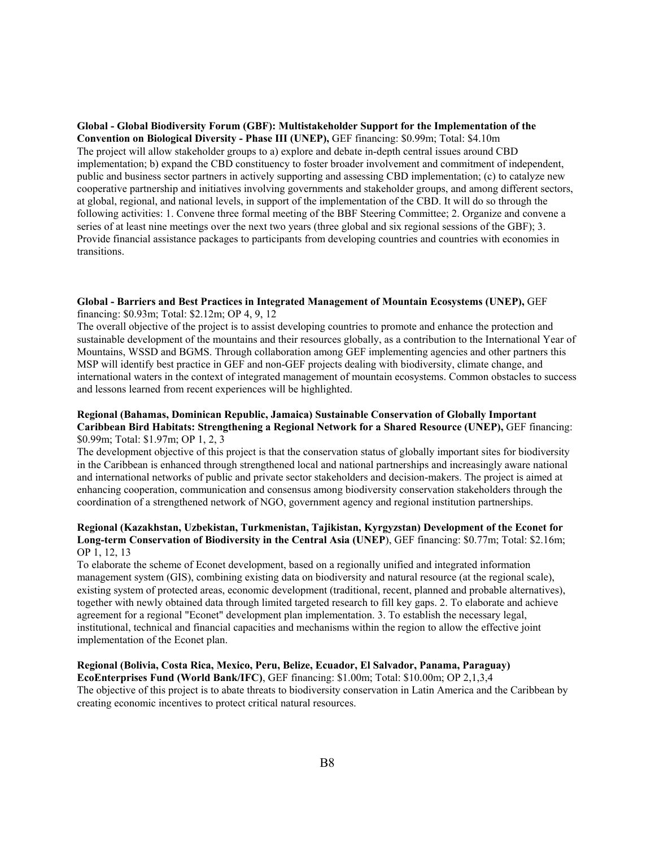**Global - Global Biodiversity Forum (GBF): Multistakeholder Support for the Implementation of the Convention on Biological Diversity - Phase III (UNEP),** GEF financing: \$0.99m; Total: \$4.10m The project will allow stakeholder groups to a) explore and debate in-depth central issues around CBD implementation; b) expand the CBD constituency to foster broader involvement and commitment of independent, public and business sector partners in actively supporting and assessing CBD implementation; (c) to catalyze new cooperative partnership and initiatives involving governments and stakeholder groups, and among different sectors, at global, regional, and national levels, in support of the implementation of the CBD. It will do so through the following activities: 1. Convene three formal meeting of the BBF Steering Committee; 2. Organize and convene a series of at least nine meetings over the next two years (three global and six regional sessions of the GBF); 3. Provide financial assistance packages to participants from developing countries and countries with economies in transitions.

#### **Global - Barriers and Best Practices in Integrated Management of Mountain Ecosystems (UNEP),** GEF financing: \$0.93m; Total: \$2.12m; OP 4, 9, 12

The overall objective of the project is to assist developing countries to promote and enhance the protection and sustainable development of the mountains and their resources globally, as a contribution to the International Year of Mountains, WSSD and BGMS. Through collaboration among GEF implementing agencies and other partners this MSP will identify best practice in GEF and non-GEF projects dealing with biodiversity, climate change, and international waters in the context of integrated management of mountain ecosystems. Common obstacles to success and lessons learned from recent experiences will be highlighted.

#### **Regional (Bahamas, Dominican Republic, Jamaica) Sustainable Conservation of Globally Important Caribbean Bird Habitats: Strengthening a Regional Network for a Shared Resource (UNEP),** GEF financing: \$0.99m; Total: \$1.97m; OP 1, 2, 3

The development objective of this project is that the conservation status of globally important sites for biodiversity in the Caribbean is enhanced through strengthened local and national partnerships and increasingly aware national and international networks of public and private sector stakeholders and decision-makers. The project is aimed at enhancing cooperation, communication and consensus among biodiversity conservation stakeholders through the coordination of a strengthened network of NGO, government agency and regional institution partnerships.

#### **Regional (Kazakhstan, Uzbekistan, Turkmenistan, Tajikistan, Kyrgyzstan) Development of the Econet for Long-term Conservation of Biodiversity in the Central Asia (UNEP**), GEF financing: \$0.77m; Total: \$2.16m; OP 1, 12, 13

To elaborate the scheme of Econet development, based on a regionally unified and integrated information management system (GIS), combining existing data on biodiversity and natural resource (at the regional scale), existing system of protected areas, economic development (traditional, recent, planned and probable alternatives), together with newly obtained data through limited targeted research to fill key gaps. 2. To elaborate and achieve agreement for a regional "Econet" development plan implementation. 3. To establish the necessary legal, institutional, technical and financial capacities and mechanisms within the region to allow the effective joint implementation of the Econet plan.

#### **Regional (Bolivia, Costa Rica, Mexico, Peru, Belize, Ecuador, El Salvador, Panama, Paraguay) EcoEnterprises Fund (World Bank/IFC)**, GEF financing: \$1.00m; Total: \$10.00m; OP 2,1,3,4

The objective of this project is to abate threats to biodiversity conservation in Latin America and the Caribbean by creating economic incentives to protect critical natural resources.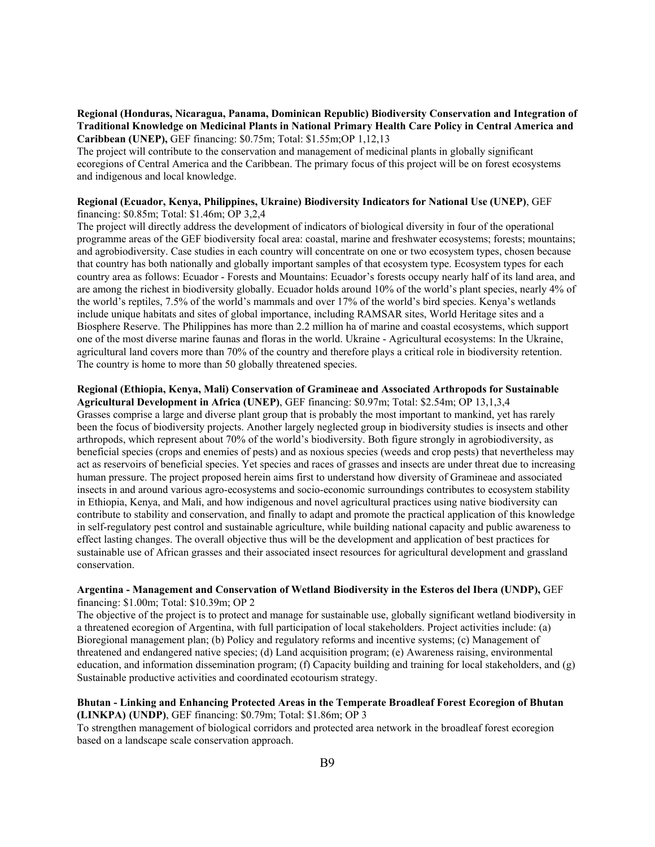#### **Regional (Honduras, Nicaragua, Panama, Dominican Republic) Biodiversity Conservation and Integration of Traditional Knowledge on Medicinal Plants in National Primary Health Care Policy in Central America and Caribbean (UNEP),** GEF financing: \$0.75m; Total: \$1.55m;OP 1,12,13

The project will contribute to the conservation and management of medicinal plants in globally significant ecoregions of Central America and the Caribbean. The primary focus of this project will be on forest ecosystems and indigenous and local knowledge.

#### **Regional (Ecuador, Kenya, Philippines, Ukraine) Biodiversity Indicators for National Use (UNEP)**, GEF financing: \$0.85m; Total: \$1.46m; OP 3,2,4

The project will directly address the development of indicators of biological diversity in four of the operational programme areas of the GEF biodiversity focal area: coastal, marine and freshwater ecosystems; forests; mountains; and agrobiodiversity. Case studies in each country will concentrate on one or two ecosystem types, chosen because that country has both nationally and globally important samples of that ecosystem type. Ecosystem types for each country area as follows: Ecuador - Forests and Mountains: Ecuador's forests occupy nearly half of its land area, and are among the richest in biodiversity globally. Ecuador holds around 10% of the world's plant species, nearly 4% of the world's reptiles, 7.5% of the world's mammals and over 17% of the world's bird species. Kenya's wetlands include unique habitats and sites of global importance, including RAMSAR sites, World Heritage sites and a Biosphere Reserve. The Philippines has more than 2.2 million ha of marine and coastal ecosystems, which support one of the most diverse marine faunas and floras in the world. Ukraine - Agricultural ecosystems: In the Ukraine, agricultural land covers more than 70% of the country and therefore plays a critical role in biodiversity retention. The country is home to more than 50 globally threatened species.

## **Regional (Ethiopia, Kenya, Mali) Conservation of Gramineae and Associated Arthropods for Sustainable**

**Agricultural Development in Africa (UNEP)**, GEF financing: \$0.97m; Total: \$2.54m; OP 13,1,3,4 Grasses comprise a large and diverse plant group that is probably the most important to mankind, yet has rarely been the focus of biodiversity projects. Another largely neglected group in biodiversity studies is insects and other arthropods, which represent about 70% of the world's biodiversity. Both figure strongly in agrobiodiversity, as beneficial species (crops and enemies of pests) and as noxious species (weeds and crop pests) that nevertheless may act as reservoirs of beneficial species. Yet species and races of grasses and insects are under threat due to increasing human pressure. The project proposed herein aims first to understand how diversity of Gramineae and associated insects in and around various agro-ecosystems and socio-economic surroundings contributes to ecosystem stability in Ethiopia, Kenya, and Mali, and how indigenous and novel agricultural practices using native biodiversity can contribute to stability and conservation, and finally to adapt and promote the practical application of this knowledge in self-regulatory pest control and sustainable agriculture, while building national capacity and public awareness to effect lasting changes. The overall objective thus will be the development and application of best practices for sustainable use of African grasses and their associated insect resources for agricultural development and grassland conservation.

#### **Argentina - Management and Conservation of Wetland Biodiversity in the Esteros del Ibera (UNDP),** GEF financing: \$1.00m; Total: \$10.39m; OP 2

The objective of the project is to protect and manage for sustainable use, globally significant wetland biodiversity in a threatened ecoregion of Argentina, with full participation of local stakeholders. Project activities include: (a) Bioregional management plan; (b) Policy and regulatory reforms and incentive systems; (c) Management of threatened and endangered native species; (d) Land acquisition program; (e) Awareness raising, environmental education, and information dissemination program; (f) Capacity building and training for local stakeholders, and (g) Sustainable productive activities and coordinated ecotourism strategy.

#### **Bhutan - Linking and Enhancing Protected Areas in the Temperate Broadleaf Forest Ecoregion of Bhutan (LINKPA) (UNDP)**, GEF financing: \$0.79m; Total: \$1.86m; OP 3

To strengthen management of biological corridors and protected area network in the broadleaf forest ecoregion based on a landscape scale conservation approach.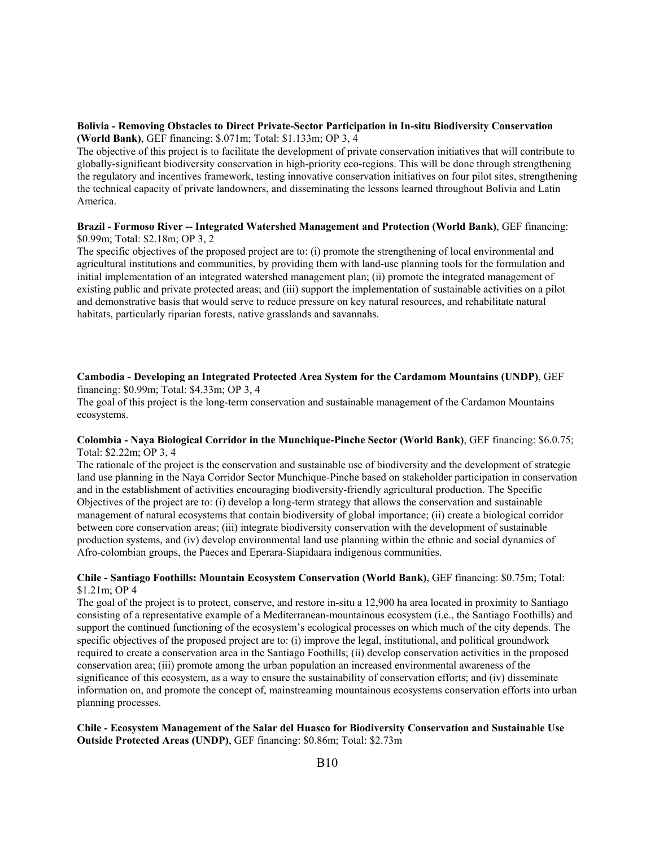#### **Bolivia - Removing Obstacles to Direct Private-Sector Participation in In-situ Biodiversity Conservation (World Bank)**, GEF financing: \$.071m; Total: \$1.133m; OP 3, 4

The objective of this project is to facilitate the development of private conservation initiatives that will contribute to globally-significant biodiversity conservation in high-priority eco-regions. This will be done through strengthening the regulatory and incentives framework, testing innovative conservation initiatives on four pilot sites, strengthening the technical capacity of private landowners, and disseminating the lessons learned throughout Bolivia and Latin America.

#### **Brazil - Formoso River -- Integrated Watershed Management and Protection (World Bank)**, GEF financing: \$0.99m; Total: \$2.18m; OP 3, 2

The specific objectives of the proposed project are to: (i) promote the strengthening of local environmental and agricultural institutions and communities, by providing them with land-use planning tools for the formulation and initial implementation of an integrated watershed management plan; (ii) promote the integrated management of existing public and private protected areas; and (iii) support the implementation of sustainable activities on a pilot and demonstrative basis that would serve to reduce pressure on key natural resources, and rehabilitate natural habitats, particularly riparian forests, native grasslands and savannahs.

## **Cambodia - Developing an Integrated Protected Area System for the Cardamom Mountains (UNDP)**, GEF

financing: \$0.99m; Total: \$4.33m; OP 3, 4

The goal of this project is the long-term conservation and sustainable management of the Cardamon Mountains ecosystems.

#### **Colombia - Naya Biological Corridor in the Munchique-Pinche Sector (World Bank)**, GEF financing: \$6.0.75; Total: \$2.22m; OP 3, 4

The rationale of the project is the conservation and sustainable use of biodiversity and the development of strategic land use planning in the Naya Corridor Sector Munchique-Pinche based on stakeholder participation in conservation and in the establishment of activities encouraging biodiversity-friendly agricultural production. The Specific Objectives of the project are to: (i) develop a long-term strategy that allows the conservation and sustainable management of natural ecosystems that contain biodiversity of global importance; (ii) create a biological corridor between core conservation areas; (iii) integrate biodiversity conservation with the development of sustainable production systems, and (iv) develop environmental land use planning within the ethnic and social dynamics of Afro-colombian groups, the Paeces and Eperara-Siapidaara indigenous communities.

#### **Chile - Santiago Foothills: Mountain Ecosystem Conservation (World Bank)**, GEF financing: \$0.75m; Total: \$1.21m; OP 4

The goal of the project is to protect, conserve, and restore in-situ a 12,900 ha area located in proximity to Santiago consisting of a representative example of a Mediterranean-mountainous ecosystem (i.e., the Santiago Foothills) and support the continued functioning of the ecosystem's ecological processes on which much of the city depends. The specific objectives of the proposed project are to: (i) improve the legal, institutional, and political groundwork required to create a conservation area in the Santiago Foothills; (ii) develop conservation activities in the proposed conservation area; (iii) promote among the urban population an increased environmental awareness of the significance of this ecosystem, as a way to ensure the sustainability of conservation efforts; and (iv) disseminate information on, and promote the concept of, mainstreaming mountainous ecosystems conservation efforts into urban planning processes.

#### **Chile - Ecosystem Management of the Salar del Huasco for Biodiversity Conservation and Sustainable Use Outside Protected Areas (UNDP)**, GEF financing: \$0.86m; Total: \$2.73m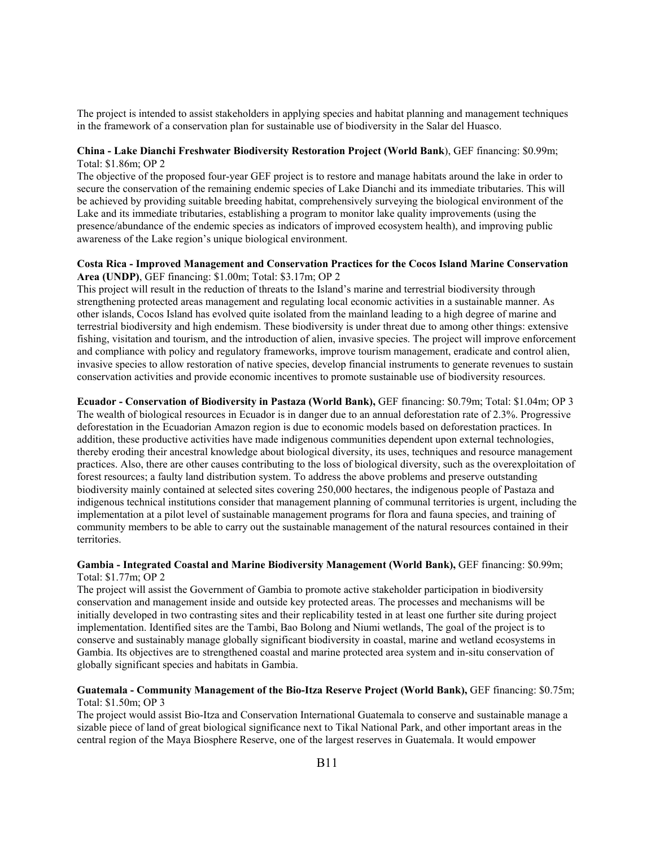The project is intended to assist stakeholders in applying species and habitat planning and management techniques in the framework of a conservation plan for sustainable use of biodiversity in the Salar del Huasco.

#### **China - Lake Dianchi Freshwater Biodiversity Restoration Project (World Bank**), GEF financing: \$0.99m; Total: \$1.86m; OP 2

The objective of the proposed four-year GEF project is to restore and manage habitats around the lake in order to secure the conservation of the remaining endemic species of Lake Dianchi and its immediate tributaries. This will be achieved by providing suitable breeding habitat, comprehensively surveying the biological environment of the Lake and its immediate tributaries, establishing a program to monitor lake quality improvements (using the presence/abundance of the endemic species as indicators of improved ecosystem health), and improving public awareness of the Lake region's unique biological environment.

#### **Costa Rica - Improved Management and Conservation Practices for the Cocos Island Marine Conservation Area (UNDP)**, GEF financing: \$1.00m; Total: \$3.17m; OP 2

This project will result in the reduction of threats to the Island's marine and terrestrial biodiversity through strengthening protected areas management and regulating local economic activities in a sustainable manner. As other islands, Cocos Island has evolved quite isolated from the mainland leading to a high degree of marine and terrestrial biodiversity and high endemism. These biodiversity is under threat due to among other things: extensive fishing, visitation and tourism, and the introduction of alien, invasive species. The project will improve enforcement and compliance with policy and regulatory frameworks, improve tourism management, eradicate and control alien, invasive species to allow restoration of native species, develop financial instruments to generate revenues to sustain conservation activities and provide economic incentives to promote sustainable use of biodiversity resources.

**Ecuador - Conservation of Biodiversity in Pastaza (World Bank),** GEF financing: \$0.79m; Total: \$1.04m; OP 3 The wealth of biological resources in Ecuador is in danger due to an annual deforestation rate of 2.3%. Progressive deforestation in the Ecuadorian Amazon region is due to economic models based on deforestation practices. In addition, these productive activities have made indigenous communities dependent upon external technologies, thereby eroding their ancestral knowledge about biological diversity, its uses, techniques and resource management practices. Also, there are other causes contributing to the loss of biological diversity, such as the overexploitation of forest resources; a faulty land distribution system. To address the above problems and preserve outstanding biodiversity mainly contained at selected sites covering 250,000 hectares, the indigenous people of Pastaza and indigenous technical institutions consider that management planning of communal territories is urgent, including the implementation at a pilot level of sustainable management programs for flora and fauna species, and training of community members to be able to carry out the sustainable management of the natural resources contained in their territories.

#### **Gambia - Integrated Coastal and Marine Biodiversity Management (World Bank),** GEF financing: \$0.99m; Total: \$1.77m; OP 2

The project will assist the Government of Gambia to promote active stakeholder participation in biodiversity conservation and management inside and outside key protected areas. The processes and mechanisms will be initially developed in two contrasting sites and their replicability tested in at least one further site during project implementation. Identified sites are the Tambi, Bao Bolong and Niumi wetlands, The goal of the project is to conserve and sustainably manage globally significant biodiversity in coastal, marine and wetland ecosystems in Gambia. Its objectives are to strengthened coastal and marine protected area system and in-situ conservation of globally significant species and habitats in Gambia.

#### **Guatemala - Community Management of the Bio-Itza Reserve Project (World Bank),** GEF financing: \$0.75m; Total: \$1.50m; OP 3

The project would assist Bio-Itza and Conservation International Guatemala to conserve and sustainable manage a sizable piece of land of great biological significance next to Tikal National Park, and other important areas in the central region of the Maya Biosphere Reserve, one of the largest reserves in Guatemala. It would empower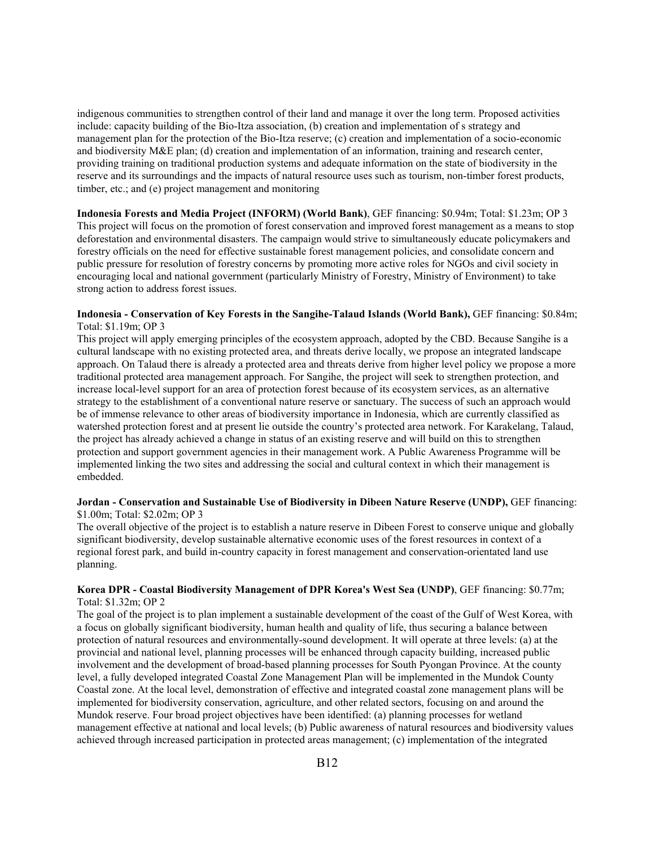indigenous communities to strengthen control of their land and manage it over the long term. Proposed activities include: capacity building of the Bio-Itza association, (b) creation and implementation of s strategy and management plan for the protection of the Bio-Itza reserve; (c) creation and implementation of a socio-economic and biodiversity M&E plan; (d) creation and implementation of an information, training and research center, providing training on traditional production systems and adequate information on the state of biodiversity in the reserve and its surroundings and the impacts of natural resource uses such as tourism, non-timber forest products, timber, etc.; and (e) project management and monitoring

**Indonesia Forests and Media Project (INFORM) (World Bank)**, GEF financing: \$0.94m; Total: \$1.23m; OP 3 This project will focus on the promotion of forest conservation and improved forest management as a means to stop deforestation and environmental disasters. The campaign would strive to simultaneously educate policymakers and forestry officials on the need for effective sustainable forest management policies, and consolidate concern and public pressure for resolution of forestry concerns by promoting more active roles for NGOs and civil society in encouraging local and national government (particularly Ministry of Forestry, Ministry of Environment) to take strong action to address forest issues.

#### **Indonesia - Conservation of Key Forests in the Sangihe-Talaud Islands (World Bank),** GEF financing: \$0.84m; Total: \$1.19m; OP 3

This project will apply emerging principles of the ecosystem approach, adopted by the CBD. Because Sangihe is a cultural landscape with no existing protected area, and threats derive locally, we propose an integrated landscape approach. On Talaud there is already a protected area and threats derive from higher level policy we propose a more traditional protected area management approach. For Sangihe, the project will seek to strengthen protection, and increase local-level support for an area of protection forest because of its ecosystem services, as an alternative strategy to the establishment of a conventional nature reserve or sanctuary. The success of such an approach would be of immense relevance to other areas of biodiversity importance in Indonesia, which are currently classified as watershed protection forest and at present lie outside the country's protected area network. For Karakelang, Talaud, the project has already achieved a change in status of an existing reserve and will build on this to strengthen protection and support government agencies in their management work. A Public Awareness Programme will be implemented linking the two sites and addressing the social and cultural context in which their management is embedded.

#### **Jordan - Conservation and Sustainable Use of Biodiversity in Dibeen Nature Reserve (UNDP),** GEF financing: \$1.00m; Total: \$2.02m; OP 3

The overall objective of the project is to establish a nature reserve in Dibeen Forest to conserve unique and globally significant biodiversity, develop sustainable alternative economic uses of the forest resources in context of a regional forest park, and build in-country capacity in forest management and conservation-orientated land use planning.

#### **Korea DPR - Coastal Biodiversity Management of DPR Korea's West Sea (UNDP)**, GEF financing: \$0.77m; Total: \$1.32m; OP 2

The goal of the project is to plan implement a sustainable development of the coast of the Gulf of West Korea, with a focus on globally significant biodiversity, human health and quality of life, thus securing a balance between protection of natural resources and environmentally-sound development. It will operate at three levels: (a) at the provincial and national level, planning processes will be enhanced through capacity building, increased public involvement and the development of broad-based planning processes for South Pyongan Province. At the county level, a fully developed integrated Coastal Zone Management Plan will be implemented in the Mundok County Coastal zone. At the local level, demonstration of effective and integrated coastal zone management plans will be implemented for biodiversity conservation, agriculture, and other related sectors, focusing on and around the Mundok reserve. Four broad project objectives have been identified: (a) planning processes for wetland management effective at national and local levels; (b) Public awareness of natural resources and biodiversity values achieved through increased participation in protected areas management; (c) implementation of the integrated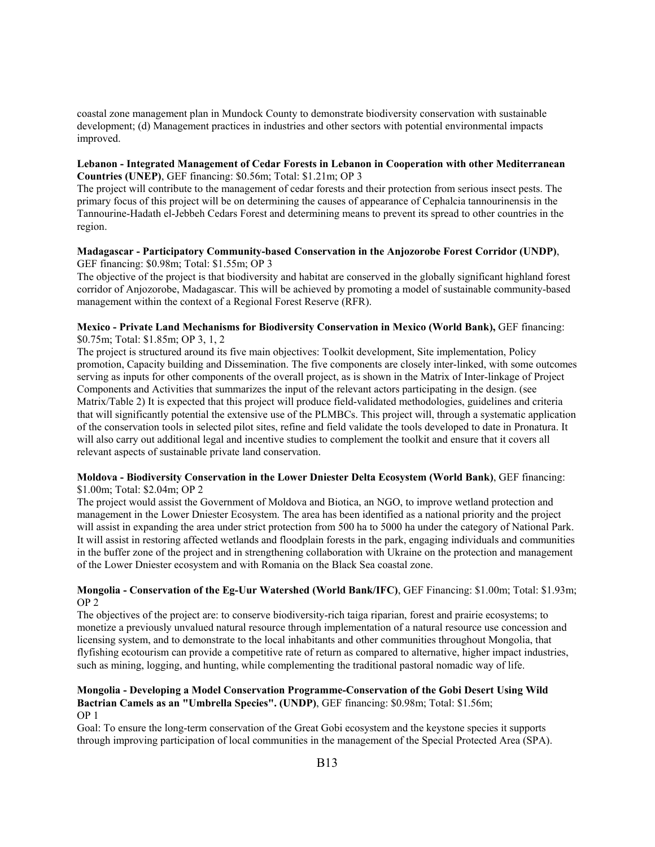coastal zone management plan in Mundock County to demonstrate biodiversity conservation with sustainable development; (d) Management practices in industries and other sectors with potential environmental impacts improved.

#### **Lebanon - Integrated Management of Cedar Forests in Lebanon in Cooperation with other Mediterranean Countries (UNEP)**, GEF financing: \$0.56m; Total: \$1.21m; OP 3

The project will contribute to the management of cedar forests and their protection from serious insect pests. The primary focus of this project will be on determining the causes of appearance of Cephalcia tannourinensis in the Tannourine-Hadath el-Jebbeh Cedars Forest and determining means to prevent its spread to other countries in the region.

#### **Madagascar - Participatory Community-based Conservation in the Anjozorobe Forest Corridor (UNDP)**, GEF financing: \$0.98m; Total: \$1.55m; OP 3

The objective of the project is that biodiversity and habitat are conserved in the globally significant highland forest corridor of Anjozorobe, Madagascar. This will be achieved by promoting a model of sustainable community-based management within the context of a Regional Forest Reserve (RFR).

#### **Mexico - Private Land Mechanisms for Biodiversity Conservation in Mexico (World Bank),** GEF financing: \$0.75m; Total: \$1.85m; OP 3, 1, 2

The project is structured around its five main objectives: Toolkit development, Site implementation, Policy promotion, Capacity building and Dissemination. The five components are closely inter-linked, with some outcomes serving as inputs for other components of the overall project, as is shown in the Matrix of Inter-linkage of Project Components and Activities that summarizes the input of the relevant actors participating in the design. (see Matrix/Table 2) It is expected that this project will produce field-validated methodologies, guidelines and criteria that will significantly potential the extensive use of the PLMBCs. This project will, through a systematic application of the conservation tools in selected pilot sites, refine and field validate the tools developed to date in Pronatura. It will also carry out additional legal and incentive studies to complement the toolkit and ensure that it covers all relevant aspects of sustainable private land conservation.

#### **Moldova - Biodiversity Conservation in the Lower Dniester Delta Ecosystem (World Bank)**, GEF financing: \$1.00m; Total: \$2.04m; OP 2

The project would assist the Government of Moldova and Biotica, an NGO, to improve wetland protection and management in the Lower Dniester Ecosystem. The area has been identified as a national priority and the project will assist in expanding the area under strict protection from 500 ha to 5000 ha under the category of National Park. It will assist in restoring affected wetlands and floodplain forests in the park, engaging individuals and communities in the buffer zone of the project and in strengthening collaboration with Ukraine on the protection and management of the Lower Dniester ecosystem and with Romania on the Black Sea coastal zone.

#### **Mongolia - Conservation of the Eg-Uur Watershed (World Bank/IFC)**, GEF Financing: \$1.00m; Total: \$1.93m; OP 2

The objectives of the project are: to conserve biodiversity-rich taiga riparian, forest and prairie ecosystems; to monetize a previously unvalued natural resource through implementation of a natural resource use concession and licensing system, and to demonstrate to the local inhabitants and other communities throughout Mongolia, that flyfishing ecotourism can provide a competitive rate of return as compared to alternative, higher impact industries, such as mining, logging, and hunting, while complementing the traditional pastoral nomadic way of life.

#### **Mongolia - Developing a Model Conservation Programme-Conservation of the Gobi Desert Using Wild Bactrian Camels as an "Umbrella Species". (UNDP)**, GEF financing: \$0.98m; Total: \$1.56m; OP 1

Goal: To ensure the long-term conservation of the Great Gobi ecosystem and the keystone species it supports through improving participation of local communities in the management of the Special Protected Area (SPA).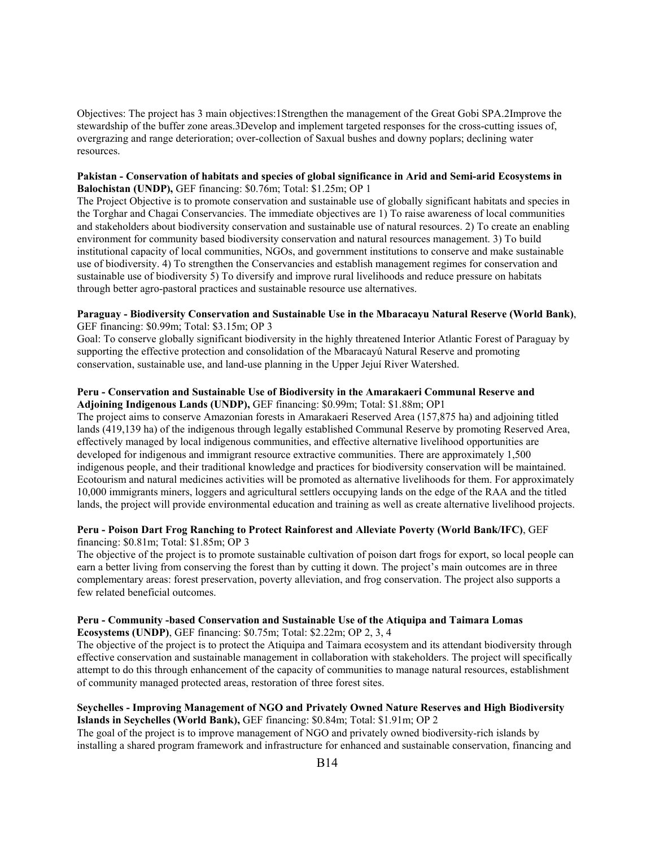Objectives: The project has 3 main objectives:1Strengthen the management of the Great Gobi SPA.2Improve the stewardship of the buffer zone areas.3Develop and implement targeted responses for the cross-cutting issues of, overgrazing and range deterioration; over-collection of Saxual bushes and downy poplars; declining water resources.

#### **Pakistan - Conservation of habitats and species of global significance in Arid and Semi-arid Ecosystems in Balochistan (UNDP),** GEF financing: \$0.76m; Total: \$1.25m; OP 1

The Project Objective is to promote conservation and sustainable use of globally significant habitats and species in the Torghar and Chagai Conservancies. The immediate objectives are 1) To raise awareness of local communities and stakeholders about biodiversity conservation and sustainable use of natural resources. 2) To create an enabling environment for community based biodiversity conservation and natural resources management. 3) To build institutional capacity of local communities, NGOs, and government institutions to conserve and make sustainable use of biodiversity. 4) To strengthen the Conservancies and establish management regimes for conservation and sustainable use of biodiversity 5) To diversify and improve rural livelihoods and reduce pressure on habitats through better agro-pastoral practices and sustainable resource use alternatives.

#### **Paraguay - Biodiversity Conservation and Sustainable Use in the Mbaracayu Natural Reserve (World Bank)**, GEF financing: \$0.99m; Total: \$3.15m; OP 3

Goal: To conserve globally significant biodiversity in the highly threatened Interior Atlantic Forest of Paraguay by supporting the effective protection and consolidation of the Mbaracayú Natural Reserve and promoting conservation, sustainable use, and land-use planning in the Upper Jejuí River Watershed.

#### **Peru - Conservation and Sustainable Use of Biodiversity in the Amarakaeri Communal Reserve and Adjoining Indigenous Lands (UNDP),** GEF financing: \$0.99m; Total: \$1.88m; OP1

The project aims to conserve Amazonian forests in Amarakaeri Reserved Area (157,875 ha) and adjoining titled lands (419,139 ha) of the indigenous through legally established Communal Reserve by promoting Reserved Area, effectively managed by local indigenous communities, and effective alternative livelihood opportunities are developed for indigenous and immigrant resource extractive communities. There are approximately 1,500 indigenous people, and their traditional knowledge and practices for biodiversity conservation will be maintained. Ecotourism and natural medicines activities will be promoted as alternative livelihoods for them. For approximately 10,000 immigrants miners, loggers and agricultural settlers occupying lands on the edge of the RAA and the titled lands, the project will provide environmental education and training as well as create alternative livelihood projects.

#### **Peru - Poison Dart Frog Ranching to Protect Rainforest and Alleviate Poverty (World Bank/IFC)**, GEF financing: \$0.81m; Total: \$1.85m; OP 3

The objective of the project is to promote sustainable cultivation of poison dart frogs for export, so local people can earn a better living from conserving the forest than by cutting it down. The project's main outcomes are in three complementary areas: forest preservation, poverty alleviation, and frog conservation. The project also supports a few related beneficial outcomes.

#### **Peru - Community -based Conservation and Sustainable Use of the Atiquipa and Taimara Lomas Ecosystems (UNDP)**, GEF financing: \$0.75m; Total: \$2.22m; OP 2, 3, 4

The objective of the project is to protect the Atiquipa and Taimara ecosystem and its attendant biodiversity through effective conservation and sustainable management in collaboration with stakeholders. The project will specifically attempt to do this through enhancement of the capacity of communities to manage natural resources, establishment of community managed protected areas, restoration of three forest sites.

#### **Seychelles - Improving Management of NGO and Privately Owned Nature Reserves and High Biodiversity Islands in Seychelles (World Bank),** GEF financing: \$0.84m; Total: \$1.91m; OP 2

The goal of the project is to improve management of NGO and privately owned biodiversity-rich islands by installing a shared program framework and infrastructure for enhanced and sustainable conservation, financing and